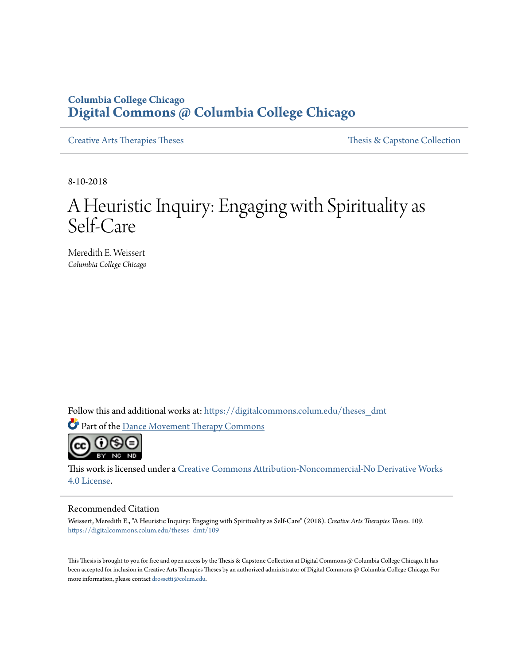# **Columbia College Chicago [Digital Commons @ Columbia College Chicago](https://digitalcommons.colum.edu?utm_source=digitalcommons.colum.edu%2Ftheses_dmt%2F109&utm_medium=PDF&utm_campaign=PDFCoverPages)**

[Creative Arts Therapies Theses](https://digitalcommons.colum.edu/theses_dmt?utm_source=digitalcommons.colum.edu%2Ftheses_dmt%2F109&utm_medium=PDF&utm_campaign=PDFCoverPages) Theses Theses [Thesis & Capstone Collection](https://digitalcommons.colum.edu/thesiscoll?utm_source=digitalcommons.colum.edu%2Ftheses_dmt%2F109&utm_medium=PDF&utm_campaign=PDFCoverPages)

8-10-2018

# A Heuristic Inquiry: Engaging with Spirituality as Self-Care

Meredith E. Weissert *Columbia College Chicago*

Follow this and additional works at: [https://digitalcommons.colum.edu/theses\\_dmt](https://digitalcommons.colum.edu/theses_dmt?utm_source=digitalcommons.colum.edu%2Ftheses_dmt%2F109&utm_medium=PDF&utm_campaign=PDFCoverPages)

Part of the [Dance Movement Therapy Commons](http://network.bepress.com/hgg/discipline/1150?utm_source=digitalcommons.colum.edu%2Ftheses_dmt%2F109&utm_medium=PDF&utm_campaign=PDFCoverPages)



This work is licensed under a [Creative Commons Attribution-Noncommercial-No Derivative Works](http://creativecommons.org/licenses/by-nc-nd/4.0/) [4.0 License.](http://creativecommons.org/licenses/by-nc-nd/4.0/)

#### Recommended Citation

Weissert, Meredith E., "A Heuristic Inquiry: Engaging with Spirituality as Self-Care" (2018). *Creative Arts Therapies Theses*. 109. [https://digitalcommons.colum.edu/theses\\_dmt/109](https://digitalcommons.colum.edu/theses_dmt/109?utm_source=digitalcommons.colum.edu%2Ftheses_dmt%2F109&utm_medium=PDF&utm_campaign=PDFCoverPages)

This Thesis is brought to you for free and open access by the Thesis & Capstone Collection at Digital Commons @ Columbia College Chicago. It has been accepted for inclusion in Creative Arts Therapies Theses by an authorized administrator of Digital Commons @ Columbia College Chicago. For more information, please contact [drossetti@colum.edu.](mailto:drossetti@colum.edu)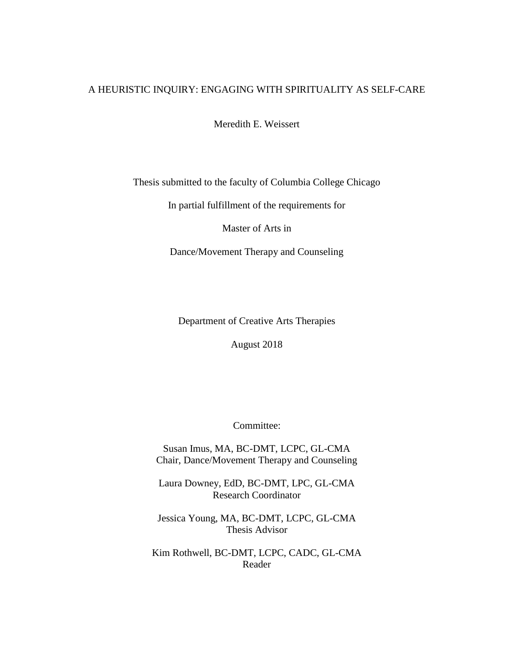## A HEURISTIC INQUIRY: ENGAGING WITH SPIRITUALITY AS SELF-CARE

Meredith E. Weissert

# Thesis submitted to the faculty of Columbia College Chicago

In partial fulfillment of the requirements for

Master of Arts in

Dance/Movement Therapy and Counseling

Department of Creative Arts Therapies

August 2018

Committee:

Susan Imus, MA, BC-DMT, LCPC, GL-CMA Chair, Dance/Movement Therapy and Counseling

Laura Downey, EdD, BC-DMT, LPC, GL-CMA Research Coordinator

Jessica Young, MA, BC-DMT, LCPC, GL-CMA Thesis Advisor

Kim Rothwell, BC-DMT, LCPC, CADC, GL-CMA Reader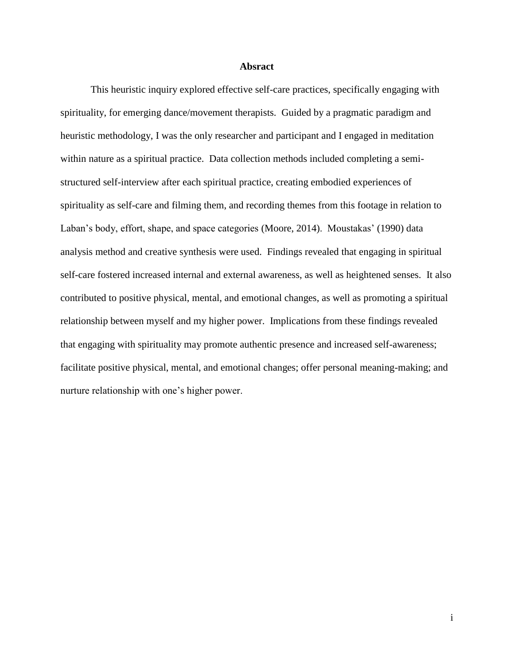#### **Absract**

This heuristic inquiry explored effective self-care practices, specifically engaging with spirituality, for emerging dance/movement therapists. Guided by a pragmatic paradigm and heuristic methodology, I was the only researcher and participant and I engaged in meditation within nature as a spiritual practice. Data collection methods included completing a semistructured self-interview after each spiritual practice, creating embodied experiences of spirituality as self-care and filming them, and recording themes from this footage in relation to Laban's body, effort, shape, and space categories (Moore, 2014). Moustakas' (1990) data analysis method and creative synthesis were used. Findings revealed that engaging in spiritual self-care fostered increased internal and external awareness, as well as heightened senses. It also contributed to positive physical, mental, and emotional changes, as well as promoting a spiritual relationship between myself and my higher power. Implications from these findings revealed that engaging with spirituality may promote authentic presence and increased self-awareness; facilitate positive physical, mental, and emotional changes; offer personal meaning-making; and nurture relationship with one's higher power.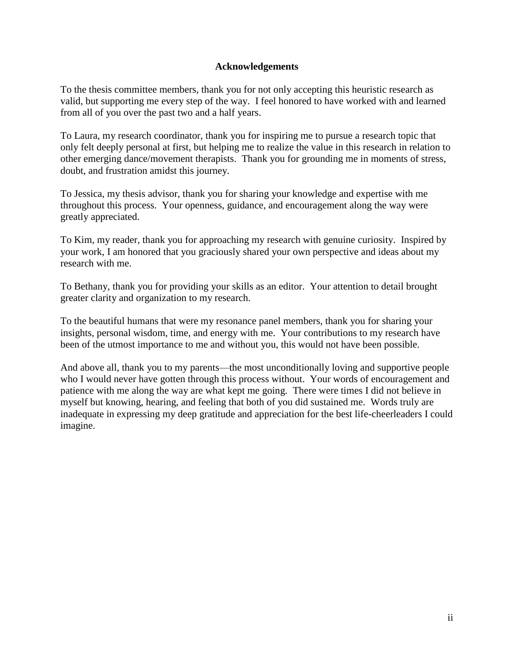## **Acknowledgements**

To the thesis committee members, thank you for not only accepting this heuristic research as valid, but supporting me every step of the way. I feel honored to have worked with and learned from all of you over the past two and a half years.

To Laura, my research coordinator, thank you for inspiring me to pursue a research topic that only felt deeply personal at first, but helping me to realize the value in this research in relation to other emerging dance/movement therapists. Thank you for grounding me in moments of stress, doubt, and frustration amidst this journey.

To Jessica, my thesis advisor, thank you for sharing your knowledge and expertise with me throughout this process. Your openness, guidance, and encouragement along the way were greatly appreciated.

To Kim, my reader, thank you for approaching my research with genuine curiosity. Inspired by your work, I am honored that you graciously shared your own perspective and ideas about my research with me.

To Bethany, thank you for providing your skills as an editor. Your attention to detail brought greater clarity and organization to my research.

To the beautiful humans that were my resonance panel members, thank you for sharing your insights, personal wisdom, time, and energy with me. Your contributions to my research have been of the utmost importance to me and without you, this would not have been possible.

And above all, thank you to my parents—the most unconditionally loving and supportive people who I would never have gotten through this process without. Your words of encouragement and patience with me along the way are what kept me going. There were times I did not believe in myself but knowing, hearing, and feeling that both of you did sustained me. Words truly are inadequate in expressing my deep gratitude and appreciation for the best life-cheerleaders I could imagine.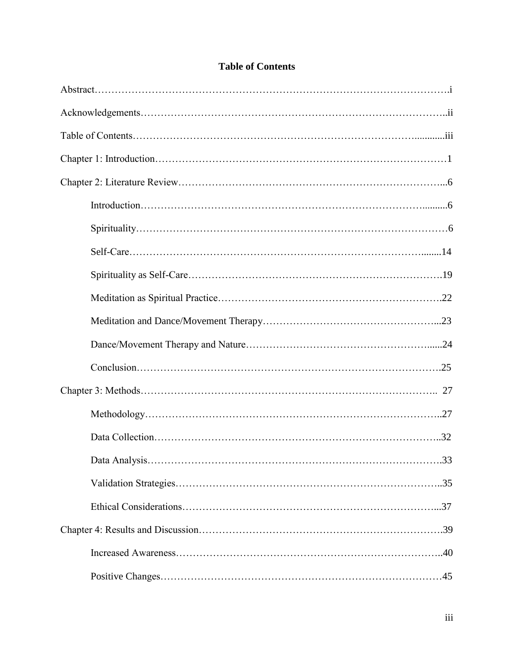# **Table of Contents**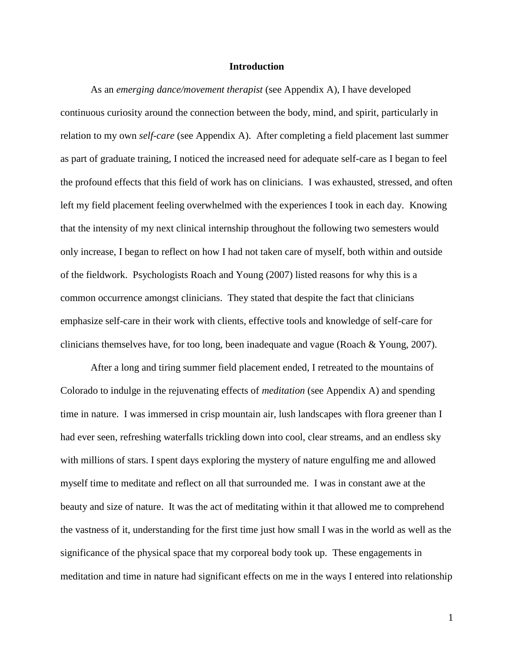#### **Introduction**

As an *emerging dance/movement therapist* (see Appendix A), I have developed continuous curiosity around the connection between the body, mind, and spirit, particularly in relation to my own *self-care* (see Appendix A). After completing a field placement last summer as part of graduate training, I noticed the increased need for adequate self-care as I began to feel the profound effects that this field of work has on clinicians. I was exhausted, stressed, and often left my field placement feeling overwhelmed with the experiences I took in each day. Knowing that the intensity of my next clinical internship throughout the following two semesters would only increase, I began to reflect on how I had not taken care of myself, both within and outside of the fieldwork. Psychologists Roach and Young (2007) listed reasons for why this is a common occurrence amongst clinicians. They stated that despite the fact that clinicians emphasize self-care in their work with clients, effective tools and knowledge of self-care for clinicians themselves have, for too long, been inadequate and vague (Roach & Young, 2007).

After a long and tiring summer field placement ended, I retreated to the mountains of Colorado to indulge in the rejuvenating effects of *meditation* (see Appendix A) and spending time in nature. I was immersed in crisp mountain air, lush landscapes with flora greener than I had ever seen, refreshing waterfalls trickling down into cool, clear streams, and an endless sky with millions of stars. I spent days exploring the mystery of nature engulfing me and allowed myself time to meditate and reflect on all that surrounded me. I was in constant awe at the beauty and size of nature. It was the act of meditating within it that allowed me to comprehend the vastness of it, understanding for the first time just how small I was in the world as well as the significance of the physical space that my corporeal body took up. These engagements in meditation and time in nature had significant effects on me in the ways I entered into relationship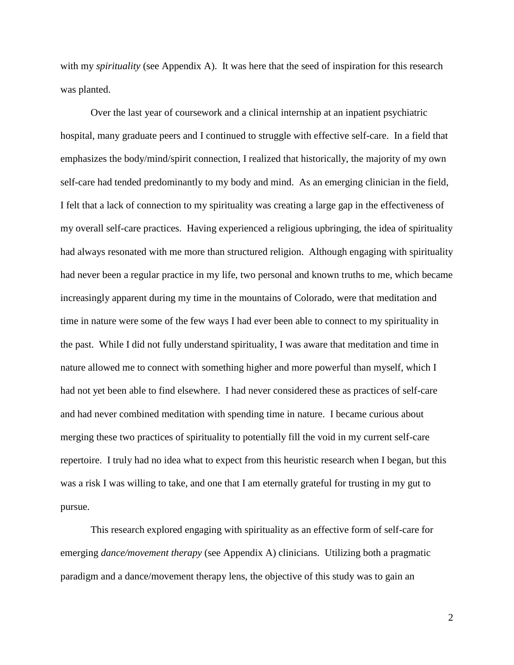with my *spirituality* (see Appendix A). It was here that the seed of inspiration for this research was planted.

Over the last year of coursework and a clinical internship at an inpatient psychiatric hospital, many graduate peers and I continued to struggle with effective self-care. In a field that emphasizes the body/mind/spirit connection, I realized that historically, the majority of my own self-care had tended predominantly to my body and mind. As an emerging clinician in the field, I felt that a lack of connection to my spirituality was creating a large gap in the effectiveness of my overall self-care practices. Having experienced a religious upbringing, the idea of spirituality had always resonated with me more than structured religion. Although engaging with spirituality had never been a regular practice in my life, two personal and known truths to me, which became increasingly apparent during my time in the mountains of Colorado, were that meditation and time in nature were some of the few ways I had ever been able to connect to my spirituality in the past. While I did not fully understand spirituality, I was aware that meditation and time in nature allowed me to connect with something higher and more powerful than myself, which I had not yet been able to find elsewhere. I had never considered these as practices of self-care and had never combined meditation with spending time in nature. I became curious about merging these two practices of spirituality to potentially fill the void in my current self-care repertoire. I truly had no idea what to expect from this heuristic research when I began, but this was a risk I was willing to take, and one that I am eternally grateful for trusting in my gut to pursue.

This research explored engaging with spirituality as an effective form of self-care for emerging *dance/movement therapy* (see Appendix A) clinicians. Utilizing both a pragmatic paradigm and a dance/movement therapy lens, the objective of this study was to gain an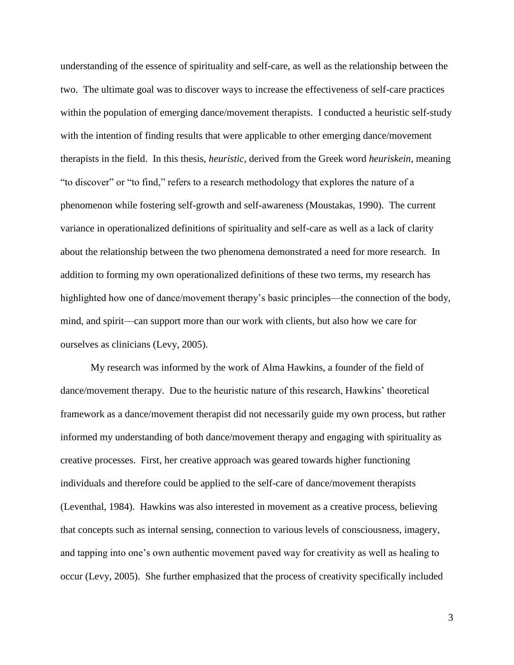understanding of the essence of spirituality and self-care, as well as the relationship between the two. The ultimate goal was to discover ways to increase the effectiveness of self-care practices within the population of emerging dance/movement therapists. I conducted a heuristic self-study with the intention of finding results that were applicable to other emerging dance/movement therapists in the field. In this thesis, *heuristic*, derived from the Greek word *heuriskein*, meaning "to discover" or "to find," refers to a research methodology that explores the nature of a phenomenon while fostering self-growth and self-awareness (Moustakas, 1990). The current variance in operationalized definitions of spirituality and self-care as well as a lack of clarity about the relationship between the two phenomena demonstrated a need for more research. In addition to forming my own operationalized definitions of these two terms, my research has highlighted how one of dance/movement therapy's basic principles—the connection of the body, mind, and spirit—can support more than our work with clients, but also how we care for ourselves as clinicians (Levy, 2005).

My research was informed by the work of Alma Hawkins, a founder of the field of dance/movement therapy. Due to the heuristic nature of this research, Hawkins' theoretical framework as a dance/movement therapist did not necessarily guide my own process, but rather informed my understanding of both dance/movement therapy and engaging with spirituality as creative processes. First, her creative approach was geared towards higher functioning individuals and therefore could be applied to the self-care of dance/movement therapists (Leventhal, 1984). Hawkins was also interested in movement as a creative process, believing that concepts such as internal sensing, connection to various levels of consciousness, imagery, and tapping into one's own authentic movement paved way for creativity as well as healing to occur (Levy, 2005). She further emphasized that the process of creativity specifically included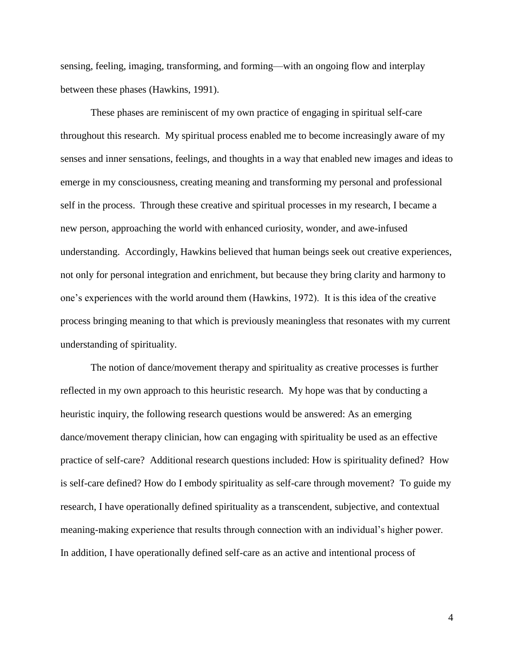sensing, feeling, imaging, transforming, and forming—with an ongoing flow and interplay between these phases (Hawkins, 1991).

These phases are reminiscent of my own practice of engaging in spiritual self-care throughout this research. My spiritual process enabled me to become increasingly aware of my senses and inner sensations, feelings, and thoughts in a way that enabled new images and ideas to emerge in my consciousness, creating meaning and transforming my personal and professional self in the process. Through these creative and spiritual processes in my research, I became a new person, approaching the world with enhanced curiosity, wonder, and awe-infused understanding. Accordingly, Hawkins believed that human beings seek out creative experiences, not only for personal integration and enrichment, but because they bring clarity and harmony to one's experiences with the world around them (Hawkins, 1972). It is this idea of the creative process bringing meaning to that which is previously meaningless that resonates with my current understanding of spirituality.

The notion of dance/movement therapy and spirituality as creative processes is further reflected in my own approach to this heuristic research. My hope was that by conducting a heuristic inquiry, the following research questions would be answered: As an emerging dance/movement therapy clinician, how can engaging with spirituality be used as an effective practice of self-care? Additional research questions included: How is spirituality defined? How is self-care defined? How do I embody spirituality as self-care through movement? To guide my research, I have operationally defined spirituality as a transcendent, subjective, and contextual meaning-making experience that results through connection with an individual's higher power. In addition, I have operationally defined self-care as an active and intentional process of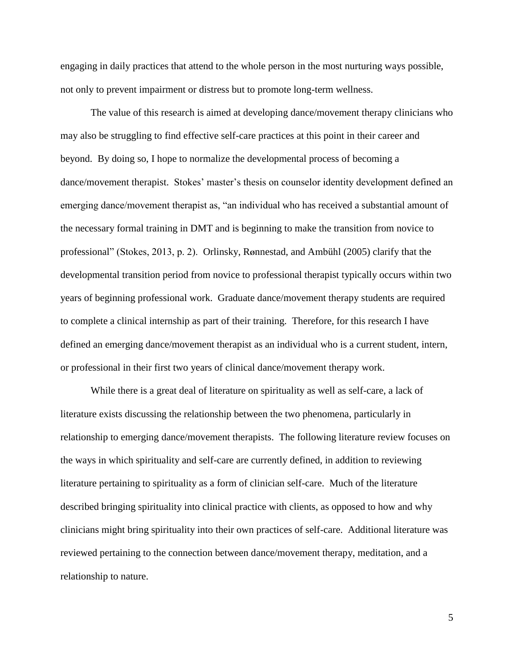engaging in daily practices that attend to the whole person in the most nurturing ways possible, not only to prevent impairment or distress but to promote long-term wellness.

The value of this research is aimed at developing dance/movement therapy clinicians who may also be struggling to find effective self-care practices at this point in their career and beyond. By doing so, I hope to normalize the developmental process of becoming a dance/movement therapist. Stokes' master's thesis on counselor identity development defined an emerging dance/movement therapist as, "an individual who has received a substantial amount of the necessary formal training in DMT and is beginning to make the transition from novice to professional" (Stokes, 2013, p. 2). Orlinsky, R**Ø**nnestad, and Ambühl (2005) clarify that the developmental transition period from novice to professional therapist typically occurs within two years of beginning professional work. Graduate dance/movement therapy students are required to complete a clinical internship as part of their training. Therefore, for this research I have defined an emerging dance/movement therapist as an individual who is a current student, intern, or professional in their first two years of clinical dance/movement therapy work.

While there is a great deal of literature on spirituality as well as self-care, a lack of literature exists discussing the relationship between the two phenomena, particularly in relationship to emerging dance/movement therapists. The following literature review focuses on the ways in which spirituality and self-care are currently defined, in addition to reviewing literature pertaining to spirituality as a form of clinician self-care. Much of the literature described bringing spirituality into clinical practice with clients, as opposed to how and why clinicians might bring spirituality into their own practices of self-care. Additional literature was reviewed pertaining to the connection between dance/movement therapy, meditation, and a relationship to nature.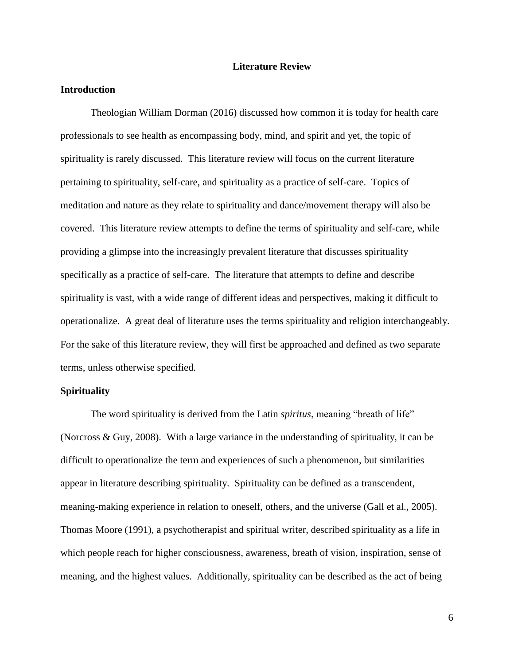#### **Literature Review**

#### **Introduction**

Theologian William Dorman (2016) discussed how common it is today for health care professionals to see health as encompassing body, mind, and spirit and yet, the topic of spirituality is rarely discussed. This literature review will focus on the current literature pertaining to spirituality, self-care, and spirituality as a practice of self-care. Topics of meditation and nature as they relate to spirituality and dance/movement therapy will also be covered. This literature review attempts to define the terms of spirituality and self-care, while providing a glimpse into the increasingly prevalent literature that discusses spirituality specifically as a practice of self-care. The literature that attempts to define and describe spirituality is vast, with a wide range of different ideas and perspectives, making it difficult to operationalize. A great deal of literature uses the terms spirituality and religion interchangeably. For the sake of this literature review, they will first be approached and defined as two separate terms, unless otherwise specified.

#### **Spirituality**

The word spirituality is derived from the Latin *spiritus*, meaning "breath of life" (Norcross & Guy, 2008). With a large variance in the understanding of spirituality, it can be difficult to operationalize the term and experiences of such a phenomenon, but similarities appear in literature describing spirituality. Spirituality can be defined as a transcendent, meaning-making experience in relation to oneself, others, and the universe (Gall et al., 2005). Thomas Moore (1991), a psychotherapist and spiritual writer, described spirituality as a life in which people reach for higher consciousness, awareness, breath of vision, inspiration, sense of meaning, and the highest values. Additionally, spirituality can be described as the act of being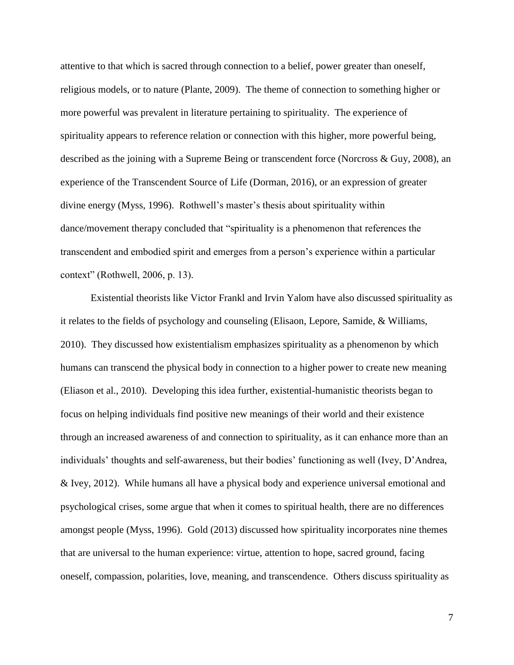attentive to that which is sacred through connection to a belief, power greater than oneself, religious models, or to nature (Plante, 2009). The theme of connection to something higher or more powerful was prevalent in literature pertaining to spirituality. The experience of spirituality appears to reference relation or connection with this higher, more powerful being, described as the joining with a Supreme Being or transcendent force (Norcross & Guy, 2008), an experience of the Transcendent Source of Life (Dorman, 2016), or an expression of greater divine energy (Myss, 1996). Rothwell's master's thesis about spirituality within dance/movement therapy concluded that "spirituality is a phenomenon that references the transcendent and embodied spirit and emerges from a person's experience within a particular context" (Rothwell, 2006, p. 13).

Existential theorists like Victor Frankl and Irvin Yalom have also discussed spirituality as it relates to the fields of psychology and counseling (Elisaon, Lepore, Samide, & Williams, 2010). They discussed how existentialism emphasizes spirituality as a phenomenon by which humans can transcend the physical body in connection to a higher power to create new meaning (Eliason et al., 2010). Developing this idea further, existential-humanistic theorists began to focus on helping individuals find positive new meanings of their world and their existence through an increased awareness of and connection to spirituality, as it can enhance more than an individuals' thoughts and self-awareness, but their bodies' functioning as well (Ivey, D'Andrea, & Ivey, 2012). While humans all have a physical body and experience universal emotional and psychological crises, some argue that when it comes to spiritual health, there are no differences amongst people (Myss, 1996). Gold (2013) discussed how spirituality incorporates nine themes that are universal to the human experience: virtue, attention to hope, sacred ground, facing oneself, compassion, polarities, love, meaning, and transcendence. Others discuss spirituality as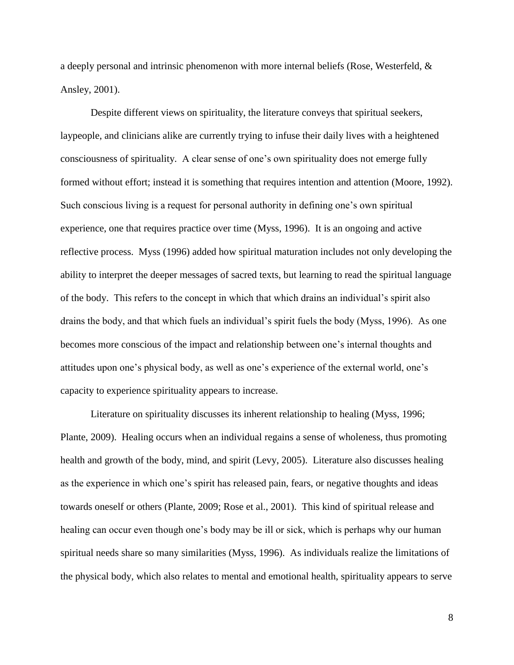a deeply personal and intrinsic phenomenon with more internal beliefs (Rose, Westerfeld, & Ansley, 2001).

Despite different views on spirituality, the literature conveys that spiritual seekers, laypeople, and clinicians alike are currently trying to infuse their daily lives with a heightened consciousness of spirituality. A clear sense of one's own spirituality does not emerge fully formed without effort; instead it is something that requires intention and attention (Moore, 1992). Such conscious living is a request for personal authority in defining one's own spiritual experience, one that requires practice over time (Myss, 1996). It is an ongoing and active reflective process. Myss (1996) added how spiritual maturation includes not only developing the ability to interpret the deeper messages of sacred texts, but learning to read the spiritual language of the body. This refers to the concept in which that which drains an individual's spirit also drains the body, and that which fuels an individual's spirit fuels the body (Myss, 1996). As one becomes more conscious of the impact and relationship between one's internal thoughts and attitudes upon one's physical body, as well as one's experience of the external world, one's capacity to experience spirituality appears to increase.

Literature on spirituality discusses its inherent relationship to healing (Myss, 1996; Plante, 2009). Healing occurs when an individual regains a sense of wholeness, thus promoting health and growth of the body, mind, and spirit (Levy, 2005). Literature also discusses healing as the experience in which one's spirit has released pain, fears, or negative thoughts and ideas towards oneself or others (Plante, 2009; Rose et al., 2001). This kind of spiritual release and healing can occur even though one's body may be ill or sick, which is perhaps why our human spiritual needs share so many similarities (Myss, 1996). As individuals realize the limitations of the physical body, which also relates to mental and emotional health, spirituality appears to serve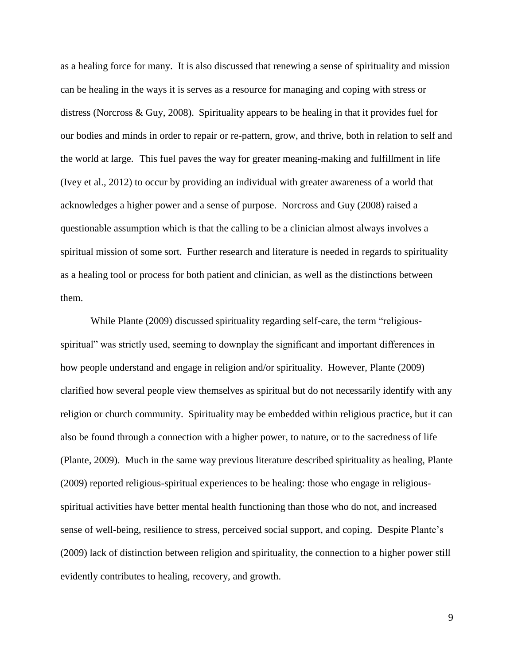as a healing force for many. It is also discussed that renewing a sense of spirituality and mission can be healing in the ways it is serves as a resource for managing and coping with stress or distress (Norcross & Guy, 2008). Spirituality appears to be healing in that it provides fuel for our bodies and minds in order to repair or re-pattern, grow, and thrive, both in relation to self and the world at large. This fuel paves the way for greater meaning-making and fulfillment in life (Ivey et al., 2012) to occur by providing an individual with greater awareness of a world that acknowledges a higher power and a sense of purpose. Norcross and Guy (2008) raised a questionable assumption which is that the calling to be a clinician almost always involves a spiritual mission of some sort. Further research and literature is needed in regards to spirituality as a healing tool or process for both patient and clinician, as well as the distinctions between them.

While Plante (2009) discussed spirituality regarding self-care, the term "religiousspiritual" was strictly used, seeming to downplay the significant and important differences in how people understand and engage in religion and/or spirituality. However, Plante (2009) clarified how several people view themselves as spiritual but do not necessarily identify with any religion or church community. Spirituality may be embedded within religious practice, but it can also be found through a connection with a higher power, to nature, or to the sacredness of life (Plante, 2009). Much in the same way previous literature described spirituality as healing, Plante (2009) reported religious-spiritual experiences to be healing: those who engage in religiousspiritual activities have better mental health functioning than those who do not, and increased sense of well-being, resilience to stress, perceived social support, and coping. Despite Plante's (2009) lack of distinction between religion and spirituality, the connection to a higher power still evidently contributes to healing, recovery, and growth.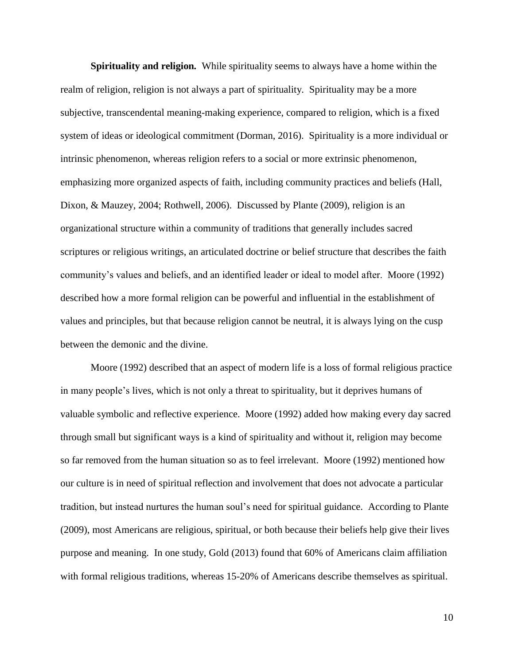**Spirituality and religion***.* While spirituality seems to always have a home within the realm of religion, religion is not always a part of spirituality. Spirituality may be a more subjective, transcendental meaning-making experience, compared to religion, which is a fixed system of ideas or ideological commitment (Dorman, 2016). Spirituality is a more individual or intrinsic phenomenon, whereas religion refers to a social or more extrinsic phenomenon, emphasizing more organized aspects of faith, including community practices and beliefs (Hall, Dixon, & Mauzey, 2004; Rothwell, 2006). Discussed by Plante (2009), religion is an organizational structure within a community of traditions that generally includes sacred scriptures or religious writings, an articulated doctrine or belief structure that describes the faith community's values and beliefs, and an identified leader or ideal to model after. Moore (1992) described how a more formal religion can be powerful and influential in the establishment of values and principles, but that because religion cannot be neutral, it is always lying on the cusp between the demonic and the divine.

Moore (1992) described that an aspect of modern life is a loss of formal religious practice in many people's lives, which is not only a threat to spirituality, but it deprives humans of valuable symbolic and reflective experience. Moore (1992) added how making every day sacred through small but significant ways is a kind of spirituality and without it, religion may become so far removed from the human situation so as to feel irrelevant. Moore (1992) mentioned how our culture is in need of spiritual reflection and involvement that does not advocate a particular tradition, but instead nurtures the human soul's need for spiritual guidance. According to Plante (2009), most Americans are religious, spiritual, or both because their beliefs help give their lives purpose and meaning. In one study, Gold (2013) found that 60% of Americans claim affiliation with formal religious traditions, whereas  $15{\text -}20\%$  of Americans describe themselves as spiritual.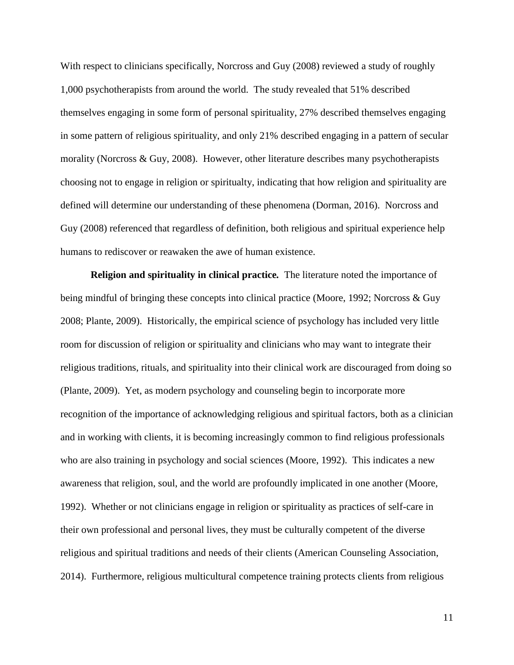With respect to clinicians specifically, Norcross and Guy (2008) reviewed a study of roughly 1,000 psychotherapists from around the world. The study revealed that 51% described themselves engaging in some form of personal spirituality, 27% described themselves engaging in some pattern of religious spirituality, and only 21% described engaging in a pattern of secular morality (Norcross & Guy, 2008). However, other literature describes many psychotherapists choosing not to engage in religion or spiritualty, indicating that how religion and spirituality are defined will determine our understanding of these phenomena (Dorman, 2016). Norcross and Guy (2008) referenced that regardless of definition, both religious and spiritual experience help humans to rediscover or reawaken the awe of human existence.

**Religion and spirituality in clinical practice***.* The literature noted the importance of being mindful of bringing these concepts into clinical practice (Moore, 1992; Norcross & Guy 2008; Plante, 2009). Historically, the empirical science of psychology has included very little room for discussion of religion or spirituality and clinicians who may want to integrate their religious traditions, rituals, and spirituality into their clinical work are discouraged from doing so (Plante, 2009). Yet, as modern psychology and counseling begin to incorporate more recognition of the importance of acknowledging religious and spiritual factors, both as a clinician and in working with clients, it is becoming increasingly common to find religious professionals who are also training in psychology and social sciences (Moore, 1992). This indicates a new awareness that religion, soul, and the world are profoundly implicated in one another (Moore, 1992). Whether or not clinicians engage in religion or spirituality as practices of self-care in their own professional and personal lives, they must be culturally competent of the diverse religious and spiritual traditions and needs of their clients (American Counseling Association, 2014). Furthermore, religious multicultural competence training protects clients from religious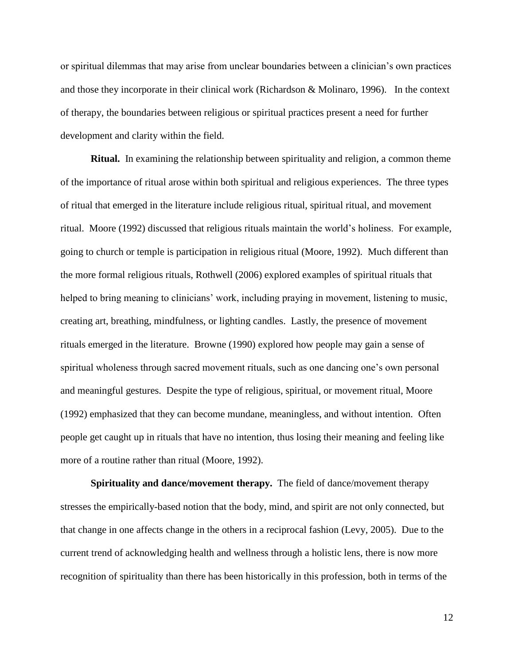or spiritual dilemmas that may arise from unclear boundaries between a clinician's own practices and those they incorporate in their clinical work (Richardson & Molinaro, 1996). In the context of therapy, the boundaries between religious or spiritual practices present a need for further development and clarity within the field.

**Ritual.** In examining the relationship between spirituality and religion, a common theme of the importance of ritual arose within both spiritual and religious experiences. The three types of ritual that emerged in the literature include religious ritual, spiritual ritual, and movement ritual. Moore (1992) discussed that religious rituals maintain the world's holiness. For example, going to church or temple is participation in religious ritual (Moore, 1992). Much different than the more formal religious rituals, Rothwell (2006) explored examples of spiritual rituals that helped to bring meaning to clinicians' work, including praying in movement, listening to music, creating art, breathing, mindfulness, or lighting candles. Lastly, the presence of movement rituals emerged in the literature. Browne (1990) explored how people may gain a sense of spiritual wholeness through sacred movement rituals, such as one dancing one's own personal and meaningful gestures. Despite the type of religious, spiritual, or movement ritual, Moore (1992) emphasized that they can become mundane, meaningless, and without intention. Often people get caught up in rituals that have no intention, thus losing their meaning and feeling like more of a routine rather than ritual (Moore, 1992).

**Spirituality and dance/movement therapy.** The field of dance/movement therapy stresses the empirically-based notion that the body, mind, and spirit are not only connected, but that change in one affects change in the others in a reciprocal fashion (Levy, 2005). Due to the current trend of acknowledging health and wellness through a holistic lens, there is now more recognition of spirituality than there has been historically in this profession, both in terms of the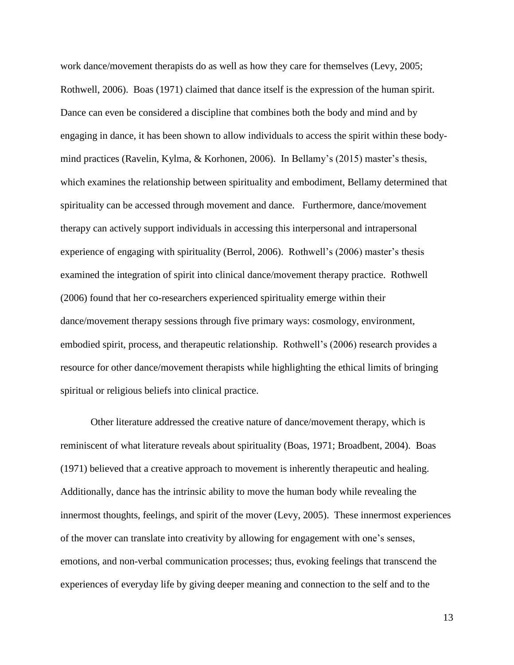work dance/movement therapists do as well as how they care for themselves (Levy, 2005; Rothwell, 2006). Boas (1971) claimed that dance itself is the expression of the human spirit. Dance can even be considered a discipline that combines both the body and mind and by engaging in dance, it has been shown to allow individuals to access the spirit within these bodymind practices (Ravelin, Kylma, & Korhonen, 2006). In Bellamy's (2015) master's thesis, which examines the relationship between spirituality and embodiment, Bellamy determined that spirituality can be accessed through movement and dance. Furthermore, dance/movement therapy can actively support individuals in accessing this interpersonal and intrapersonal experience of engaging with spirituality (Berrol, 2006). Rothwell's (2006) master's thesis examined the integration of spirit into clinical dance/movement therapy practice. Rothwell (2006) found that her co-researchers experienced spirituality emerge within their dance/movement therapy sessions through five primary ways: cosmology, environment, embodied spirit, process, and therapeutic relationship. Rothwell's (2006) research provides a resource for other dance/movement therapists while highlighting the ethical limits of bringing spiritual or religious beliefs into clinical practice.

Other literature addressed the creative nature of dance/movement therapy, which is reminiscent of what literature reveals about spirituality (Boas, 1971; Broadbent, 2004). Boas (1971) believed that a creative approach to movement is inherently therapeutic and healing. Additionally, dance has the intrinsic ability to move the human body while revealing the innermost thoughts, feelings, and spirit of the mover (Levy, 2005). These innermost experiences of the mover can translate into creativity by allowing for engagement with one's senses, emotions, and non-verbal communication processes; thus, evoking feelings that transcend the experiences of everyday life by giving deeper meaning and connection to the self and to the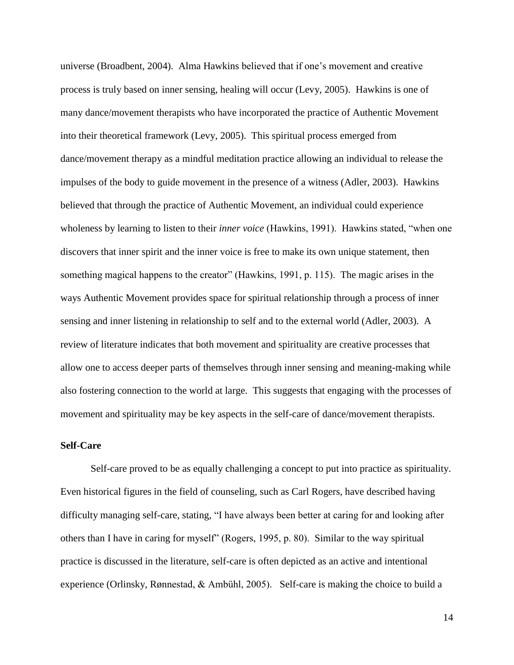universe (Broadbent, 2004). Alma Hawkins believed that if one's movement and creative process is truly based on inner sensing, healing will occur (Levy, 2005). Hawkins is one of many dance/movement therapists who have incorporated the practice of Authentic Movement into their theoretical framework (Levy, 2005). This spiritual process emerged from dance/movement therapy as a mindful meditation practice allowing an individual to release the impulses of the body to guide movement in the presence of a witness (Adler, 2003). Hawkins believed that through the practice of Authentic Movement, an individual could experience wholeness by learning to listen to their *inner voice* (Hawkins, 1991). Hawkins stated, "when one discovers that inner spirit and the inner voice is free to make its own unique statement, then something magical happens to the creator" (Hawkins, 1991, p. 115). The magic arises in the ways Authentic Movement provides space for spiritual relationship through a process of inner sensing and inner listening in relationship to self and to the external world (Adler, 2003). A review of literature indicates that both movement and spirituality are creative processes that allow one to access deeper parts of themselves through inner sensing and meaning-making while also fostering connection to the world at large. This suggests that engaging with the processes of movement and spirituality may be key aspects in the self-care of dance/movement therapists.

#### **Self-Care**

Self-care proved to be as equally challenging a concept to put into practice as spirituality. Even historical figures in the field of counseling, such as Carl Rogers, have described having difficulty managing self-care, stating, "I have always been better at caring for and looking after others than I have in caring for myself" (Rogers, 1995, p. 80). Similar to the way spiritual practice is discussed in the literature, self-care is often depicted as an active and intentional experience (Orlinsky, Rønnestad, & Ambühl, 2005). Self-care is making the choice to build a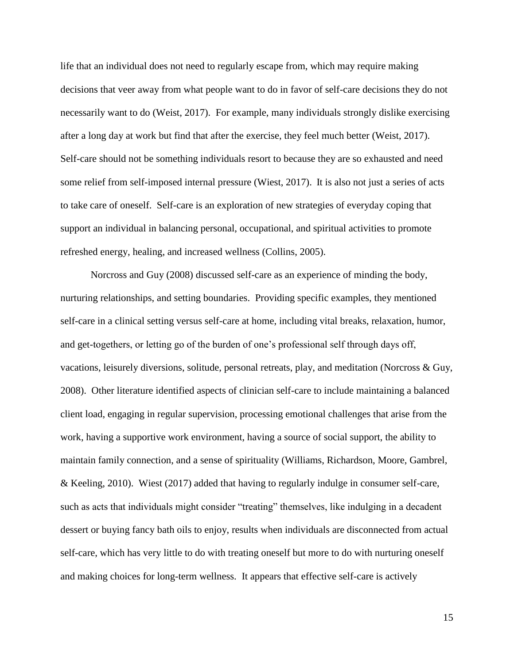life that an individual does not need to regularly escape from, which may require making decisions that veer away from what people want to do in favor of self-care decisions they do not necessarily want to do (Weist, 2017). For example, many individuals strongly dislike exercising after a long day at work but find that after the exercise, they feel much better (Weist, 2017). Self-care should not be something individuals resort to because they are so exhausted and need some relief from self-imposed internal pressure (Wiest, 2017). It is also not just a series of acts to take care of oneself. Self-care is an exploration of new strategies of everyday coping that support an individual in balancing personal, occupational, and spiritual activities to promote refreshed energy, healing, and increased wellness (Collins, 2005).

Norcross and Guy (2008) discussed self-care as an experience of minding the body, nurturing relationships, and setting boundaries. Providing specific examples, they mentioned self-care in a clinical setting versus self-care at home, including vital breaks, relaxation, humor, and get-togethers, or letting go of the burden of one's professional self through days off, vacations, leisurely diversions, solitude, personal retreats, play, and meditation (Norcross & Guy, 2008). Other literature identified aspects of clinician self-care to include maintaining a balanced client load, engaging in regular supervision, processing emotional challenges that arise from the work, having a supportive work environment, having a source of social support, the ability to maintain family connection, and a sense of spirituality (Williams, Richardson, Moore, Gambrel, & Keeling, 2010). Wiest (2017) added that having to regularly indulge in consumer self-care, such as acts that individuals might consider "treating" themselves, like indulging in a decadent dessert or buying fancy bath oils to enjoy, results when individuals are disconnected from actual self-care, which has very little to do with treating oneself but more to do with nurturing oneself and making choices for long-term wellness. It appears that effective self-care is actively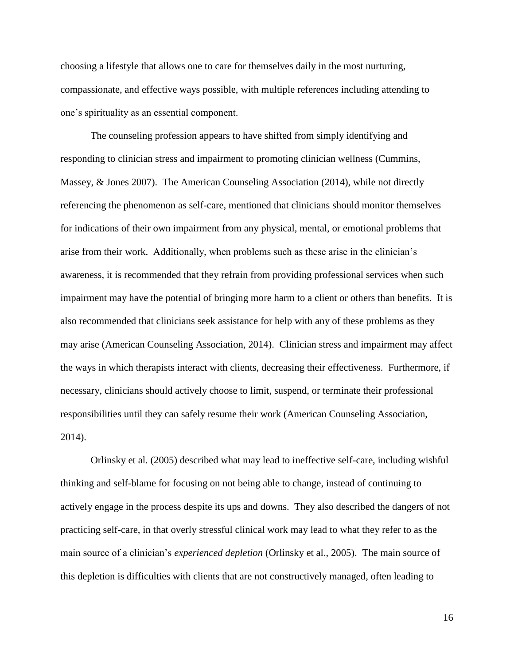choosing a lifestyle that allows one to care for themselves daily in the most nurturing, compassionate, and effective ways possible, with multiple references including attending to one's spirituality as an essential component.

The counseling profession appears to have shifted from simply identifying and responding to clinician stress and impairment to promoting clinician wellness (Cummins, Massey, & Jones 2007). The American Counseling Association (2014), while not directly referencing the phenomenon as self-care, mentioned that clinicians should monitor themselves for indications of their own impairment from any physical, mental, or emotional problems that arise from their work. Additionally, when problems such as these arise in the clinician's awareness, it is recommended that they refrain from providing professional services when such impairment may have the potential of bringing more harm to a client or others than benefits. It is also recommended that clinicians seek assistance for help with any of these problems as they may arise (American Counseling Association, 2014). Clinician stress and impairment may affect the ways in which therapists interact with clients, decreasing their effectiveness. Furthermore, if necessary, clinicians should actively choose to limit, suspend, or terminate their professional responsibilities until they can safely resume their work (American Counseling Association, 2014).

Orlinsky et al. (2005) described what may lead to ineffective self-care, including wishful thinking and self-blame for focusing on not being able to change, instead of continuing to actively engage in the process despite its ups and downs. They also described the dangers of not practicing self-care, in that overly stressful clinical work may lead to what they refer to as the main source of a clinician's *experienced depletion* (Orlinsky et al., 2005). The main source of this depletion is difficulties with clients that are not constructively managed, often leading to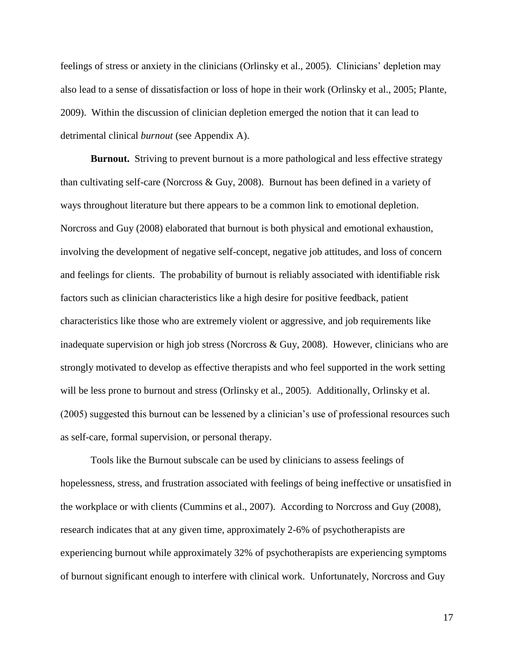feelings of stress or anxiety in the clinicians (Orlinsky et al., 2005). Clinicians' depletion may also lead to a sense of dissatisfaction or loss of hope in their work (Orlinsky et al., 2005; Plante, 2009). Within the discussion of clinician depletion emerged the notion that it can lead to detrimental clinical *burnout* (see Appendix A).

**Burnout.** Striving to prevent burnout is a more pathological and less effective strategy than cultivating self-care (Norcross & Guy, 2008). Burnout has been defined in a variety of ways throughout literature but there appears to be a common link to emotional depletion. Norcross and Guy (2008) elaborated that burnout is both physical and emotional exhaustion, involving the development of negative self-concept, negative job attitudes, and loss of concern and feelings for clients. The probability of burnout is reliably associated with identifiable risk factors such as clinician characteristics like a high desire for positive feedback, patient characteristics like those who are extremely violent or aggressive, and job requirements like inadequate supervision or high job stress (Norcross & Guy, 2008). However, clinicians who are strongly motivated to develop as effective therapists and who feel supported in the work setting will be less prone to burnout and stress (Orlinsky et al., 2005). Additionally, Orlinsky et al. (2005) suggested this burnout can be lessened by a clinician's use of professional resources such as self-care, formal supervision, or personal therapy.

Tools like the Burnout subscale can be used by clinicians to assess feelings of hopelessness, stress, and frustration associated with feelings of being ineffective or unsatisfied in the workplace or with clients (Cummins et al., 2007). According to Norcross and Guy (2008), research indicates that at any given time, approximately 2-6% of psychotherapists are experiencing burnout while approximately 32% of psychotherapists are experiencing symptoms of burnout significant enough to interfere with clinical work. Unfortunately, Norcross and Guy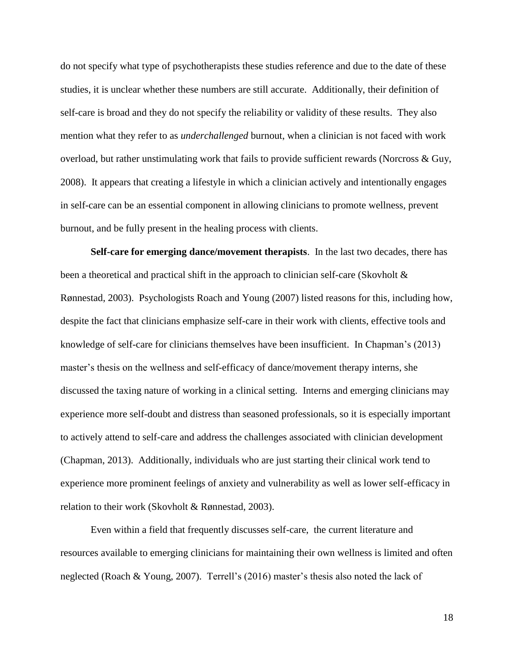do not specify what type of psychotherapists these studies reference and due to the date of these studies, it is unclear whether these numbers are still accurate. Additionally, their definition of self-care is broad and they do not specify the reliability or validity of these results. They also mention what they refer to as *underchallenged* burnout, when a clinician is not faced with work overload, but rather unstimulating work that fails to provide sufficient rewards (Norcross & Guy, 2008). It appears that creating a lifestyle in which a clinician actively and intentionally engages in self-care can be an essential component in allowing clinicians to promote wellness, prevent burnout, and be fully present in the healing process with clients.

**Self-care for emerging dance/movement therapists**. In the last two decades, there has been a theoretical and practical shift in the approach to clinician self-care (Skovholt & Rønnestad, 2003). Psychologists Roach and Young (2007) listed reasons for this, including how, despite the fact that clinicians emphasize self-care in their work with clients, effective tools and knowledge of self-care for clinicians themselves have been insufficient. In Chapman's (2013) master's thesis on the wellness and self-efficacy of dance/movement therapy interns, she discussed the taxing nature of working in a clinical setting. Interns and emerging clinicians may experience more self-doubt and distress than seasoned professionals, so it is especially important to actively attend to self-care and address the challenges associated with clinician development (Chapman, 2013). Additionally, individuals who are just starting their clinical work tend to experience more prominent feelings of anxiety and vulnerability as well as lower self-efficacy in relation to their work (Skovholt & Rønnestad, 2003).

Even within a field that frequently discusses self-care, the current literature and resources available to emerging clinicians for maintaining their own wellness is limited and often neglected (Roach & Young, 2007). Terrell's (2016) master's thesis also noted the lack of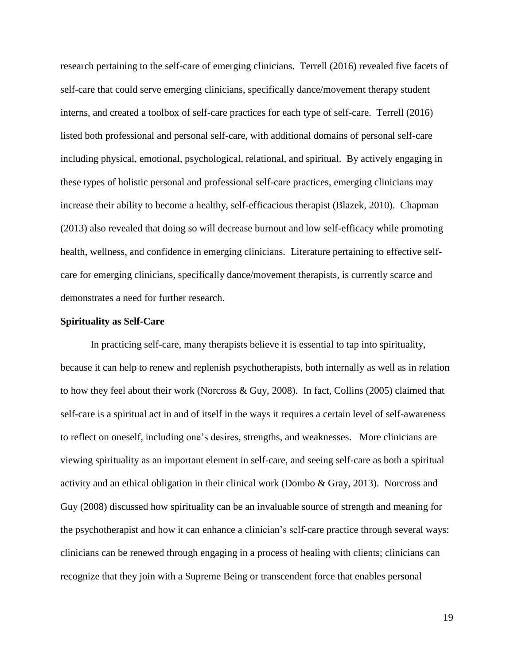research pertaining to the self-care of emerging clinicians. Terrell (2016) revealed five facets of self-care that could serve emerging clinicians, specifically dance/movement therapy student interns, and created a toolbox of self-care practices for each type of self-care. Terrell (2016) listed both professional and personal self-care, with additional domains of personal self-care including physical, emotional, psychological, relational, and spiritual. By actively engaging in these types of holistic personal and professional self-care practices, emerging clinicians may increase their ability to become a healthy, self-efficacious therapist (Blazek, 2010). Chapman (2013) also revealed that doing so will decrease burnout and low self-efficacy while promoting health, wellness, and confidence in emerging clinicians. Literature pertaining to effective selfcare for emerging clinicians, specifically dance/movement therapists, is currently scarce and demonstrates a need for further research.

#### **Spirituality as Self-Care**

In practicing self-care, many therapists believe it is essential to tap into spirituality, because it can help to renew and replenish psychotherapists, both internally as well as in relation to how they feel about their work (Norcross & Guy, 2008). In fact, Collins (2005) claimed that self-care is a spiritual act in and of itself in the ways it requires a certain level of self-awareness to reflect on oneself, including one's desires, strengths, and weaknesses. More clinicians are viewing spirituality as an important element in self-care, and seeing self-care as both a spiritual activity and an ethical obligation in their clinical work (Dombo & Gray, 2013). Norcross and Guy (2008) discussed how spirituality can be an invaluable source of strength and meaning for the psychotherapist and how it can enhance a clinician's self-care practice through several ways: clinicians can be renewed through engaging in a process of healing with clients; clinicians can recognize that they join with a Supreme Being or transcendent force that enables personal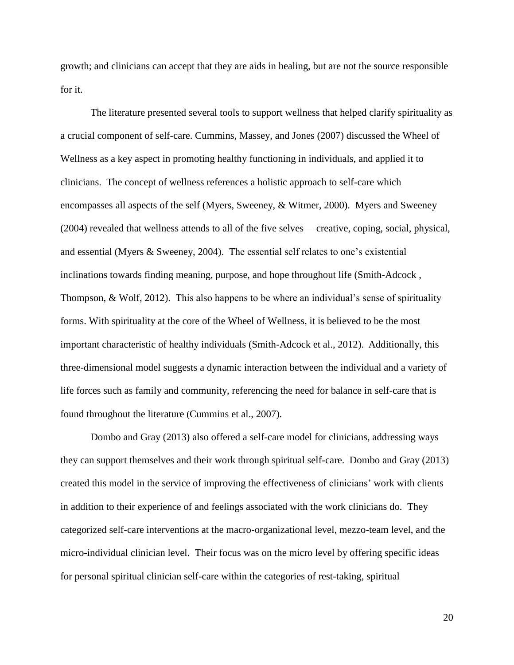growth; and clinicians can accept that they are aids in healing, but are not the source responsible for it.

The literature presented several tools to support wellness that helped clarify spirituality as a crucial component of self-care. Cummins, Massey, and Jones (2007) discussed the Wheel of Wellness as a key aspect in promoting healthy functioning in individuals, and applied it to clinicians. The concept of wellness references a holistic approach to self-care which encompasses all aspects of the self (Myers, Sweeney, & Witmer, 2000). Myers and Sweeney (2004) revealed that wellness attends to all of the five selves— creative, coping, social, physical, and essential (Myers & Sweeney, 2004). The essential self relates to one's existential inclinations towards finding meaning, purpose, and hope throughout life (Smith-Adcock , Thompson, & Wolf, 2012). This also happens to be where an individual's sense of spirituality forms. With spirituality at the core of the Wheel of Wellness, it is believed to be the most important characteristic of healthy individuals (Smith-Adcock et al., 2012). Additionally, this three-dimensional model suggests a dynamic interaction between the individual and a variety of life forces such as family and community, referencing the need for balance in self-care that is found throughout the literature (Cummins et al., 2007).

Dombo and Gray (2013) also offered a self-care model for clinicians, addressing ways they can support themselves and their work through spiritual self-care. Dombo and Gray (2013) created this model in the service of improving the effectiveness of clinicians' work with clients in addition to their experience of and feelings associated with the work clinicians do. They categorized self-care interventions at the macro-organizational level, mezzo-team level, and the micro-individual clinician level. Their focus was on the micro level by offering specific ideas for personal spiritual clinician self-care within the categories of rest-taking, spiritual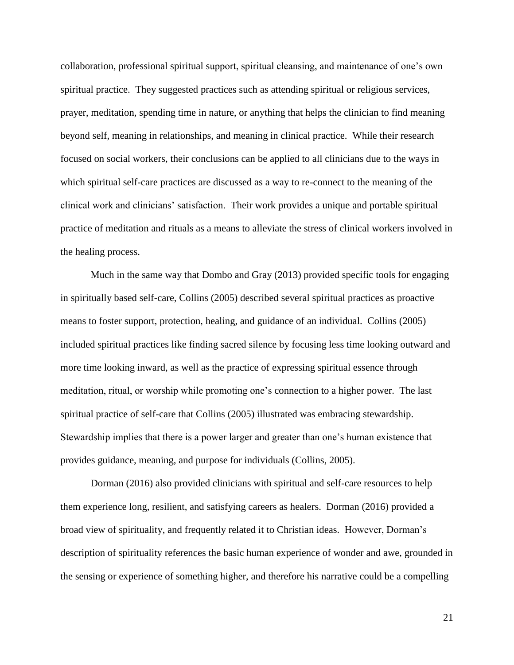collaboration, professional spiritual support, spiritual cleansing, and maintenance of one's own spiritual practice. They suggested practices such as attending spiritual or religious services, prayer, meditation, spending time in nature, or anything that helps the clinician to find meaning beyond self, meaning in relationships, and meaning in clinical practice. While their research focused on social workers, their conclusions can be applied to all clinicians due to the ways in which spiritual self-care practices are discussed as a way to re-connect to the meaning of the clinical work and clinicians' satisfaction. Their work provides a unique and portable spiritual practice of meditation and rituals as a means to alleviate the stress of clinical workers involved in the healing process.

Much in the same way that Dombo and Gray (2013) provided specific tools for engaging in spiritually based self-care, Collins (2005) described several spiritual practices as proactive means to foster support, protection, healing, and guidance of an individual. Collins (2005) included spiritual practices like finding sacred silence by focusing less time looking outward and more time looking inward, as well as the practice of expressing spiritual essence through meditation, ritual, or worship while promoting one's connection to a higher power. The last spiritual practice of self-care that Collins (2005) illustrated was embracing stewardship. Stewardship implies that there is a power larger and greater than one's human existence that provides guidance, meaning, and purpose for individuals (Collins, 2005).

Dorman (2016) also provided clinicians with spiritual and self-care resources to help them experience long, resilient, and satisfying careers as healers. Dorman (2016) provided a broad view of spirituality, and frequently related it to Christian ideas. However, Dorman's description of spirituality references the basic human experience of wonder and awe, grounded in the sensing or experience of something higher, and therefore his narrative could be a compelling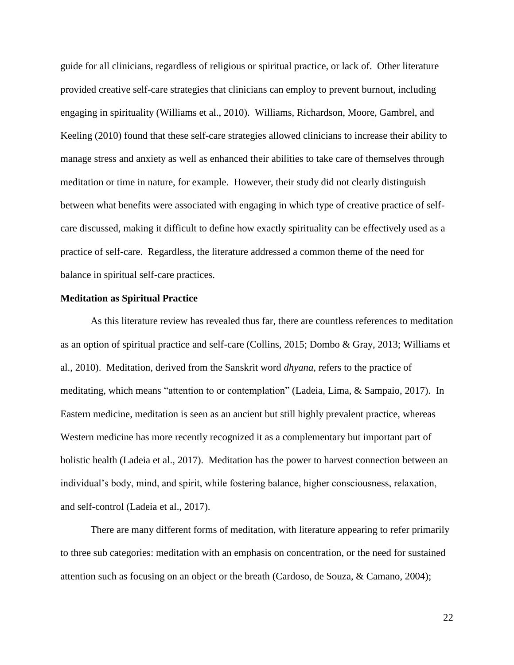guide for all clinicians, regardless of religious or spiritual practice, or lack of. Other literature provided creative self-care strategies that clinicians can employ to prevent burnout, including engaging in spirituality (Williams et al., 2010). Williams, Richardson, Moore, Gambrel, and Keeling (2010) found that these self-care strategies allowed clinicians to increase their ability to manage stress and anxiety as well as enhanced their abilities to take care of themselves through meditation or time in nature, for example. However, their study did not clearly distinguish between what benefits were associated with engaging in which type of creative practice of selfcare discussed, making it difficult to define how exactly spirituality can be effectively used as a practice of self-care. Regardless, the literature addressed a common theme of the need for balance in spiritual self-care practices.

#### **Meditation as Spiritual Practice**

As this literature review has revealed thus far, there are countless references to meditation as an option of spiritual practice and self-care (Collins, 2015; Dombo & Gray, 2013; Williams et al., 2010). Meditation, derived from the Sanskrit word *dhyana*, refers to the practice of meditating, which means "attention to or contemplation" (Ladeia, Lima, & Sampaio, 2017). In Eastern medicine, meditation is seen as an ancient but still highly prevalent practice, whereas Western medicine has more recently recognized it as a complementary but important part of holistic health (Ladeia et al., 2017). Meditation has the power to harvest connection between an individual's body, mind, and spirit, while fostering balance, higher consciousness, relaxation, and self-control (Ladeia et al., 2017).

There are many different forms of meditation, with literature appearing to refer primarily to three sub categories: meditation with an emphasis on concentration, or the need for sustained attention such as focusing on an object or the breath (Cardoso, de Souza, & Camano, 2004);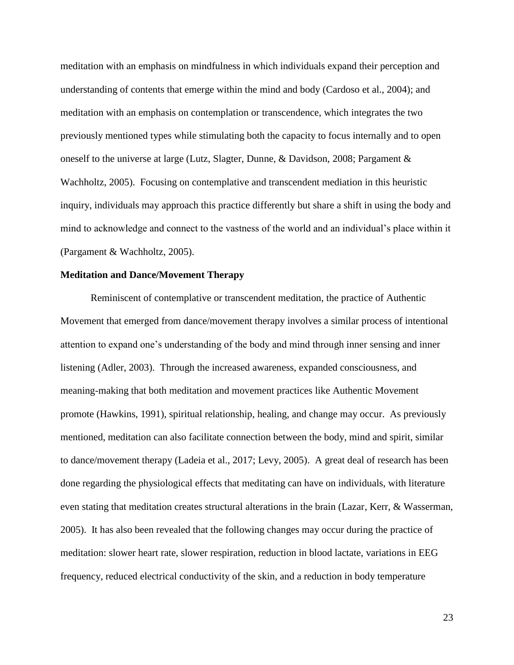meditation with an emphasis on mindfulness in which individuals expand their perception and understanding of contents that emerge within the mind and body (Cardoso et al., 2004); and meditation with an emphasis on contemplation or transcendence, which integrates the two previously mentioned types while stimulating both the capacity to focus internally and to open oneself to the universe at large (Lutz, Slagter, Dunne, & Davidson, 2008; Pargament & Wachholtz, 2005). Focusing on contemplative and transcendent mediation in this heuristic inquiry, individuals may approach this practice differently but share a shift in using the body and mind to acknowledge and connect to the vastness of the world and an individual's place within it (Pargament & Wachholtz, 2005).

#### **Meditation and Dance/Movement Therapy**

Reminiscent of contemplative or transcendent meditation, the practice of Authentic Movement that emerged from dance/movement therapy involves a similar process of intentional attention to expand one's understanding of the body and mind through inner sensing and inner listening (Adler, 2003). Through the increased awareness, expanded consciousness, and meaning-making that both meditation and movement practices like Authentic Movement promote (Hawkins, 1991), spiritual relationship, healing, and change may occur. As previously mentioned, meditation can also facilitate connection between the body, mind and spirit, similar to dance/movement therapy (Ladeia et al., 2017; Levy, 2005). A great deal of research has been done regarding the physiological effects that meditating can have on individuals, with literature even stating that meditation creates structural alterations in the brain (Lazar, Kerr, & Wasserman, 2005). It has also been revealed that the following changes may occur during the practice of meditation: slower heart rate, slower respiration, reduction in blood lactate, variations in EEG frequency, reduced electrical conductivity of the skin, and a reduction in body temperature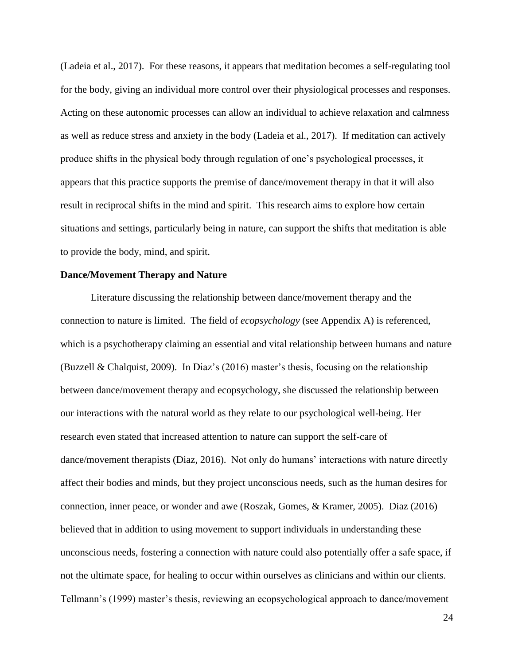(Ladeia et al., 2017). For these reasons, it appears that meditation becomes a self-regulating tool for the body, giving an individual more control over their physiological processes and responses. Acting on these autonomic processes can allow an individual to achieve relaxation and calmness as well as reduce stress and anxiety in the body (Ladeia et al., 2017). If meditation can actively produce shifts in the physical body through regulation of one's psychological processes, it appears that this practice supports the premise of dance/movement therapy in that it will also result in reciprocal shifts in the mind and spirit. This research aims to explore how certain situations and settings, particularly being in nature, can support the shifts that meditation is able to provide the body, mind, and spirit.

#### **Dance/Movement Therapy and Nature**

Literature discussing the relationship between dance/movement therapy and the connection to nature is limited. The field of *ecopsychology* (see Appendix A) is referenced, which is a psychotherapy claiming an essential and vital relationship between humans and nature (Buzzell & Chalquist, 2009). In Diaz's (2016) master's thesis, focusing on the relationship between dance/movement therapy and ecopsychology, she discussed the relationship between our interactions with the natural world as they relate to our psychological well-being. Her research even stated that increased attention to nature can support the self-care of dance/movement therapists (Diaz, 2016). Not only do humans' interactions with nature directly affect their bodies and minds, but they project unconscious needs, such as the human desires for connection, inner peace, or wonder and awe (Roszak, Gomes, & Kramer, 2005). Diaz (2016) believed that in addition to using movement to support individuals in understanding these unconscious needs, fostering a connection with nature could also potentially offer a safe space, if not the ultimate space, for healing to occur within ourselves as clinicians and within our clients. Tellmann's (1999) master's thesis, reviewing an ecopsychological approach to dance/movement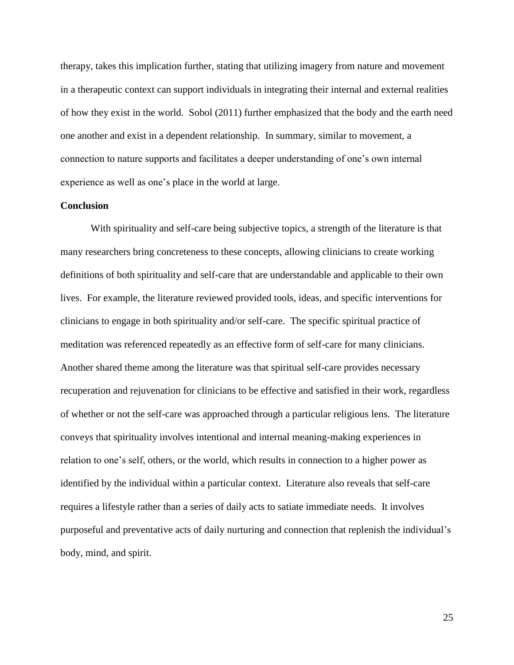therapy, takes this implication further, stating that utilizing imagery from nature and movement in a therapeutic context can support individuals in integrating their internal and external realities of how they exist in the world. Sobol (2011) further emphasized that the body and the earth need one another and exist in a dependent relationship. In summary, similar to movement, a connection to nature supports and facilitates a deeper understanding of one's own internal experience as well as one's place in the world at large.

### **Conclusion**

With spirituality and self-care being subjective topics, a strength of the literature is that many researchers bring concreteness to these concepts, allowing clinicians to create working definitions of both spirituality and self-care that are understandable and applicable to their own lives. For example, the literature reviewed provided tools, ideas, and specific interventions for clinicians to engage in both spirituality and/or self-care. The specific spiritual practice of meditation was referenced repeatedly as an effective form of self-care for many clinicians. Another shared theme among the literature was that spiritual self-care provides necessary recuperation and rejuvenation for clinicians to be effective and satisfied in their work, regardless of whether or not the self-care was approached through a particular religious lens. The literature conveys that spirituality involves intentional and internal meaning-making experiences in relation to one's self, others, or the world, which results in connection to a higher power as identified by the individual within a particular context. Literature also reveals that self-care requires a lifestyle rather than a series of daily acts to satiate immediate needs. It involves purposeful and preventative acts of daily nurturing and connection that replenish the individual's body, mind, and spirit.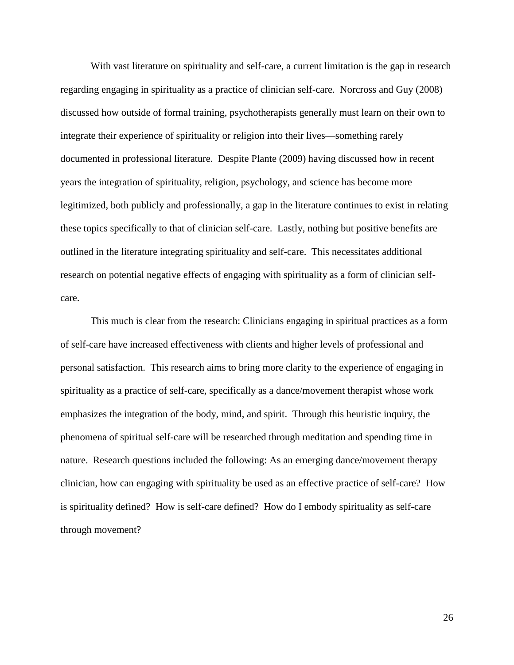With vast literature on spirituality and self-care, a current limitation is the gap in research regarding engaging in spirituality as a practice of clinician self-care. Norcross and Guy (2008) discussed how outside of formal training, psychotherapists generally must learn on their own to integrate their experience of spirituality or religion into their lives—something rarely documented in professional literature. Despite Plante (2009) having discussed how in recent years the integration of spirituality, religion, psychology, and science has become more legitimized, both publicly and professionally, a gap in the literature continues to exist in relating these topics specifically to that of clinician self-care. Lastly, nothing but positive benefits are outlined in the literature integrating spirituality and self-care. This necessitates additional research on potential negative effects of engaging with spirituality as a form of clinician selfcare.

This much is clear from the research: Clinicians engaging in spiritual practices as a form of self-care have increased effectiveness with clients and higher levels of professional and personal satisfaction. This research aims to bring more clarity to the experience of engaging in spirituality as a practice of self-care, specifically as a dance/movement therapist whose work emphasizes the integration of the body, mind, and spirit. Through this heuristic inquiry, the phenomena of spiritual self-care will be researched through meditation and spending time in nature. Research questions included the following: As an emerging dance/movement therapy clinician, how can engaging with spirituality be used as an effective practice of self-care? How is spirituality defined? How is self-care defined? How do I embody spirituality as self-care through movement?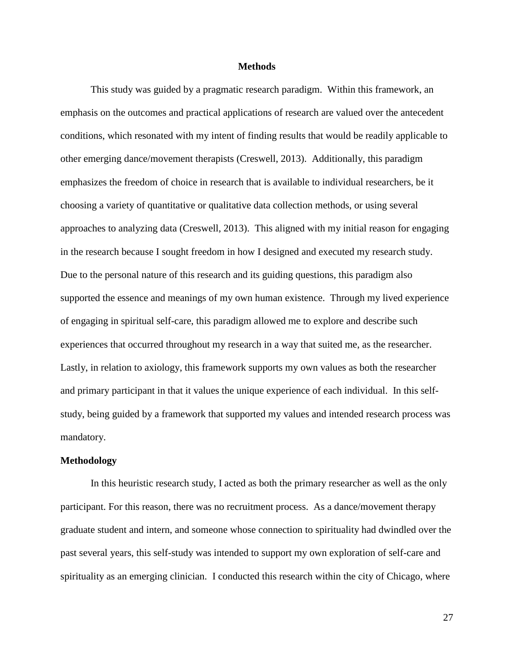#### **Methods**

This study was guided by a pragmatic research paradigm. Within this framework, an emphasis on the outcomes and practical applications of research are valued over the antecedent conditions, which resonated with my intent of finding results that would be readily applicable to other emerging dance/movement therapists (Creswell, 2013). Additionally, this paradigm emphasizes the freedom of choice in research that is available to individual researchers, be it choosing a variety of quantitative or qualitative data collection methods, or using several approaches to analyzing data (Creswell, 2013). This aligned with my initial reason for engaging in the research because I sought freedom in how I designed and executed my research study. Due to the personal nature of this research and its guiding questions, this paradigm also supported the essence and meanings of my own human existence. Through my lived experience of engaging in spiritual self-care, this paradigm allowed me to explore and describe such experiences that occurred throughout my research in a way that suited me, as the researcher. Lastly, in relation to axiology, this framework supports my own values as both the researcher and primary participant in that it values the unique experience of each individual. In this selfstudy, being guided by a framework that supported my values and intended research process was mandatory.

#### **Methodology**

In this heuristic research study, I acted as both the primary researcher as well as the only participant. For this reason, there was no recruitment process. As a dance/movement therapy graduate student and intern, and someone whose connection to spirituality had dwindled over the past several years, this self-study was intended to support my own exploration of self-care and spirituality as an emerging clinician. I conducted this research within the city of Chicago, where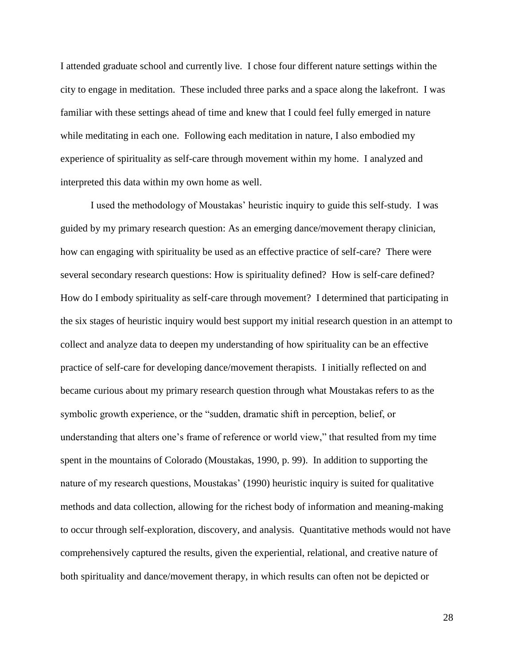I attended graduate school and currently live. I chose four different nature settings within the city to engage in meditation. These included three parks and a space along the lakefront. I was familiar with these settings ahead of time and knew that I could feel fully emerged in nature while meditating in each one. Following each meditation in nature, I also embodied my experience of spirituality as self-care through movement within my home. I analyzed and interpreted this data within my own home as well.

I used the methodology of Moustakas' heuristic inquiry to guide this self-study. I was guided by my primary research question: As an emerging dance/movement therapy clinician, how can engaging with spirituality be used as an effective practice of self-care? There were several secondary research questions: How is spirituality defined? How is self-care defined? How do I embody spirituality as self-care through movement? I determined that participating in the six stages of heuristic inquiry would best support my initial research question in an attempt to collect and analyze data to deepen my understanding of how spirituality can be an effective practice of self-care for developing dance/movement therapists. I initially reflected on and became curious about my primary research question through what Moustakas refers to as the symbolic growth experience, or the "sudden, dramatic shift in perception, belief, or understanding that alters one's frame of reference or world view," that resulted from my time spent in the mountains of Colorado (Moustakas, 1990, p. 99). In addition to supporting the nature of my research questions, Moustakas' (1990) heuristic inquiry is suited for qualitative methods and data collection, allowing for the richest body of information and meaning-making to occur through self-exploration, discovery, and analysis. Quantitative methods would not have comprehensively captured the results, given the experiential, relational, and creative nature of both spirituality and dance/movement therapy, in which results can often not be depicted or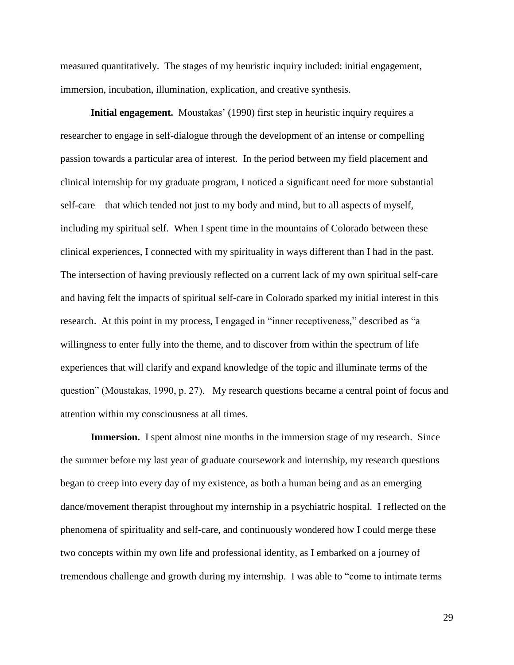measured quantitatively. The stages of my heuristic inquiry included: initial engagement, immersion, incubation, illumination, explication, and creative synthesis.

**Initial engagement.** Moustakas' (1990) first step in heuristic inquiry requires a researcher to engage in self-dialogue through the development of an intense or compelling passion towards a particular area of interest. In the period between my field placement and clinical internship for my graduate program, I noticed a significant need for more substantial self-care—that which tended not just to my body and mind, but to all aspects of myself, including my spiritual self. When I spent time in the mountains of Colorado between these clinical experiences, I connected with my spirituality in ways different than I had in the past. The intersection of having previously reflected on a current lack of my own spiritual self-care and having felt the impacts of spiritual self-care in Colorado sparked my initial interest in this research. At this point in my process, I engaged in "inner receptiveness," described as "a willingness to enter fully into the theme, and to discover from within the spectrum of life experiences that will clarify and expand knowledge of the topic and illuminate terms of the question" (Moustakas, 1990, p. 27). My research questions became a central point of focus and attention within my consciousness at all times.

**Immersion.** I spent almost nine months in the immersion stage of my research. Since the summer before my last year of graduate coursework and internship, my research questions began to creep into every day of my existence, as both a human being and as an emerging dance/movement therapist throughout my internship in a psychiatric hospital. I reflected on the phenomena of spirituality and self-care, and continuously wondered how I could merge these two concepts within my own life and professional identity, as I embarked on a journey of tremendous challenge and growth during my internship. I was able to "come to intimate terms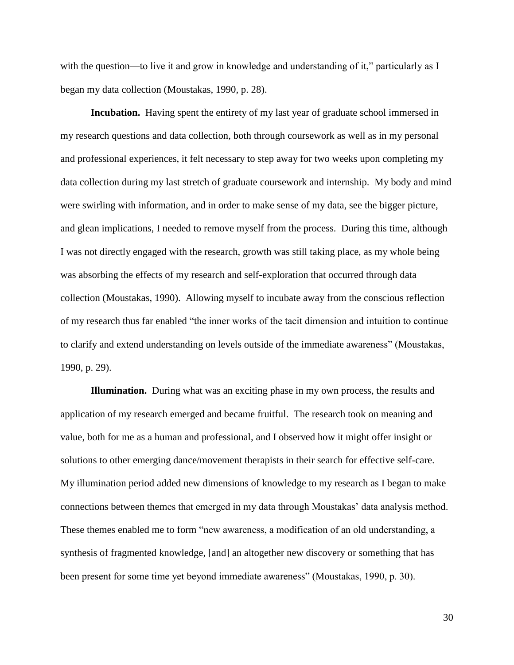with the question—to live it and grow in knowledge and understanding of it," particularly as I began my data collection (Moustakas, 1990, p. 28).

**Incubation.** Having spent the entirety of my last year of graduate school immersed in my research questions and data collection, both through coursework as well as in my personal and professional experiences, it felt necessary to step away for two weeks upon completing my data collection during my last stretch of graduate coursework and internship. My body and mind were swirling with information, and in order to make sense of my data, see the bigger picture, and glean implications, I needed to remove myself from the process. During this time, although I was not directly engaged with the research, growth was still taking place, as my whole being was absorbing the effects of my research and self-exploration that occurred through data collection (Moustakas, 1990). Allowing myself to incubate away from the conscious reflection of my research thus far enabled "the inner works of the tacit dimension and intuition to continue to clarify and extend understanding on levels outside of the immediate awareness" (Moustakas, 1990, p. 29).

**Illumination.** During what was an exciting phase in my own process, the results and application of my research emerged and became fruitful. The research took on meaning and value, both for me as a human and professional, and I observed how it might offer insight or solutions to other emerging dance/movement therapists in their search for effective self-care. My illumination period added new dimensions of knowledge to my research as I began to make connections between themes that emerged in my data through Moustakas' data analysis method. These themes enabled me to form "new awareness, a modification of an old understanding, a synthesis of fragmented knowledge, [and] an altogether new discovery or something that has been present for some time yet beyond immediate awareness" (Moustakas, 1990, p. 30).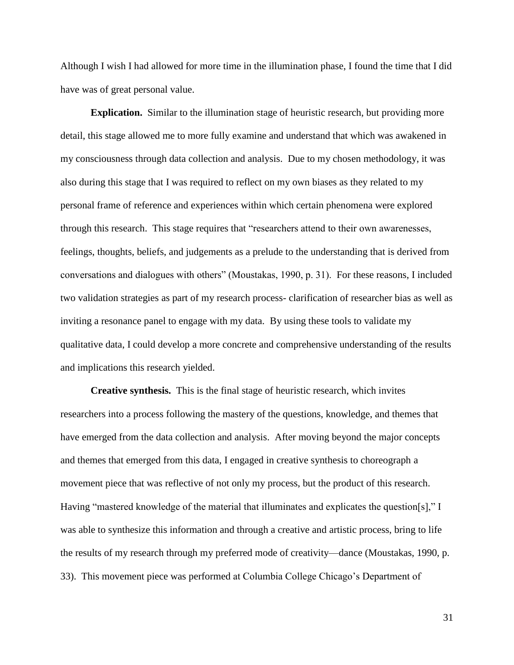Although I wish I had allowed for more time in the illumination phase, I found the time that I did have was of great personal value.

**Explication.** Similar to the illumination stage of heuristic research, but providing more detail, this stage allowed me to more fully examine and understand that which was awakened in my consciousness through data collection and analysis. Due to my chosen methodology, it was also during this stage that I was required to reflect on my own biases as they related to my personal frame of reference and experiences within which certain phenomena were explored through this research. This stage requires that "researchers attend to their own awarenesses, feelings, thoughts, beliefs, and judgements as a prelude to the understanding that is derived from conversations and dialogues with others" (Moustakas, 1990, p. 31). For these reasons, I included two validation strategies as part of my research process- clarification of researcher bias as well as inviting a resonance panel to engage with my data. By using these tools to validate my qualitative data, I could develop a more concrete and comprehensive understanding of the results and implications this research yielded.

**Creative synthesis.** This is the final stage of heuristic research, which invites researchers into a process following the mastery of the questions, knowledge, and themes that have emerged from the data collection and analysis. After moving beyond the major concepts and themes that emerged from this data, I engaged in creative synthesis to choreograph a movement piece that was reflective of not only my process, but the product of this research. Having "mastered knowledge of the material that illuminates and explicates the question[s]," I was able to synthesize this information and through a creative and artistic process, bring to life the results of my research through my preferred mode of creativity—dance (Moustakas, 1990, p. 33). This movement piece was performed at Columbia College Chicago's Department of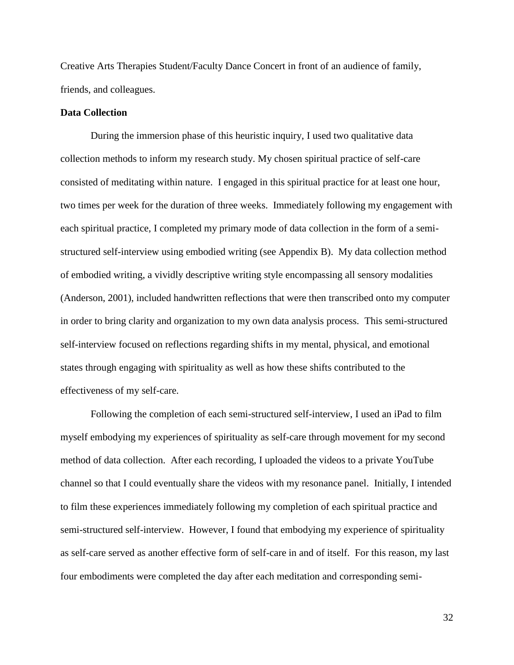Creative Arts Therapies Student/Faculty Dance Concert in front of an audience of family, friends, and colleagues.

## **Data Collection**

During the immersion phase of this heuristic inquiry, I used two qualitative data collection methods to inform my research study. My chosen spiritual practice of self-care consisted of meditating within nature. I engaged in this spiritual practice for at least one hour, two times per week for the duration of three weeks. Immediately following my engagement with each spiritual practice, I completed my primary mode of data collection in the form of a semistructured self-interview using embodied writing (see Appendix B). My data collection method of embodied writing, a vividly descriptive writing style encompassing all sensory modalities (Anderson, 2001), included handwritten reflections that were then transcribed onto my computer in order to bring clarity and organization to my own data analysis process. This semi-structured self-interview focused on reflections regarding shifts in my mental, physical, and emotional states through engaging with spirituality as well as how these shifts contributed to the effectiveness of my self-care.

Following the completion of each semi-structured self-interview, I used an iPad to film myself embodying my experiences of spirituality as self-care through movement for my second method of data collection. After each recording, I uploaded the videos to a private YouTube channel so that I could eventually share the videos with my resonance panel. Initially, I intended to film these experiences immediately following my completion of each spiritual practice and semi-structured self-interview. However, I found that embodying my experience of spirituality as self-care served as another effective form of self-care in and of itself. For this reason, my last four embodiments were completed the day after each meditation and corresponding semi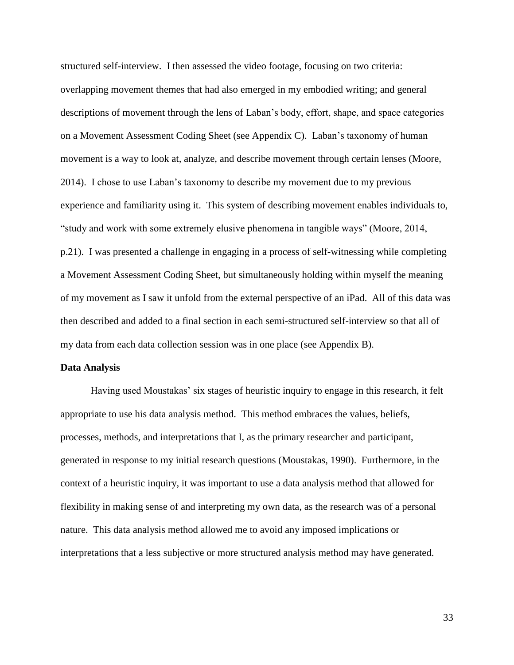structured self-interview. I then assessed the video footage, focusing on two criteria: overlapping movement themes that had also emerged in my embodied writing; and general descriptions of movement through the lens of Laban's body, effort, shape, and space categories on a Movement Assessment Coding Sheet (see Appendix C). Laban's taxonomy of human movement is a way to look at, analyze, and describe movement through certain lenses (Moore, 2014). I chose to use Laban's taxonomy to describe my movement due to my previous experience and familiarity using it. This system of describing movement enables individuals to, "study and work with some extremely elusive phenomena in tangible ways" (Moore, 2014, p.21). I was presented a challenge in engaging in a process of self-witnessing while completing a Movement Assessment Coding Sheet, but simultaneously holding within myself the meaning of my movement as I saw it unfold from the external perspective of an iPad. All of this data was then described and added to a final section in each semi-structured self-interview so that all of my data from each data collection session was in one place (see Appendix B).

#### **Data Analysis**

Having used Moustakas' six stages of heuristic inquiry to engage in this research, it felt appropriate to use his data analysis method. This method embraces the values, beliefs, processes, methods, and interpretations that I, as the primary researcher and participant, generated in response to my initial research questions (Moustakas, 1990). Furthermore, in the context of a heuristic inquiry, it was important to use a data analysis method that allowed for flexibility in making sense of and interpreting my own data, as the research was of a personal nature. This data analysis method allowed me to avoid any imposed implications or interpretations that a less subjective or more structured analysis method may have generated.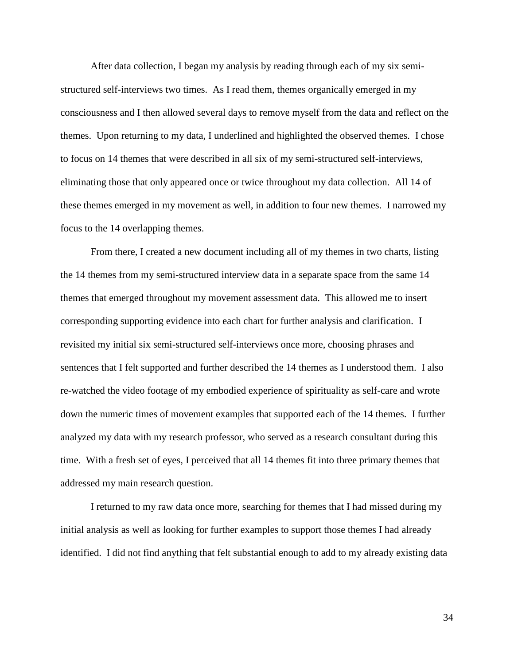After data collection, I began my analysis by reading through each of my six semistructured self-interviews two times. As I read them, themes organically emerged in my consciousness and I then allowed several days to remove myself from the data and reflect on the themes. Upon returning to my data, I underlined and highlighted the observed themes. I chose to focus on 14 themes that were described in all six of my semi-structured self-interviews, eliminating those that only appeared once or twice throughout my data collection. All 14 of these themes emerged in my movement as well, in addition to four new themes. I narrowed my focus to the 14 overlapping themes.

From there, I created a new document including all of my themes in two charts, listing the 14 themes from my semi-structured interview data in a separate space from the same 14 themes that emerged throughout my movement assessment data. This allowed me to insert corresponding supporting evidence into each chart for further analysis and clarification. I revisited my initial six semi-structured self-interviews once more, choosing phrases and sentences that I felt supported and further described the 14 themes as I understood them. I also re-watched the video footage of my embodied experience of spirituality as self-care and wrote down the numeric times of movement examples that supported each of the 14 themes. I further analyzed my data with my research professor, who served as a research consultant during this time. With a fresh set of eyes, I perceived that all 14 themes fit into three primary themes that addressed my main research question.

I returned to my raw data once more, searching for themes that I had missed during my initial analysis as well as looking for further examples to support those themes I had already identified. I did not find anything that felt substantial enough to add to my already existing data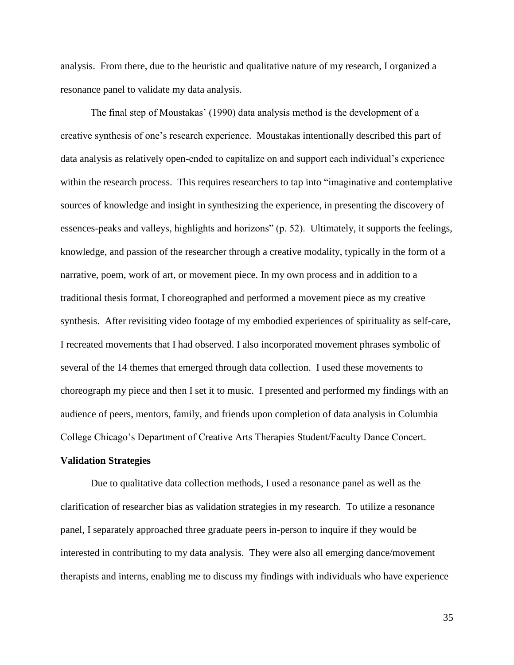analysis. From there, due to the heuristic and qualitative nature of my research, I organized a resonance panel to validate my data analysis.

The final step of Moustakas' (1990) data analysis method is the development of a creative synthesis of one's research experience. Moustakas intentionally described this part of data analysis as relatively open-ended to capitalize on and support each individual's experience within the research process. This requires researchers to tap into "imaginative and contemplative sources of knowledge and insight in synthesizing the experience, in presenting the discovery of essences-peaks and valleys, highlights and horizons" (p. 52). Ultimately, it supports the feelings, knowledge, and passion of the researcher through a creative modality, typically in the form of a narrative, poem, work of art, or movement piece. In my own process and in addition to a traditional thesis format, I choreographed and performed a movement piece as my creative synthesis. After revisiting video footage of my embodied experiences of spirituality as self-care, I recreated movements that I had observed. I also incorporated movement phrases symbolic of several of the 14 themes that emerged through data collection. I used these movements to choreograph my piece and then I set it to music. I presented and performed my findings with an audience of peers, mentors, family, and friends upon completion of data analysis in Columbia College Chicago's Department of Creative Arts Therapies Student/Faculty Dance Concert.

## **Validation Strategies**

Due to qualitative data collection methods, I used a resonance panel as well as the clarification of researcher bias as validation strategies in my research. To utilize a resonance panel, I separately approached three graduate peers in-person to inquire if they would be interested in contributing to my data analysis. They were also all emerging dance/movement therapists and interns, enabling me to discuss my findings with individuals who have experience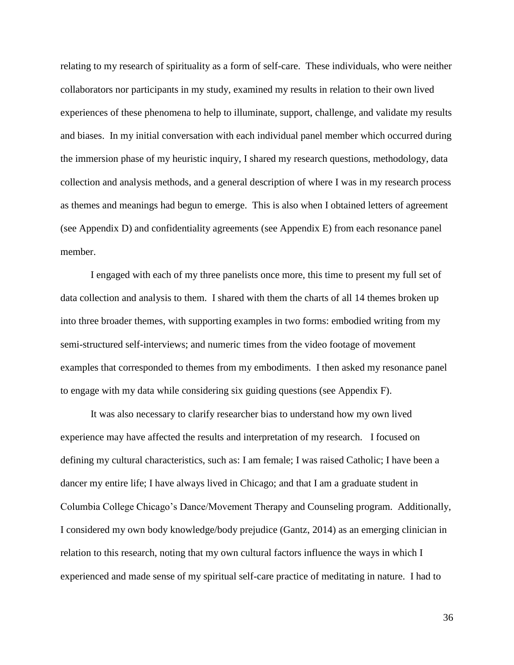relating to my research of spirituality as a form of self-care. These individuals, who were neither collaborators nor participants in my study, examined my results in relation to their own lived experiences of these phenomena to help to illuminate, support, challenge, and validate my results and biases. In my initial conversation with each individual panel member which occurred during the immersion phase of my heuristic inquiry, I shared my research questions, methodology, data collection and analysis methods, and a general description of where I was in my research process as themes and meanings had begun to emerge. This is also when I obtained letters of agreement (see Appendix D) and confidentiality agreements (see Appendix E) from each resonance panel member.

I engaged with each of my three panelists once more, this time to present my full set of data collection and analysis to them. I shared with them the charts of all 14 themes broken up into three broader themes, with supporting examples in two forms: embodied writing from my semi-structured self-interviews; and numeric times from the video footage of movement examples that corresponded to themes from my embodiments. I then asked my resonance panel to engage with my data while considering six guiding questions (see Appendix F).

It was also necessary to clarify researcher bias to understand how my own lived experience may have affected the results and interpretation of my research. I focused on defining my cultural characteristics, such as: I am female; I was raised Catholic; I have been a dancer my entire life; I have always lived in Chicago; and that I am a graduate student in Columbia College Chicago's Dance/Movement Therapy and Counseling program. Additionally, I considered my own body knowledge/body prejudice (Gantz, 2014) as an emerging clinician in relation to this research, noting that my own cultural factors influence the ways in which I experienced and made sense of my spiritual self-care practice of meditating in nature. I had to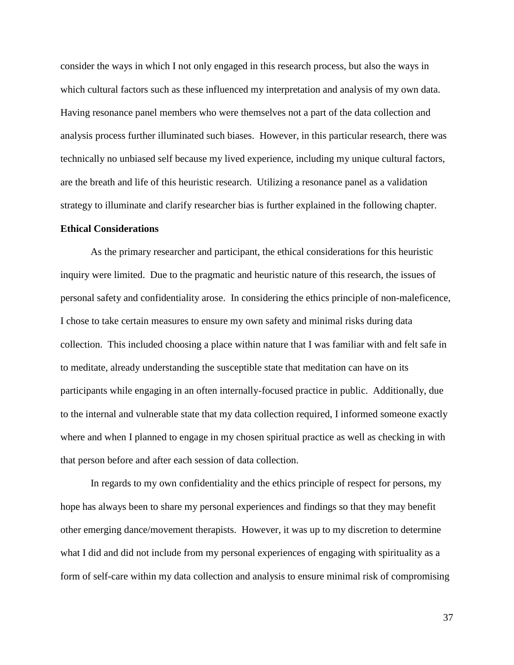consider the ways in which I not only engaged in this research process, but also the ways in which cultural factors such as these influenced my interpretation and analysis of my own data. Having resonance panel members who were themselves not a part of the data collection and analysis process further illuminated such biases. However, in this particular research, there was technically no unbiased self because my lived experience, including my unique cultural factors, are the breath and life of this heuristic research. Utilizing a resonance panel as a validation strategy to illuminate and clarify researcher bias is further explained in the following chapter.

## **Ethical Considerations**

As the primary researcher and participant, the ethical considerations for this heuristic inquiry were limited. Due to the pragmatic and heuristic nature of this research, the issues of personal safety and confidentiality arose. In considering the ethics principle of non-maleficence, I chose to take certain measures to ensure my own safety and minimal risks during data collection. This included choosing a place within nature that I was familiar with and felt safe in to meditate, already understanding the susceptible state that meditation can have on its participants while engaging in an often internally-focused practice in public. Additionally, due to the internal and vulnerable state that my data collection required, I informed someone exactly where and when I planned to engage in my chosen spiritual practice as well as checking in with that person before and after each session of data collection.

In regards to my own confidentiality and the ethics principle of respect for persons, my hope has always been to share my personal experiences and findings so that they may benefit other emerging dance/movement therapists. However, it was up to my discretion to determine what I did and did not include from my personal experiences of engaging with spirituality as a form of self-care within my data collection and analysis to ensure minimal risk of compromising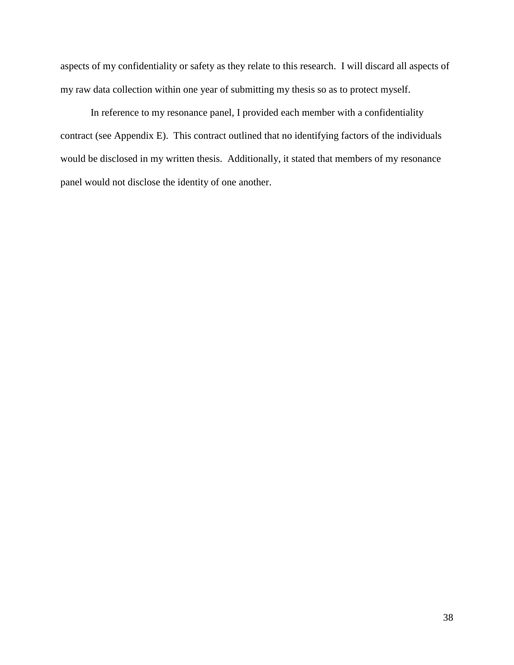aspects of my confidentiality or safety as they relate to this research. I will discard all aspects of my raw data collection within one year of submitting my thesis so as to protect myself.

In reference to my resonance panel, I provided each member with a confidentiality contract (see Appendix E). This contract outlined that no identifying factors of the individuals would be disclosed in my written thesis. Additionally, it stated that members of my resonance panel would not disclose the identity of one another.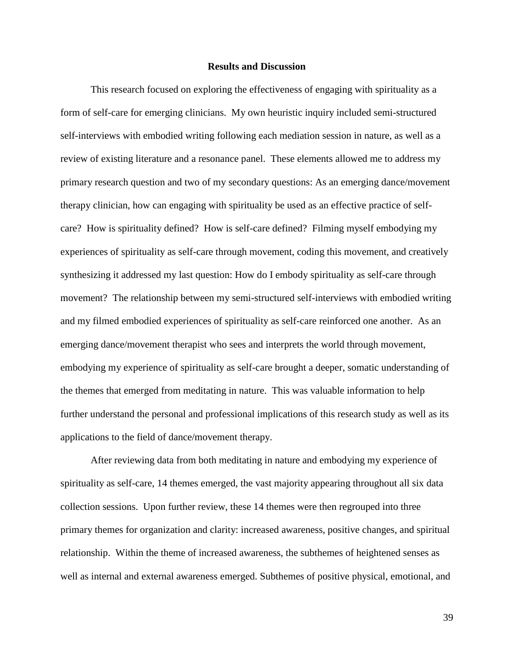## **Results and Discussion**

This research focused on exploring the effectiveness of engaging with spirituality as a form of self-care for emerging clinicians. My own heuristic inquiry included semi-structured self-interviews with embodied writing following each mediation session in nature, as well as a review of existing literature and a resonance panel. These elements allowed me to address my primary research question and two of my secondary questions: As an emerging dance/movement therapy clinician, how can engaging with spirituality be used as an effective practice of selfcare? How is spirituality defined? How is self-care defined? Filming myself embodying my experiences of spirituality as self-care through movement, coding this movement, and creatively synthesizing it addressed my last question: How do I embody spirituality as self-care through movement? The relationship between my semi-structured self-interviews with embodied writing and my filmed embodied experiences of spirituality as self-care reinforced one another. As an emerging dance/movement therapist who sees and interprets the world through movement, embodying my experience of spirituality as self-care brought a deeper, somatic understanding of the themes that emerged from meditating in nature. This was valuable information to help further understand the personal and professional implications of this research study as well as its applications to the field of dance/movement therapy.

After reviewing data from both meditating in nature and embodying my experience of spirituality as self-care, 14 themes emerged, the vast majority appearing throughout all six data collection sessions. Upon further review, these 14 themes were then regrouped into three primary themes for organization and clarity: increased awareness, positive changes, and spiritual relationship. Within the theme of increased awareness, the subthemes of heightened senses as well as internal and external awareness emerged. Subthemes of positive physical, emotional, and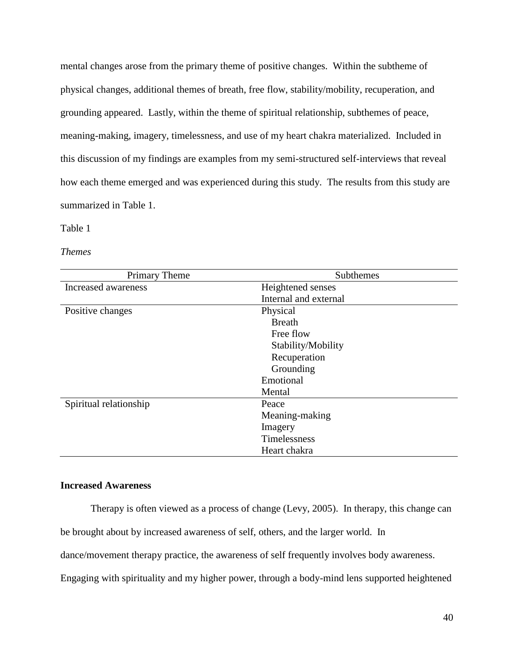mental changes arose from the primary theme of positive changes. Within the subtheme of physical changes, additional themes of breath, free flow, stability/mobility, recuperation, and grounding appeared. Lastly, within the theme of spiritual relationship, subthemes of peace, meaning-making, imagery, timelessness, and use of my heart chakra materialized. Included in this discussion of my findings are examples from my semi-structured self-interviews that reveal how each theme emerged and was experienced during this study. The results from this study are summarized in Table 1.

#### Table 1

*Themes*

| <b>Primary Theme</b>   | Subthemes             |
|------------------------|-----------------------|
| Increased awareness    | Heightened senses     |
|                        | Internal and external |
| Positive changes       | Physical              |
|                        | <b>Breath</b>         |
|                        | Free flow             |
|                        | Stability/Mobility    |
|                        | Recuperation          |
|                        | Grounding             |
|                        | Emotional             |
|                        | Mental                |
| Spiritual relationship | Peace                 |
|                        | Meaning-making        |
|                        | Imagery               |
|                        | Timelessness          |
|                        | Heart chakra          |

# **Increased Awareness**

Therapy is often viewed as a process of change (Levy, 2005). In therapy, this change can be brought about by increased awareness of self, others, and the larger world. In dance/movement therapy practice, the awareness of self frequently involves body awareness. Engaging with spirituality and my higher power, through a body-mind lens supported heightened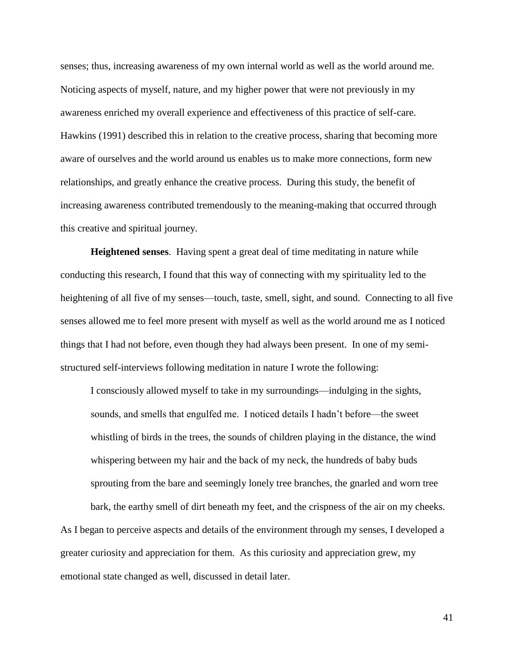senses; thus, increasing awareness of my own internal world as well as the world around me. Noticing aspects of myself, nature, and my higher power that were not previously in my awareness enriched my overall experience and effectiveness of this practice of self-care. Hawkins (1991) described this in relation to the creative process, sharing that becoming more aware of ourselves and the world around us enables us to make more connections, form new relationships, and greatly enhance the creative process. During this study, the benefit of increasing awareness contributed tremendously to the meaning-making that occurred through this creative and spiritual journey.

**Heightened senses**. Having spent a great deal of time meditating in nature while conducting this research, I found that this way of connecting with my spirituality led to the heightening of all five of my senses—touch, taste, smell, sight, and sound. Connecting to all five senses allowed me to feel more present with myself as well as the world around me as I noticed things that I had not before, even though they had always been present. In one of my semistructured self-interviews following meditation in nature I wrote the following:

I consciously allowed myself to take in my surroundings—indulging in the sights, sounds, and smells that engulfed me. I noticed details I hadn't before—the sweet whistling of birds in the trees, the sounds of children playing in the distance, the wind whispering between my hair and the back of my neck, the hundreds of baby buds sprouting from the bare and seemingly lonely tree branches, the gnarled and worn tree

bark, the earthy smell of dirt beneath my feet, and the crispness of the air on my cheeks. As I began to perceive aspects and details of the environment through my senses, I developed a greater curiosity and appreciation for them. As this curiosity and appreciation grew, my emotional state changed as well, discussed in detail later.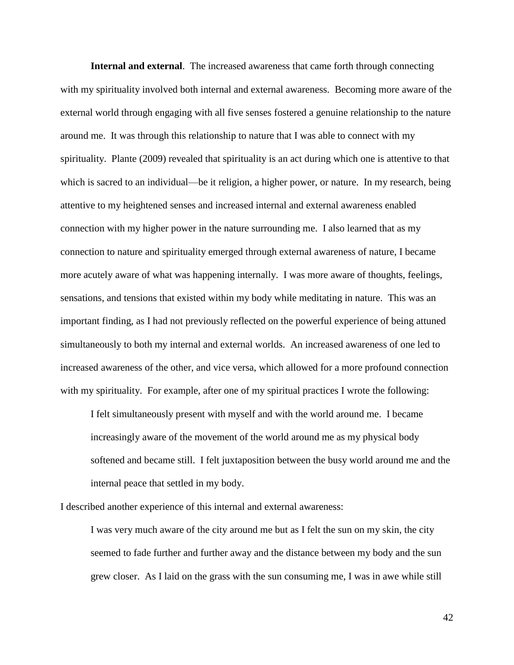**Internal and external**. The increased awareness that came forth through connecting with my spirituality involved both internal and external awareness. Becoming more aware of the external world through engaging with all five senses fostered a genuine relationship to the nature around me. It was through this relationship to nature that I was able to connect with my spirituality. Plante (2009) revealed that spirituality is an act during which one is attentive to that which is sacred to an individual—be it religion, a higher power, or nature. In my research, being attentive to my heightened senses and increased internal and external awareness enabled connection with my higher power in the nature surrounding me. I also learned that as my connection to nature and spirituality emerged through external awareness of nature, I became more acutely aware of what was happening internally. I was more aware of thoughts, feelings, sensations, and tensions that existed within my body while meditating in nature. This was an important finding, as I had not previously reflected on the powerful experience of being attuned simultaneously to both my internal and external worlds. An increased awareness of one led to increased awareness of the other, and vice versa, which allowed for a more profound connection with my spirituality. For example, after one of my spiritual practices I wrote the following:

I felt simultaneously present with myself and with the world around me. I became increasingly aware of the movement of the world around me as my physical body softened and became still. I felt juxtaposition between the busy world around me and the internal peace that settled in my body.

I described another experience of this internal and external awareness:

I was very much aware of the city around me but as I felt the sun on my skin, the city seemed to fade further and further away and the distance between my body and the sun grew closer. As I laid on the grass with the sun consuming me, I was in awe while still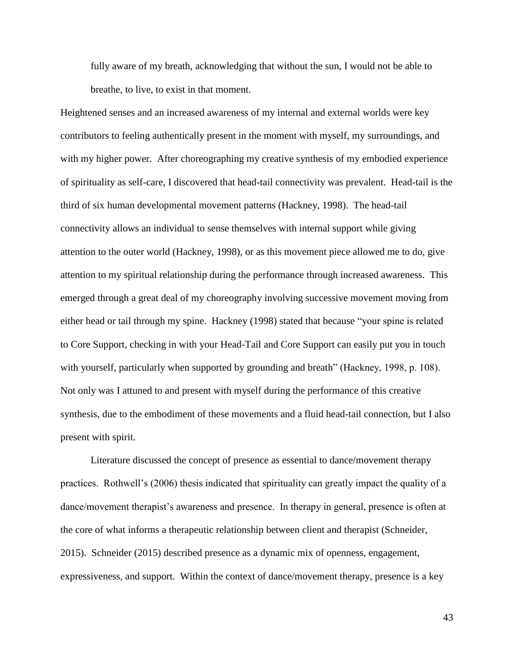fully aware of my breath, acknowledging that without the sun, I would not be able to breathe, to live, to exist in that moment.

Heightened senses and an increased awareness of my internal and external worlds were key contributors to feeling authentically present in the moment with myself, my surroundings, and with my higher power. After choreographing my creative synthesis of my embodied experience of spirituality as self-care, I discovered that head-tail connectivity was prevalent. Head-tail is the third of six human developmental movement patterns (Hackney, 1998). The head-tail connectivity allows an individual to sense themselves with internal support while giving attention to the outer world (Hackney, 1998), or as this movement piece allowed me to do, give attention to my spiritual relationship during the performance through increased awareness. This emerged through a great deal of my choreography involving successive movement moving from either head or tail through my spine. Hackney (1998) stated that because "your spine is related to Core Support, checking in with your Head-Tail and Core Support can easily put you in touch with yourself, particularly when supported by grounding and breath" (Hackney, 1998, p. 108). Not only was I attuned to and present with myself during the performance of this creative synthesis, due to the embodiment of these movements and a fluid head-tail connection, but I also present with spirit.

Literature discussed the concept of presence as essential to dance/movement therapy practices. Rothwell's (2006) thesis indicated that spirituality can greatly impact the quality of a dance/movement therapist's awareness and presence. In therapy in general, presence is often at the core of what informs a therapeutic relationship between client and therapist (Schneider, 2015). Schneider (2015) described presence as a dynamic mix of openness, engagement, expressiveness, and support. Within the context of dance/movement therapy, presence is a key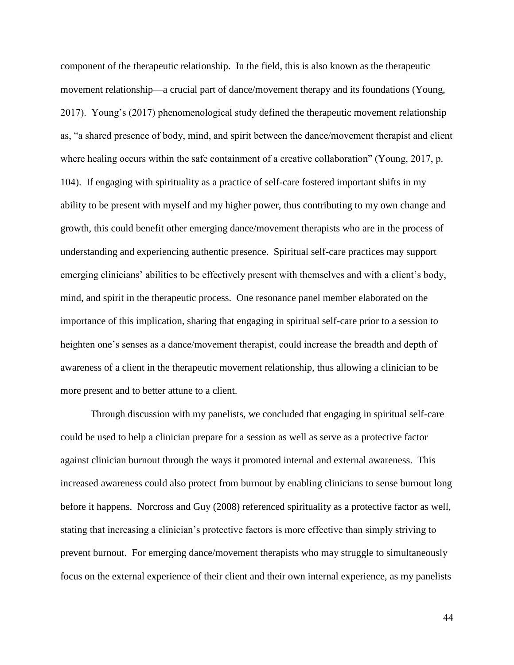component of the therapeutic relationship. In the field, this is also known as the therapeutic movement relationship—a crucial part of dance/movement therapy and its foundations (Young, 2017). Young's (2017) phenomenological study defined the therapeutic movement relationship as, "a shared presence of body, mind, and spirit between the dance/movement therapist and client where healing occurs within the safe containment of a creative collaboration" (Young, 2017, p. 104). If engaging with spirituality as a practice of self-care fostered important shifts in my ability to be present with myself and my higher power, thus contributing to my own change and growth, this could benefit other emerging dance/movement therapists who are in the process of understanding and experiencing authentic presence. Spiritual self-care practices may support emerging clinicians' abilities to be effectively present with themselves and with a client's body, mind, and spirit in the therapeutic process. One resonance panel member elaborated on the importance of this implication, sharing that engaging in spiritual self-care prior to a session to heighten one's senses as a dance/movement therapist, could increase the breadth and depth of awareness of a client in the therapeutic movement relationship, thus allowing a clinician to be more present and to better attune to a client.

Through discussion with my panelists, we concluded that engaging in spiritual self-care could be used to help a clinician prepare for a session as well as serve as a protective factor against clinician burnout through the ways it promoted internal and external awareness. This increased awareness could also protect from burnout by enabling clinicians to sense burnout long before it happens. Norcross and Guy (2008) referenced spirituality as a protective factor as well, stating that increasing a clinician's protective factors is more effective than simply striving to prevent burnout. For emerging dance/movement therapists who may struggle to simultaneously focus on the external experience of their client and their own internal experience, as my panelists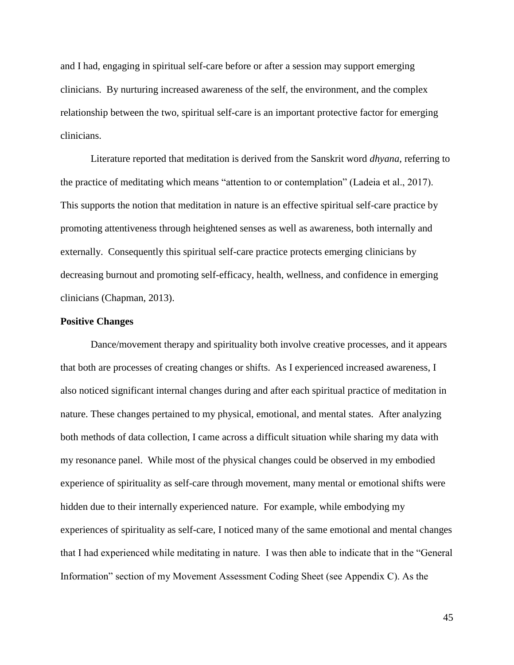and I had, engaging in spiritual self-care before or after a session may support emerging clinicians. By nurturing increased awareness of the self, the environment, and the complex relationship between the two, spiritual self-care is an important protective factor for emerging clinicians.

Literature reported that meditation is derived from the Sanskrit word *dhyana*, referring to the practice of meditating which means "attention to or contemplation" (Ladeia et al., 2017). This supports the notion that meditation in nature is an effective spiritual self-care practice by promoting attentiveness through heightened senses as well as awareness, both internally and externally. Consequently this spiritual self-care practice protects emerging clinicians by decreasing burnout and promoting self-efficacy, health, wellness, and confidence in emerging clinicians (Chapman, 2013).

## **Positive Changes**

Dance/movement therapy and spirituality both involve creative processes, and it appears that both are processes of creating changes or shifts. As I experienced increased awareness, I also noticed significant internal changes during and after each spiritual practice of meditation in nature. These changes pertained to my physical, emotional, and mental states. After analyzing both methods of data collection, I came across a difficult situation while sharing my data with my resonance panel. While most of the physical changes could be observed in my embodied experience of spirituality as self-care through movement, many mental or emotional shifts were hidden due to their internally experienced nature. For example, while embodying my experiences of spirituality as self-care, I noticed many of the same emotional and mental changes that I had experienced while meditating in nature. I was then able to indicate that in the "General Information" section of my Movement Assessment Coding Sheet (see Appendix C). As the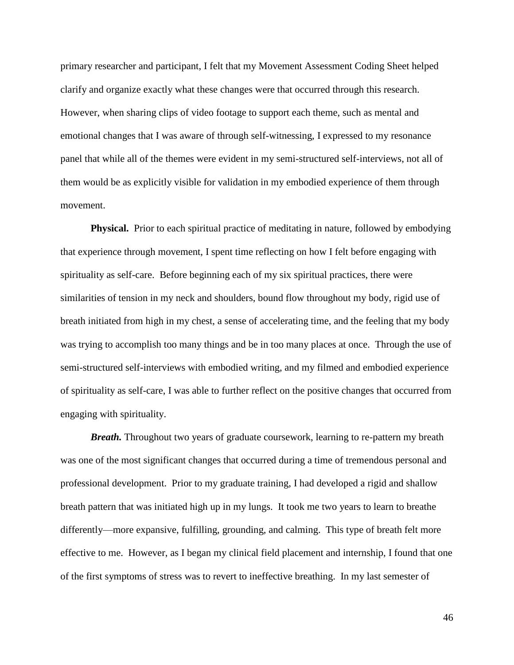primary researcher and participant, I felt that my Movement Assessment Coding Sheet helped clarify and organize exactly what these changes were that occurred through this research. However, when sharing clips of video footage to support each theme, such as mental and emotional changes that I was aware of through self-witnessing, I expressed to my resonance panel that while all of the themes were evident in my semi-structured self-interviews, not all of them would be as explicitly visible for validation in my embodied experience of them through movement.

**Physical.** Prior to each spiritual practice of meditating in nature, followed by embodying that experience through movement, I spent time reflecting on how I felt before engaging with spirituality as self-care. Before beginning each of my six spiritual practices, there were similarities of tension in my neck and shoulders, bound flow throughout my body, rigid use of breath initiated from high in my chest, a sense of accelerating time, and the feeling that my body was trying to accomplish too many things and be in too many places at once. Through the use of semi-structured self-interviews with embodied writing, and my filmed and embodied experience of spirituality as self-care, I was able to further reflect on the positive changes that occurred from engaging with spirituality.

*Breath.* Throughout two years of graduate coursework, learning to re-pattern my breath was one of the most significant changes that occurred during a time of tremendous personal and professional development. Prior to my graduate training, I had developed a rigid and shallow breath pattern that was initiated high up in my lungs. It took me two years to learn to breathe differently—more expansive, fulfilling, grounding, and calming. This type of breath felt more effective to me. However, as I began my clinical field placement and internship, I found that one of the first symptoms of stress was to revert to ineffective breathing. In my last semester of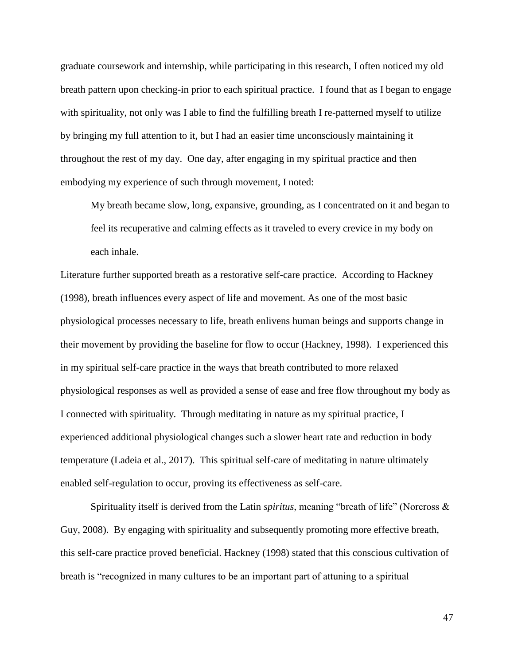graduate coursework and internship, while participating in this research, I often noticed my old breath pattern upon checking-in prior to each spiritual practice. I found that as I began to engage with spirituality, not only was I able to find the fulfilling breath I re-patterned myself to utilize by bringing my full attention to it, but I had an easier time unconsciously maintaining it throughout the rest of my day. One day, after engaging in my spiritual practice and then embodying my experience of such through movement, I noted:

My breath became slow, long, expansive, grounding, as I concentrated on it and began to feel its recuperative and calming effects as it traveled to every crevice in my body on each inhale.

Literature further supported breath as a restorative self-care practice. According to Hackney (1998), breath influences every aspect of life and movement. As one of the most basic physiological processes necessary to life, breath enlivens human beings and supports change in their movement by providing the baseline for flow to occur (Hackney, 1998). I experienced this in my spiritual self-care practice in the ways that breath contributed to more relaxed physiological responses as well as provided a sense of ease and free flow throughout my body as I connected with spirituality. Through meditating in nature as my spiritual practice, I experienced additional physiological changes such a slower heart rate and reduction in body temperature (Ladeia et al., 2017). This spiritual self-care of meditating in nature ultimately enabled self-regulation to occur, proving its effectiveness as self-care.

Spirituality itself is derived from the Latin *spiritus*, meaning "breath of life" (Norcross & Guy, 2008). By engaging with spirituality and subsequently promoting more effective breath, this self-care practice proved beneficial. Hackney (1998) stated that this conscious cultivation of breath is "recognized in many cultures to be an important part of attuning to a spiritual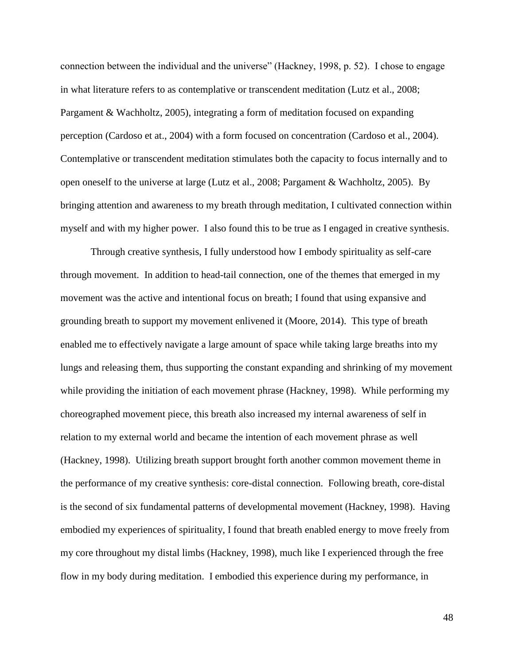connection between the individual and the universe" (Hackney, 1998, p. 52). I chose to engage in what literature refers to as contemplative or transcendent meditation (Lutz et al., 2008; Pargament & Wachholtz, 2005), integrating a form of meditation focused on expanding perception (Cardoso et at., 2004) with a form focused on concentration (Cardoso et al., 2004). Contemplative or transcendent meditation stimulates both the capacity to focus internally and to open oneself to the universe at large (Lutz et al., 2008; Pargament & Wachholtz, 2005). By bringing attention and awareness to my breath through meditation, I cultivated connection within myself and with my higher power. I also found this to be true as I engaged in creative synthesis.

Through creative synthesis, I fully understood how I embody spirituality as self-care through movement. In addition to head-tail connection, one of the themes that emerged in my movement was the active and intentional focus on breath; I found that using expansive and grounding breath to support my movement enlivened it (Moore, 2014). This type of breath enabled me to effectively navigate a large amount of space while taking large breaths into my lungs and releasing them, thus supporting the constant expanding and shrinking of my movement while providing the initiation of each movement phrase (Hackney, 1998). While performing my choreographed movement piece, this breath also increased my internal awareness of self in relation to my external world and became the intention of each movement phrase as well (Hackney, 1998). Utilizing breath support brought forth another common movement theme in the performance of my creative synthesis: core-distal connection. Following breath, core-distal is the second of six fundamental patterns of developmental movement (Hackney, 1998). Having embodied my experiences of spirituality, I found that breath enabled energy to move freely from my core throughout my distal limbs (Hackney, 1998), much like I experienced through the free flow in my body during meditation. I embodied this experience during my performance, in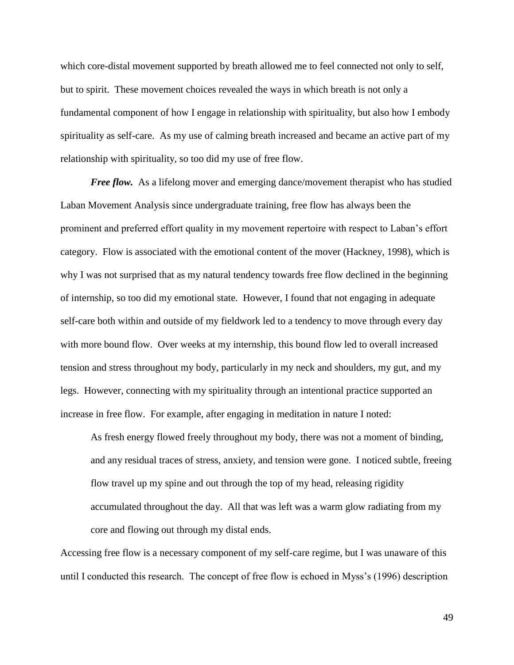which core-distal movement supported by breath allowed me to feel connected not only to self, but to spirit. These movement choices revealed the ways in which breath is not only a fundamental component of how I engage in relationship with spirituality, but also how I embody spirituality as self-care. As my use of calming breath increased and became an active part of my relationship with spirituality, so too did my use of free flow.

*Free flow.* As a lifelong mover and emerging dance/movement therapist who has studied Laban Movement Analysis since undergraduate training, free flow has always been the prominent and preferred effort quality in my movement repertoire with respect to Laban's effort category. Flow is associated with the emotional content of the mover (Hackney, 1998), which is why I was not surprised that as my natural tendency towards free flow declined in the beginning of internship, so too did my emotional state. However, I found that not engaging in adequate self-care both within and outside of my fieldwork led to a tendency to move through every day with more bound flow. Over weeks at my internship, this bound flow led to overall increased tension and stress throughout my body, particularly in my neck and shoulders, my gut, and my legs. However, connecting with my spirituality through an intentional practice supported an increase in free flow. For example, after engaging in meditation in nature I noted:

As fresh energy flowed freely throughout my body, there was not a moment of binding, and any residual traces of stress, anxiety, and tension were gone. I noticed subtle, freeing flow travel up my spine and out through the top of my head, releasing rigidity accumulated throughout the day. All that was left was a warm glow radiating from my core and flowing out through my distal ends.

Accessing free flow is a necessary component of my self-care regime, but I was unaware of this until I conducted this research. The concept of free flow is echoed in Myss's (1996) description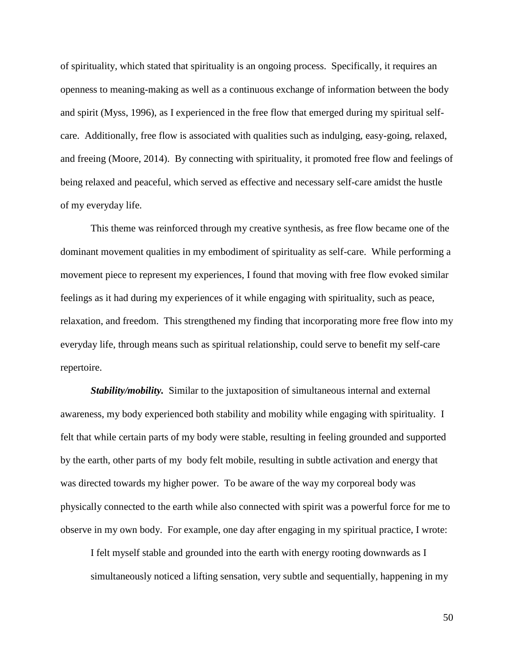of spirituality, which stated that spirituality is an ongoing process. Specifically, it requires an openness to meaning-making as well as a continuous exchange of information between the body and spirit (Myss, 1996), as I experienced in the free flow that emerged during my spiritual selfcare. Additionally, free flow is associated with qualities such as indulging, easy-going, relaxed, and freeing (Moore, 2014). By connecting with spirituality, it promoted free flow and feelings of being relaxed and peaceful, which served as effective and necessary self-care amidst the hustle of my everyday life.

This theme was reinforced through my creative synthesis, as free flow became one of the dominant movement qualities in my embodiment of spirituality as self-care. While performing a movement piece to represent my experiences, I found that moving with free flow evoked similar feelings as it had during my experiences of it while engaging with spirituality, such as peace, relaxation, and freedom. This strengthened my finding that incorporating more free flow into my everyday life, through means such as spiritual relationship, could serve to benefit my self-care repertoire.

*Stability/mobility.* Similar to the juxtaposition of simultaneous internal and external awareness, my body experienced both stability and mobility while engaging with spirituality. I felt that while certain parts of my body were stable, resulting in feeling grounded and supported by the earth, other parts of my body felt mobile, resulting in subtle activation and energy that was directed towards my higher power. To be aware of the way my corporeal body was physically connected to the earth while also connected with spirit was a powerful force for me to observe in my own body. For example, one day after engaging in my spiritual practice, I wrote:

I felt myself stable and grounded into the earth with energy rooting downwards as I simultaneously noticed a lifting sensation, very subtle and sequentially, happening in my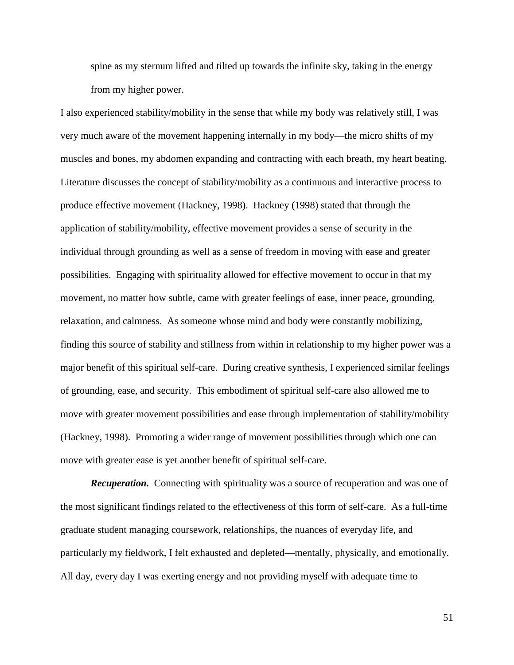spine as my sternum lifted and tilted up towards the infinite sky, taking in the energy from my higher power.

I also experienced stability/mobility in the sense that while my body was relatively still, I was very much aware of the movement happening internally in my body—the micro shifts of my muscles and bones, my abdomen expanding and contracting with each breath, my heart beating. Literature discusses the concept of stability/mobility as a continuous and interactive process to produce effective movement (Hackney, 1998). Hackney (1998) stated that through the application of stability/mobility, effective movement provides a sense of security in the individual through grounding as well as a sense of freedom in moving with ease and greater possibilities. Engaging with spirituality allowed for effective movement to occur in that my movement, no matter how subtle, came with greater feelings of ease, inner peace, grounding, relaxation, and calmness. As someone whose mind and body were constantly mobilizing, finding this source of stability and stillness from within in relationship to my higher power was a major benefit of this spiritual self-care. During creative synthesis, I experienced similar feelings of grounding, ease, and security. This embodiment of spiritual self-care also allowed me to move with greater movement possibilities and ease through implementation of stability/mobility (Hackney, 1998). Promoting a wider range of movement possibilities through which one can move with greater ease is yet another benefit of spiritual self-care.

*Recuperation.* Connecting with spirituality was a source of recuperation and was one of the most significant findings related to the effectiveness of this form of self-care. As a full-time graduate student managing coursework, relationships, the nuances of everyday life, and particularly my fieldwork, I felt exhausted and depleted—mentally, physically, and emotionally. All day, every day I was exerting energy and not providing myself with adequate time to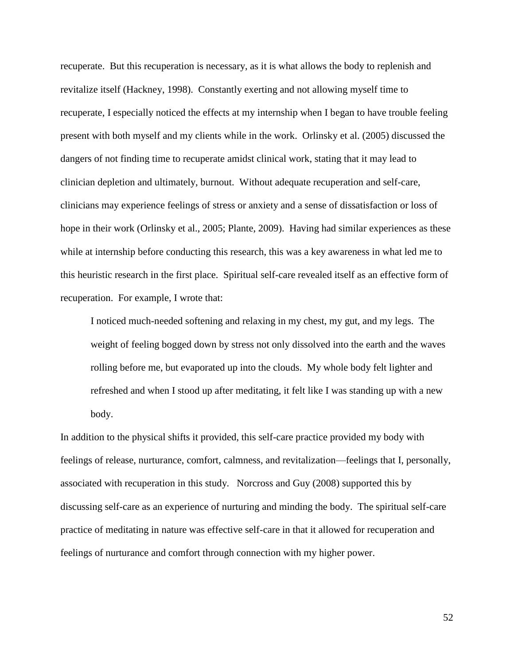recuperate. But this recuperation is necessary, as it is what allows the body to replenish and revitalize itself (Hackney, 1998). Constantly exerting and not allowing myself time to recuperate, I especially noticed the effects at my internship when I began to have trouble feeling present with both myself and my clients while in the work. Orlinsky et al. (2005) discussed the dangers of not finding time to recuperate amidst clinical work, stating that it may lead to clinician depletion and ultimately, burnout. Without adequate recuperation and self-care, clinicians may experience feelings of stress or anxiety and a sense of dissatisfaction or loss of hope in their work (Orlinsky et al., 2005; Plante, 2009). Having had similar experiences as these while at internship before conducting this research, this was a key awareness in what led me to this heuristic research in the first place. Spiritual self-care revealed itself as an effective form of recuperation. For example, I wrote that:

I noticed much-needed softening and relaxing in my chest, my gut, and my legs. The weight of feeling bogged down by stress not only dissolved into the earth and the waves rolling before me, but evaporated up into the clouds. My whole body felt lighter and refreshed and when I stood up after meditating, it felt like I was standing up with a new body.

In addition to the physical shifts it provided, this self-care practice provided my body with feelings of release, nurturance, comfort, calmness, and revitalization—feelings that I, personally, associated with recuperation in this study. Norcross and Guy (2008) supported this by discussing self-care as an experience of nurturing and minding the body. The spiritual self-care practice of meditating in nature was effective self-care in that it allowed for recuperation and feelings of nurturance and comfort through connection with my higher power.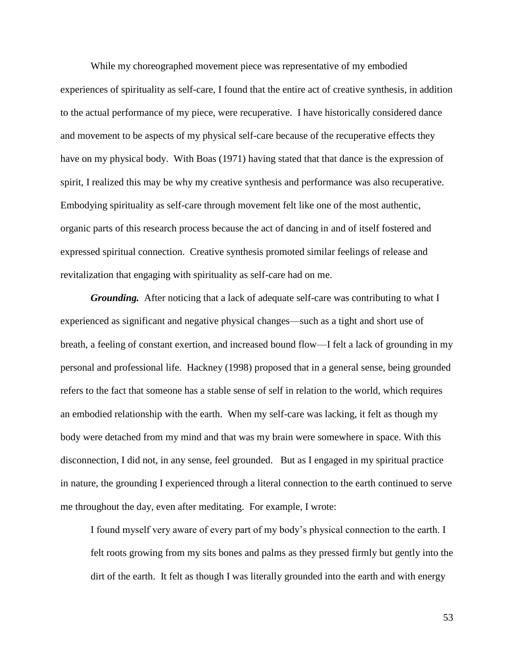While my choreographed movement piece was representative of my embodied experiences of spirituality as self-care, I found that the entire act of creative synthesis, in addition to the actual performance of my piece, were recuperative. I have historically considered dance and movement to be aspects of my physical self-care because of the recuperative effects they have on my physical body. With Boas (1971) having stated that that dance is the expression of spirit, I realized this may be why my creative synthesis and performance was also recuperative. Embodying spirituality as self-care through movement felt like one of the most authentic, organic parts of this research process because the act of dancing in and of itself fostered and expressed spiritual connection. Creative synthesis promoted similar feelings of release and revitalization that engaging with spirituality as self-care had on me.

*Grounding.* After noticing that a lack of adequate self-care was contributing to what I experienced as significant and negative physical changes—such as a tight and short use of breath, a feeling of constant exertion, and increased bound flow—I felt a lack of grounding in my personal and professional life. Hackney (1998) proposed that in a general sense, being grounded refers to the fact that someone has a stable sense of self in relation to the world, which requires an embodied relationship with the earth. When my self-care was lacking, it felt as though my body were detached from my mind and that was my brain were somewhere in space. With this disconnection, I did not, in any sense, feel grounded. But as I engaged in my spiritual practice in nature, the grounding I experienced through a literal connection to the earth continued to serve me throughout the day, even after meditating. For example, I wrote:

I found myself very aware of every part of my body's physical connection to the earth. I felt roots growing from my sits bones and palms as they pressed firmly but gently into the dirt of the earth. It felt as though I was literally grounded into the earth and with energy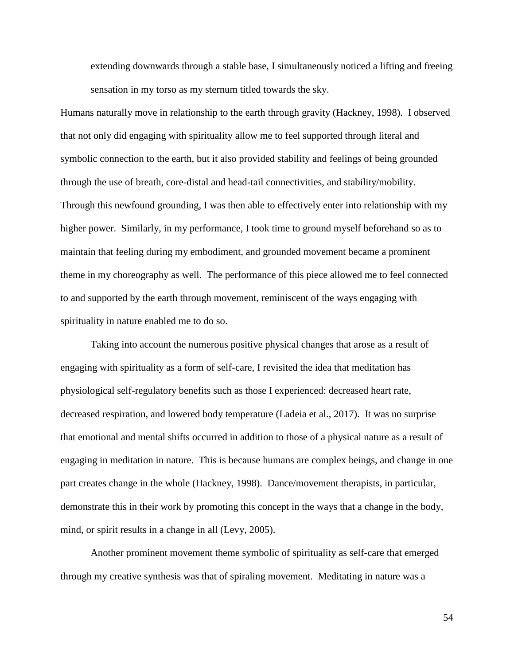extending downwards through a stable base, I simultaneously noticed a lifting and freeing sensation in my torso as my sternum titled towards the sky.

Humans naturally move in relationship to the earth through gravity (Hackney, 1998). I observed that not only did engaging with spirituality allow me to feel supported through literal and symbolic connection to the earth, but it also provided stability and feelings of being grounded through the use of breath, core-distal and head-tail connectivities, and stability/mobility. Through this newfound grounding, I was then able to effectively enter into relationship with my higher power. Similarly, in my performance, I took time to ground myself beforehand so as to maintain that feeling during my embodiment, and grounded movement became a prominent theme in my choreography as well. The performance of this piece allowed me to feel connected to and supported by the earth through movement, reminiscent of the ways engaging with spirituality in nature enabled me to do so.

Taking into account the numerous positive physical changes that arose as a result of engaging with spirituality as a form of self-care, I revisited the idea that meditation has physiological self-regulatory benefits such as those I experienced: decreased heart rate, decreased respiration, and lowered body temperature (Ladeia et al., 2017). It was no surprise that emotional and mental shifts occurred in addition to those of a physical nature as a result of engaging in meditation in nature. This is because humans are complex beings, and change in one part creates change in the whole (Hackney, 1998). Dance/movement therapists, in particular, demonstrate this in their work by promoting this concept in the ways that a change in the body, mind, or spirit results in a change in all (Levy, 2005).

Another prominent movement theme symbolic of spirituality as self-care that emerged through my creative synthesis was that of spiraling movement. Meditating in nature was a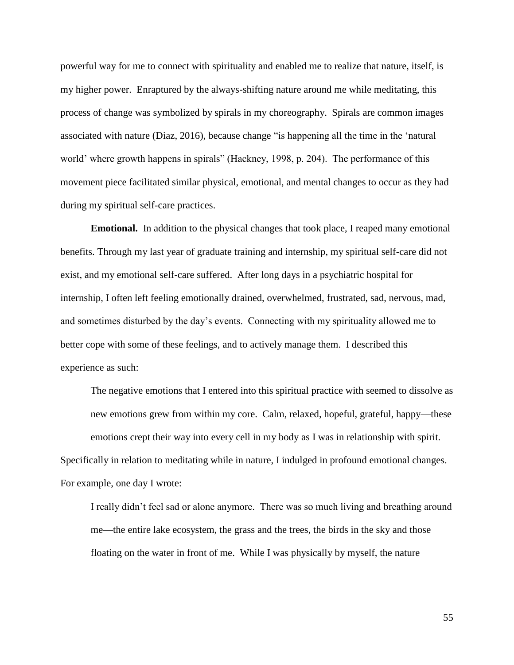powerful way for me to connect with spirituality and enabled me to realize that nature, itself, is my higher power. Enraptured by the always-shifting nature around me while meditating, this process of change was symbolized by spirals in my choreography. Spirals are common images associated with nature (Diaz, 2016), because change "is happening all the time in the 'natural world' where growth happens in spirals" (Hackney, 1998, p. 204). The performance of this movement piece facilitated similar physical, emotional, and mental changes to occur as they had during my spiritual self-care practices.

**Emotional.** In addition to the physical changes that took place, I reaped many emotional benefits. Through my last year of graduate training and internship, my spiritual self-care did not exist, and my emotional self-care suffered. After long days in a psychiatric hospital for internship, I often left feeling emotionally drained, overwhelmed, frustrated, sad, nervous, mad, and sometimes disturbed by the day's events. Connecting with my spirituality allowed me to better cope with some of these feelings, and to actively manage them. I described this experience as such:

The negative emotions that I entered into this spiritual practice with seemed to dissolve as new emotions grew from within my core. Calm, relaxed, hopeful, grateful, happy—these emotions crept their way into every cell in my body as I was in relationship with spirit. Specifically in relation to meditating while in nature, I indulged in profound emotional changes. For example, one day I wrote:

I really didn't feel sad or alone anymore. There was so much living and breathing around me—the entire lake ecosystem, the grass and the trees, the birds in the sky and those floating on the water in front of me. While I was physically by myself, the nature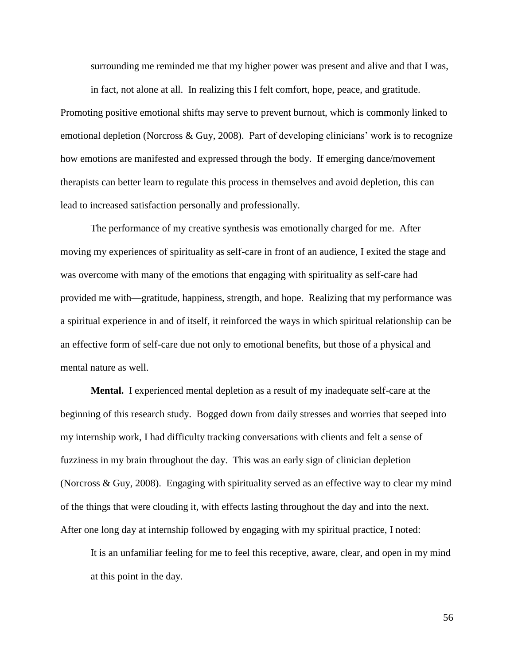surrounding me reminded me that my higher power was present and alive and that I was,

in fact, not alone at all. In realizing this I felt comfort, hope, peace, and gratitude. Promoting positive emotional shifts may serve to prevent burnout, which is commonly linked to emotional depletion (Norcross  $\&$  Guy, 2008). Part of developing clinicians' work is to recognize how emotions are manifested and expressed through the body. If emerging dance/movement therapists can better learn to regulate this process in themselves and avoid depletion, this can lead to increased satisfaction personally and professionally.

The performance of my creative synthesis was emotionally charged for me. After moving my experiences of spirituality as self-care in front of an audience, I exited the stage and was overcome with many of the emotions that engaging with spirituality as self-care had provided me with—gratitude, happiness, strength, and hope. Realizing that my performance was a spiritual experience in and of itself, it reinforced the ways in which spiritual relationship can be an effective form of self-care due not only to emotional benefits, but those of a physical and mental nature as well.

**Mental.** I experienced mental depletion as a result of my inadequate self-care at the beginning of this research study. Bogged down from daily stresses and worries that seeped into my internship work, I had difficulty tracking conversations with clients and felt a sense of fuzziness in my brain throughout the day. This was an early sign of clinician depletion (Norcross & Guy, 2008). Engaging with spirituality served as an effective way to clear my mind of the things that were clouding it, with effects lasting throughout the day and into the next. After one long day at internship followed by engaging with my spiritual practice, I noted:

It is an unfamiliar feeling for me to feel this receptive, aware, clear, and open in my mind at this point in the day.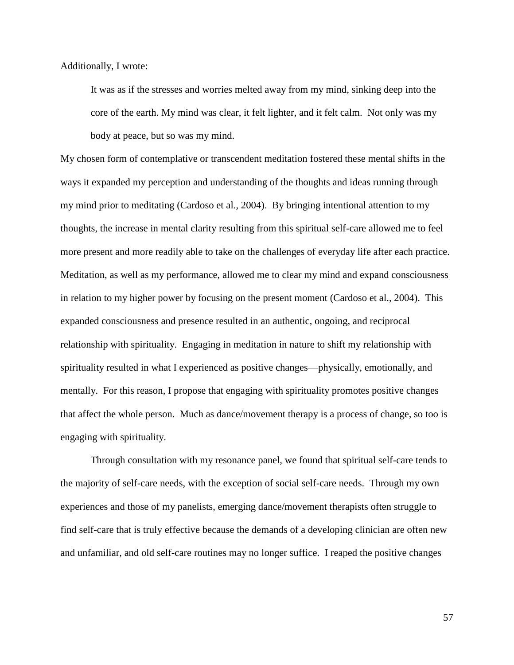Additionally, I wrote:

It was as if the stresses and worries melted away from my mind, sinking deep into the core of the earth. My mind was clear, it felt lighter, and it felt calm. Not only was my body at peace, but so was my mind.

My chosen form of contemplative or transcendent meditation fostered these mental shifts in the ways it expanded my perception and understanding of the thoughts and ideas running through my mind prior to meditating (Cardoso et al., 2004). By bringing intentional attention to my thoughts, the increase in mental clarity resulting from this spiritual self-care allowed me to feel more present and more readily able to take on the challenges of everyday life after each practice. Meditation, as well as my performance, allowed me to clear my mind and expand consciousness in relation to my higher power by focusing on the present moment (Cardoso et al., 2004). This expanded consciousness and presence resulted in an authentic, ongoing, and reciprocal relationship with spirituality. Engaging in meditation in nature to shift my relationship with spirituality resulted in what I experienced as positive changes—physically, emotionally, and mentally. For this reason, I propose that engaging with spirituality promotes positive changes that affect the whole person. Much as dance/movement therapy is a process of change, so too is engaging with spirituality.

Through consultation with my resonance panel, we found that spiritual self-care tends to the majority of self-care needs, with the exception of social self-care needs. Through my own experiences and those of my panelists, emerging dance/movement therapists often struggle to find self-care that is truly effective because the demands of a developing clinician are often new and unfamiliar, and old self-care routines may no longer suffice. I reaped the positive changes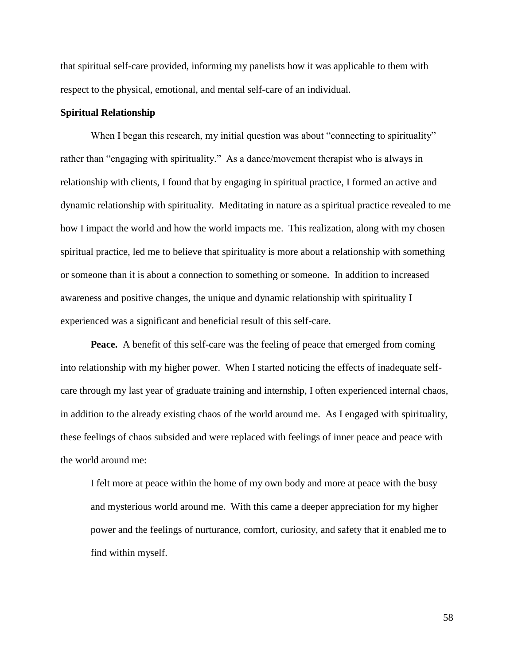that spiritual self-care provided, informing my panelists how it was applicable to them with respect to the physical, emotional, and mental self-care of an individual.

## **Spiritual Relationship**

When I began this research, my initial question was about "connecting to spirituality" rather than "engaging with spirituality." As a dance/movement therapist who is always in relationship with clients, I found that by engaging in spiritual practice, I formed an active and dynamic relationship with spirituality. Meditating in nature as a spiritual practice revealed to me how I impact the world and how the world impacts me. This realization, along with my chosen spiritual practice, led me to believe that spirituality is more about a relationship with something or someone than it is about a connection to something or someone. In addition to increased awareness and positive changes, the unique and dynamic relationship with spirituality I experienced was a significant and beneficial result of this self-care.

**Peace.** A benefit of this self-care was the feeling of peace that emerged from coming into relationship with my higher power. When I started noticing the effects of inadequate selfcare through my last year of graduate training and internship, I often experienced internal chaos, in addition to the already existing chaos of the world around me. As I engaged with spirituality, these feelings of chaos subsided and were replaced with feelings of inner peace and peace with the world around me:

I felt more at peace within the home of my own body and more at peace with the busy and mysterious world around me. With this came a deeper appreciation for my higher power and the feelings of nurturance, comfort, curiosity, and safety that it enabled me to find within myself.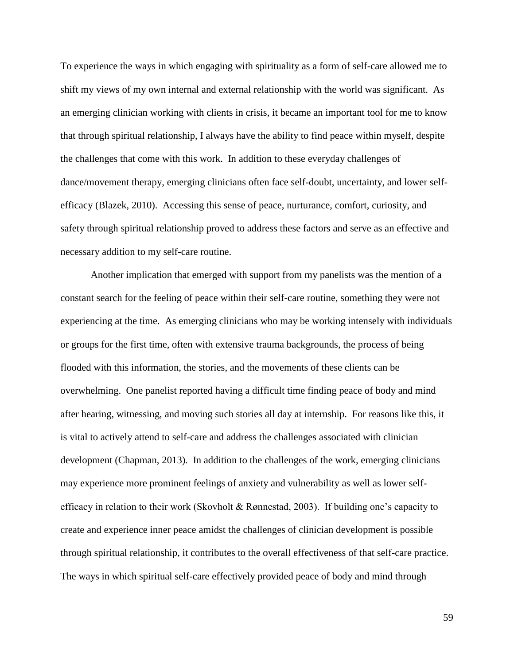To experience the ways in which engaging with spirituality as a form of self-care allowed me to shift my views of my own internal and external relationship with the world was significant. As an emerging clinician working with clients in crisis, it became an important tool for me to know that through spiritual relationship, I always have the ability to find peace within myself, despite the challenges that come with this work. In addition to these everyday challenges of dance/movement therapy, emerging clinicians often face self-doubt, uncertainty, and lower selfefficacy (Blazek, 2010). Accessing this sense of peace, nurturance, comfort, curiosity, and safety through spiritual relationship proved to address these factors and serve as an effective and necessary addition to my self-care routine.

Another implication that emerged with support from my panelists was the mention of a constant search for the feeling of peace within their self-care routine, something they were not experiencing at the time. As emerging clinicians who may be working intensely with individuals or groups for the first time, often with extensive trauma backgrounds, the process of being flooded with this information, the stories, and the movements of these clients can be overwhelming. One panelist reported having a difficult time finding peace of body and mind after hearing, witnessing, and moving such stories all day at internship. For reasons like this, it is vital to actively attend to self-care and address the challenges associated with clinician development (Chapman, 2013). In addition to the challenges of the work, emerging clinicians may experience more prominent feelings of anxiety and vulnerability as well as lower selfefficacy in relation to their work (Skovholt & Rønnestad, 2003). If building one's capacity to create and experience inner peace amidst the challenges of clinician development is possible through spiritual relationship, it contributes to the overall effectiveness of that self-care practice. The ways in which spiritual self-care effectively provided peace of body and mind through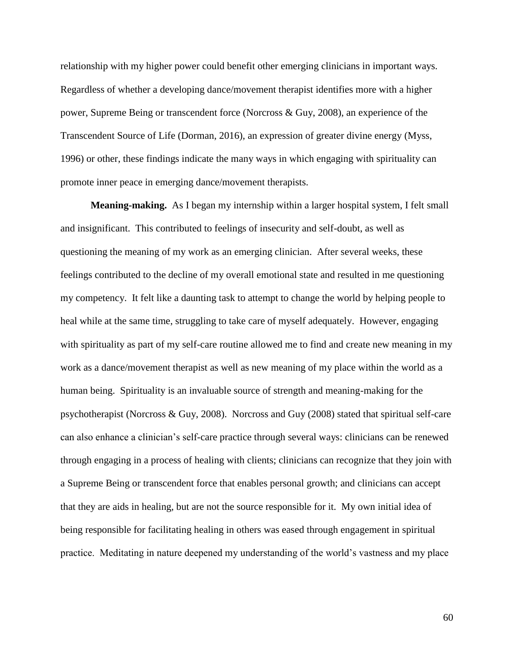relationship with my higher power could benefit other emerging clinicians in important ways. Regardless of whether a developing dance/movement therapist identifies more with a higher power, Supreme Being or transcendent force (Norcross & Guy, 2008), an experience of the Transcendent Source of Life (Dorman, 2016), an expression of greater divine energy (Myss, 1996) or other, these findings indicate the many ways in which engaging with spirituality can promote inner peace in emerging dance/movement therapists.

**Meaning-making.** As I began my internship within a larger hospital system, I felt small and insignificant. This contributed to feelings of insecurity and self-doubt, as well as questioning the meaning of my work as an emerging clinician. After several weeks, these feelings contributed to the decline of my overall emotional state and resulted in me questioning my competency. It felt like a daunting task to attempt to change the world by helping people to heal while at the same time, struggling to take care of myself adequately. However, engaging with spirituality as part of my self-care routine allowed me to find and create new meaning in my work as a dance/movement therapist as well as new meaning of my place within the world as a human being. Spirituality is an invaluable source of strength and meaning-making for the psychotherapist (Norcross & Guy, 2008). Norcross and Guy (2008) stated that spiritual self-care can also enhance a clinician's self-care practice through several ways: clinicians can be renewed through engaging in a process of healing with clients; clinicians can recognize that they join with a Supreme Being or transcendent force that enables personal growth; and clinicians can accept that they are aids in healing, but are not the source responsible for it. My own initial idea of being responsible for facilitating healing in others was eased through engagement in spiritual practice. Meditating in nature deepened my understanding of the world's vastness and my place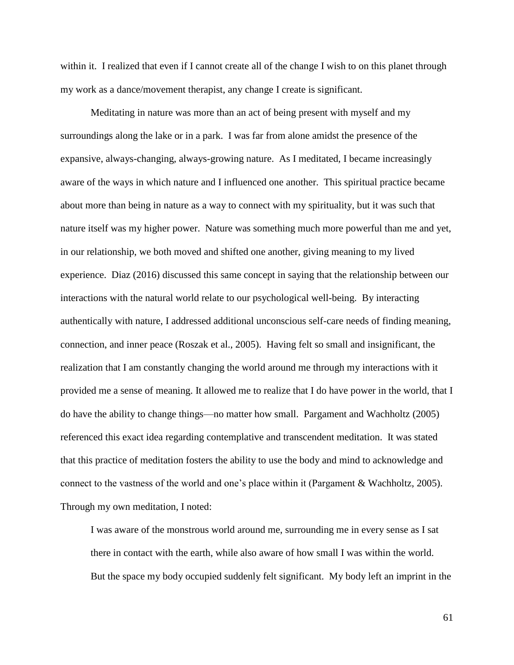within it. I realized that even if I cannot create all of the change I wish to on this planet through my work as a dance/movement therapist, any change I create is significant.

Meditating in nature was more than an act of being present with myself and my surroundings along the lake or in a park. I was far from alone amidst the presence of the expansive, always-changing, always-growing nature. As I meditated, I became increasingly aware of the ways in which nature and I influenced one another. This spiritual practice became about more than being in nature as a way to connect with my spirituality, but it was such that nature itself was my higher power. Nature was something much more powerful than me and yet, in our relationship, we both moved and shifted one another, giving meaning to my lived experience. Diaz (2016) discussed this same concept in saying that the relationship between our interactions with the natural world relate to our psychological well-being. By interacting authentically with nature, I addressed additional unconscious self-care needs of finding meaning, connection, and inner peace (Roszak et al., 2005). Having felt so small and insignificant, the realization that I am constantly changing the world around me through my interactions with it provided me a sense of meaning. It allowed me to realize that I do have power in the world, that I do have the ability to change things—no matter how small. Pargament and Wachholtz (2005) referenced this exact idea regarding contemplative and transcendent meditation. It was stated that this practice of meditation fosters the ability to use the body and mind to acknowledge and connect to the vastness of the world and one's place within it (Pargament & Wachholtz, 2005). Through my own meditation, I noted:

I was aware of the monstrous world around me, surrounding me in every sense as I sat there in contact with the earth, while also aware of how small I was within the world. But the space my body occupied suddenly felt significant. My body left an imprint in the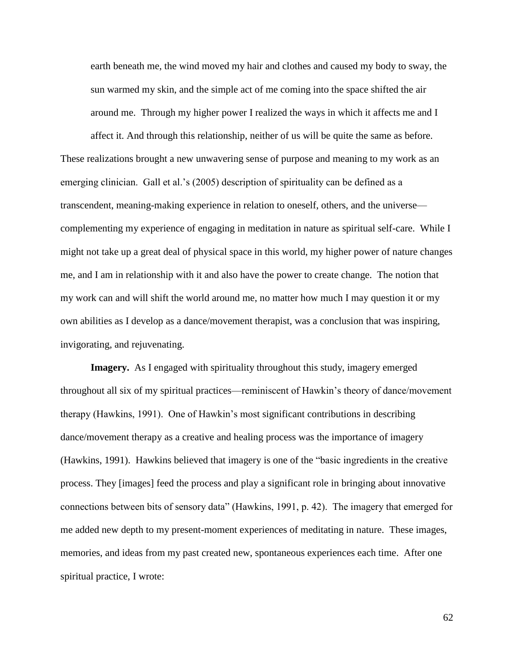earth beneath me, the wind moved my hair and clothes and caused my body to sway, the sun warmed my skin, and the simple act of me coming into the space shifted the air around me. Through my higher power I realized the ways in which it affects me and I

affect it. And through this relationship, neither of us will be quite the same as before. These realizations brought a new unwavering sense of purpose and meaning to my work as an emerging clinician. Gall et al.'s (2005) description of spirituality can be defined as a transcendent, meaning-making experience in relation to oneself, others, and the universe complementing my experience of engaging in meditation in nature as spiritual self-care. While I might not take up a great deal of physical space in this world, my higher power of nature changes me, and I am in relationship with it and also have the power to create change. The notion that my work can and will shift the world around me, no matter how much I may question it or my own abilities as I develop as a dance/movement therapist, was a conclusion that was inspiring, invigorating, and rejuvenating.

**Imagery.** As I engaged with spirituality throughout this study, imagery emerged throughout all six of my spiritual practices—reminiscent of Hawkin's theory of dance/movement therapy (Hawkins, 1991). One of Hawkin's most significant contributions in describing dance/movement therapy as a creative and healing process was the importance of imagery (Hawkins, 1991). Hawkins believed that imagery is one of the "basic ingredients in the creative process. They [images] feed the process and play a significant role in bringing about innovative connections between bits of sensory data" (Hawkins, 1991, p. 42). The imagery that emerged for me added new depth to my present-moment experiences of meditating in nature. These images, memories, and ideas from my past created new, spontaneous experiences each time. After one spiritual practice, I wrote: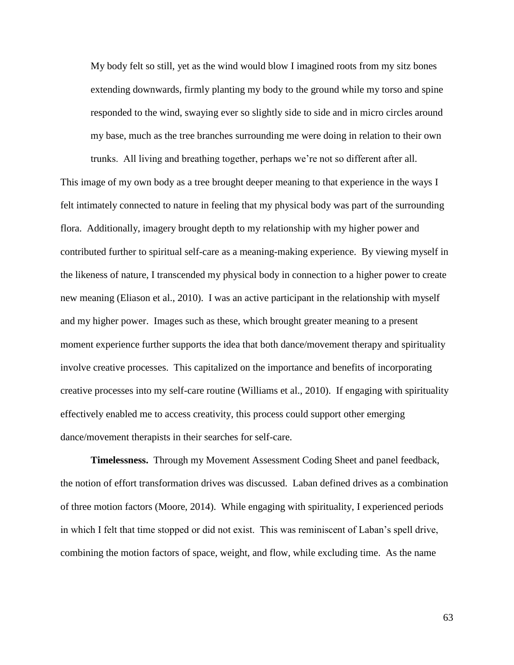My body felt so still, yet as the wind would blow I imagined roots from my sitz bones extending downwards, firmly planting my body to the ground while my torso and spine responded to the wind, swaying ever so slightly side to side and in micro circles around my base, much as the tree branches surrounding me were doing in relation to their own

trunks. All living and breathing together, perhaps we're not so different after all.

This image of my own body as a tree brought deeper meaning to that experience in the ways I felt intimately connected to nature in feeling that my physical body was part of the surrounding flora. Additionally, imagery brought depth to my relationship with my higher power and contributed further to spiritual self-care as a meaning-making experience. By viewing myself in the likeness of nature, I transcended my physical body in connection to a higher power to create new meaning (Eliason et al., 2010). I was an active participant in the relationship with myself and my higher power. Images such as these, which brought greater meaning to a present moment experience further supports the idea that both dance/movement therapy and spirituality involve creative processes. This capitalized on the importance and benefits of incorporating creative processes into my self-care routine (Williams et al., 2010). If engaging with spirituality effectively enabled me to access creativity, this process could support other emerging dance/movement therapists in their searches for self-care.

**Timelessness.** Through my Movement Assessment Coding Sheet and panel feedback, the notion of effort transformation drives was discussed. Laban defined drives as a combination of three motion factors (Moore, 2014). While engaging with spirituality, I experienced periods in which I felt that time stopped or did not exist. This was reminiscent of Laban's spell drive, combining the motion factors of space, weight, and flow, while excluding time. As the name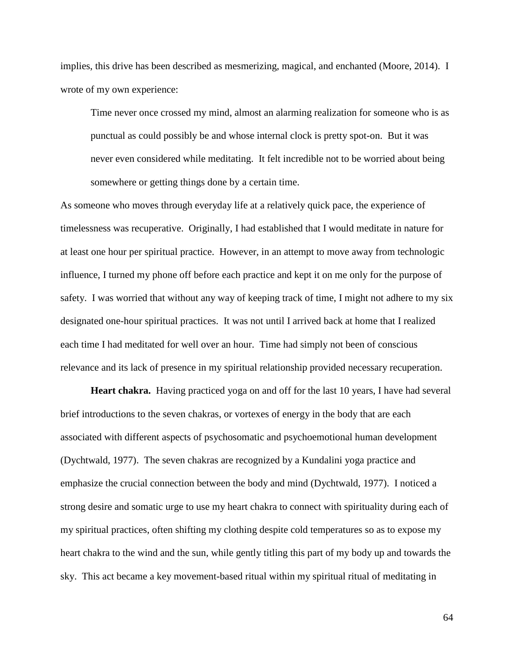implies, this drive has been described as mesmerizing, magical, and enchanted (Moore, 2014). I wrote of my own experience:

Time never once crossed my mind, almost an alarming realization for someone who is as punctual as could possibly be and whose internal clock is pretty spot-on. But it was never even considered while meditating. It felt incredible not to be worried about being somewhere or getting things done by a certain time.

As someone who moves through everyday life at a relatively quick pace, the experience of timelessness was recuperative. Originally, I had established that I would meditate in nature for at least one hour per spiritual practice. However, in an attempt to move away from technologic influence, I turned my phone off before each practice and kept it on me only for the purpose of safety. I was worried that without any way of keeping track of time, I might not adhere to my six designated one-hour spiritual practices. It was not until I arrived back at home that I realized each time I had meditated for well over an hour. Time had simply not been of conscious relevance and its lack of presence in my spiritual relationship provided necessary recuperation.

**Heart chakra.** Having practiced yoga on and off for the last 10 years, I have had several brief introductions to the seven chakras, or vortexes of energy in the body that are each associated with different aspects of psychosomatic and psychoemotional human development (Dychtwald, 1977). The seven chakras are recognized by a Kundalini yoga practice and emphasize the crucial connection between the body and mind (Dychtwald, 1977). I noticed a strong desire and somatic urge to use my heart chakra to connect with spirituality during each of my spiritual practices, often shifting my clothing despite cold temperatures so as to expose my heart chakra to the wind and the sun, while gently titling this part of my body up and towards the sky. This act became a key movement-based ritual within my spiritual ritual of meditating in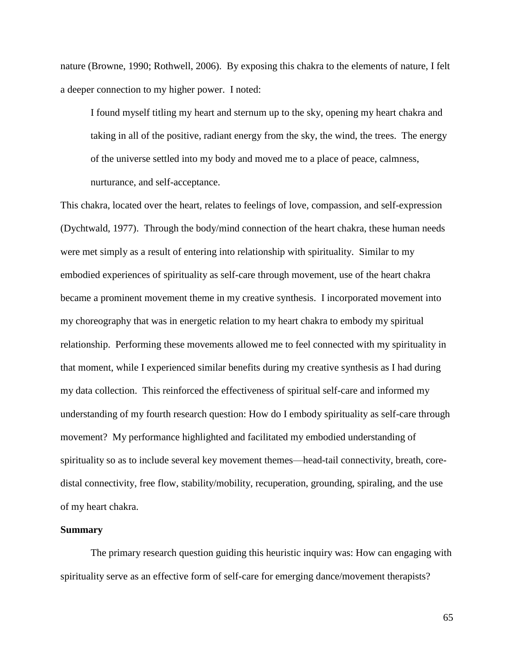nature (Browne, 1990; Rothwell, 2006). By exposing this chakra to the elements of nature, I felt a deeper connection to my higher power. I noted:

I found myself titling my heart and sternum up to the sky, opening my heart chakra and taking in all of the positive, radiant energy from the sky, the wind, the trees. The energy of the universe settled into my body and moved me to a place of peace, calmness, nurturance, and self-acceptance.

This chakra, located over the heart, relates to feelings of love, compassion, and self-expression (Dychtwald, 1977). Through the body/mind connection of the heart chakra, these human needs were met simply as a result of entering into relationship with spirituality. Similar to my embodied experiences of spirituality as self-care through movement, use of the heart chakra became a prominent movement theme in my creative synthesis. I incorporated movement into my choreography that was in energetic relation to my heart chakra to embody my spiritual relationship. Performing these movements allowed me to feel connected with my spirituality in that moment, while I experienced similar benefits during my creative synthesis as I had during my data collection. This reinforced the effectiveness of spiritual self-care and informed my understanding of my fourth research question: How do I embody spirituality as self-care through movement? My performance highlighted and facilitated my embodied understanding of spirituality so as to include several key movement themes—head-tail connectivity, breath, coredistal connectivity, free flow, stability/mobility, recuperation, grounding, spiraling, and the use of my heart chakra.

## **Summary**

The primary research question guiding this heuristic inquiry was: How can engaging with spirituality serve as an effective form of self-care for emerging dance/movement therapists?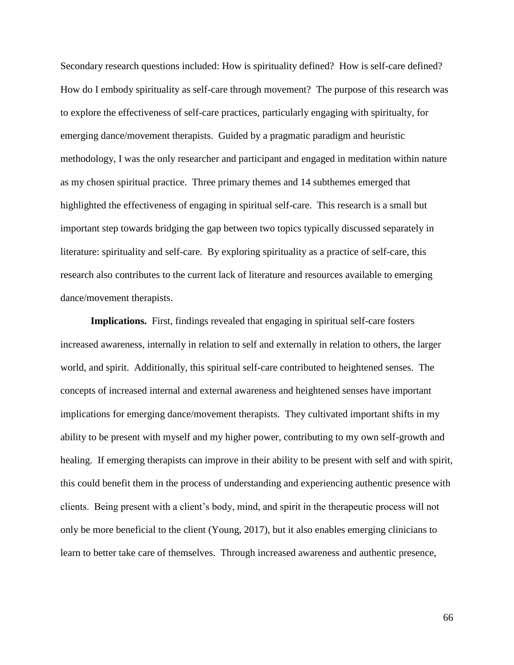Secondary research questions included: How is spirituality defined? How is self-care defined? How do I embody spirituality as self-care through movement? The purpose of this research was to explore the effectiveness of self-care practices, particularly engaging with spiritualty, for emerging dance/movement therapists. Guided by a pragmatic paradigm and heuristic methodology, I was the only researcher and participant and engaged in meditation within nature as my chosen spiritual practice. Three primary themes and 14 subthemes emerged that highlighted the effectiveness of engaging in spiritual self-care. This research is a small but important step towards bridging the gap between two topics typically discussed separately in literature: spirituality and self-care. By exploring spirituality as a practice of self-care, this research also contributes to the current lack of literature and resources available to emerging dance/movement therapists.

**Implications.** First, findings revealed that engaging in spiritual self-care fosters increased awareness, internally in relation to self and externally in relation to others, the larger world, and spirit. Additionally, this spiritual self-care contributed to heightened senses. The concepts of increased internal and external awareness and heightened senses have important implications for emerging dance/movement therapists. They cultivated important shifts in my ability to be present with myself and my higher power, contributing to my own self-growth and healing. If emerging therapists can improve in their ability to be present with self and with spirit, this could benefit them in the process of understanding and experiencing authentic presence with clients. Being present with a client's body, mind, and spirit in the therapeutic process will not only be more beneficial to the client (Young, 2017), but it also enables emerging clinicians to learn to better take care of themselves. Through increased awareness and authentic presence,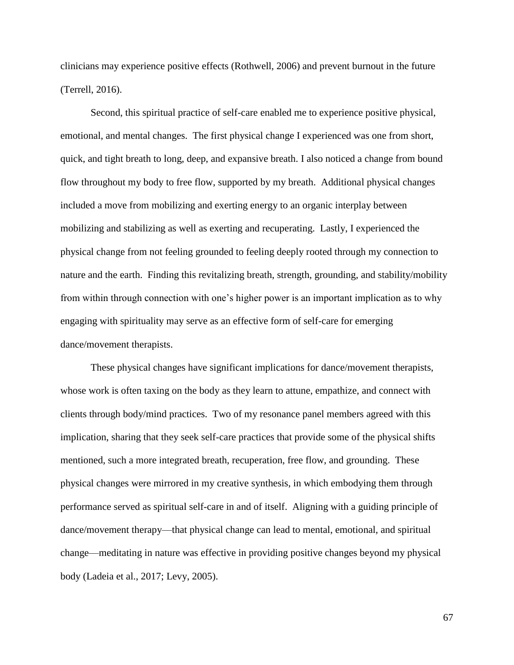clinicians may experience positive effects (Rothwell, 2006) and prevent burnout in the future (Terrell, 2016).

Second, this spiritual practice of self-care enabled me to experience positive physical, emotional, and mental changes. The first physical change I experienced was one from short, quick, and tight breath to long, deep, and expansive breath. I also noticed a change from bound flow throughout my body to free flow, supported by my breath. Additional physical changes included a move from mobilizing and exerting energy to an organic interplay between mobilizing and stabilizing as well as exerting and recuperating. Lastly, I experienced the physical change from not feeling grounded to feeling deeply rooted through my connection to nature and the earth. Finding this revitalizing breath, strength, grounding, and stability/mobility from within through connection with one's higher power is an important implication as to why engaging with spirituality may serve as an effective form of self-care for emerging dance/movement therapists.

These physical changes have significant implications for dance/movement therapists, whose work is often taxing on the body as they learn to attune, empathize, and connect with clients through body/mind practices. Two of my resonance panel members agreed with this implication, sharing that they seek self-care practices that provide some of the physical shifts mentioned, such a more integrated breath, recuperation, free flow, and grounding. These physical changes were mirrored in my creative synthesis, in which embodying them through performance served as spiritual self-care in and of itself. Aligning with a guiding principle of dance/movement therapy—that physical change can lead to mental, emotional, and spiritual change—meditating in nature was effective in providing positive changes beyond my physical body (Ladeia et al., 2017; Levy, 2005).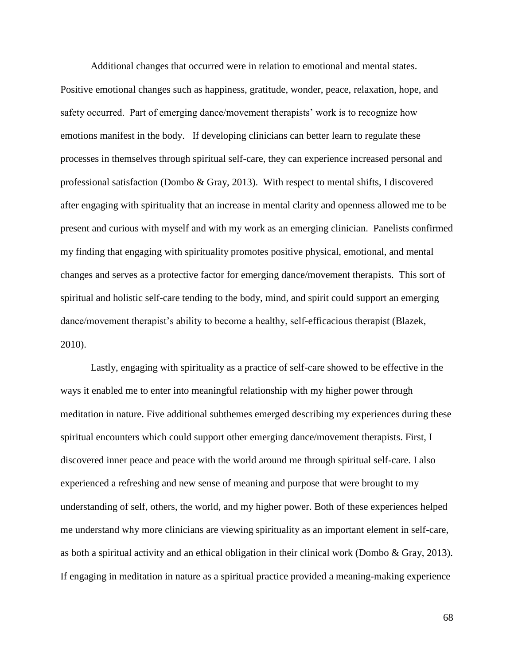Additional changes that occurred were in relation to emotional and mental states. Positive emotional changes such as happiness, gratitude, wonder, peace, relaxation, hope, and safety occurred. Part of emerging dance/movement therapists' work is to recognize how emotions manifest in the body. If developing clinicians can better learn to regulate these processes in themselves through spiritual self-care, they can experience increased personal and professional satisfaction (Dombo & Gray, 2013). With respect to mental shifts, I discovered after engaging with spirituality that an increase in mental clarity and openness allowed me to be present and curious with myself and with my work as an emerging clinician. Panelists confirmed my finding that engaging with spirituality promotes positive physical, emotional, and mental changes and serves as a protective factor for emerging dance/movement therapists. This sort of spiritual and holistic self-care tending to the body, mind, and spirit could support an emerging dance/movement therapist's ability to become a healthy, self-efficacious therapist (Blazek, 2010).

Lastly, engaging with spirituality as a practice of self-care showed to be effective in the ways it enabled me to enter into meaningful relationship with my higher power through meditation in nature. Five additional subthemes emerged describing my experiences during these spiritual encounters which could support other emerging dance/movement therapists. First, I discovered inner peace and peace with the world around me through spiritual self-care. I also experienced a refreshing and new sense of meaning and purpose that were brought to my understanding of self, others, the world, and my higher power. Both of these experiences helped me understand why more clinicians are viewing spirituality as an important element in self-care, as both a spiritual activity and an ethical obligation in their clinical work (Dombo & Gray, 2013). If engaging in meditation in nature as a spiritual practice provided a meaning-making experience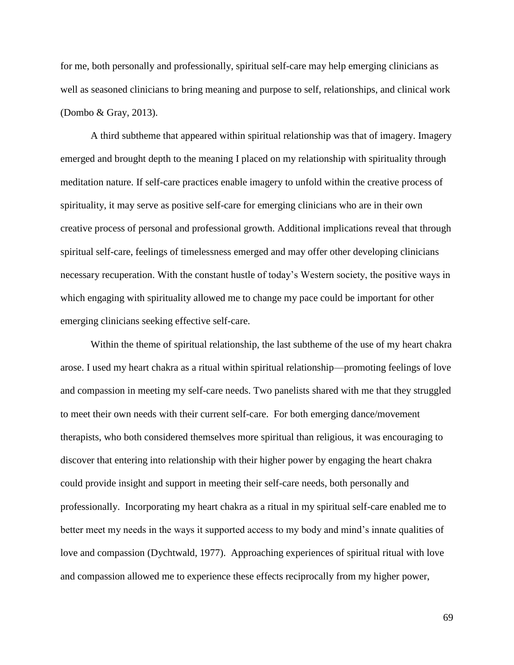for me, both personally and professionally, spiritual self-care may help emerging clinicians as well as seasoned clinicians to bring meaning and purpose to self, relationships, and clinical work (Dombo & Gray, 2013).

A third subtheme that appeared within spiritual relationship was that of imagery. Imagery emerged and brought depth to the meaning I placed on my relationship with spirituality through meditation nature. If self-care practices enable imagery to unfold within the creative process of spirituality, it may serve as positive self-care for emerging clinicians who are in their own creative process of personal and professional growth. Additional implications reveal that through spiritual self-care, feelings of timelessness emerged and may offer other developing clinicians necessary recuperation. With the constant hustle of today's Western society, the positive ways in which engaging with spirituality allowed me to change my pace could be important for other emerging clinicians seeking effective self-care.

Within the theme of spiritual relationship, the last subtheme of the use of my heart chakra arose. I used my heart chakra as a ritual within spiritual relationship—promoting feelings of love and compassion in meeting my self-care needs. Two panelists shared with me that they struggled to meet their own needs with their current self-care. For both emerging dance/movement therapists, who both considered themselves more spiritual than religious, it was encouraging to discover that entering into relationship with their higher power by engaging the heart chakra could provide insight and support in meeting their self-care needs, both personally and professionally. Incorporating my heart chakra as a ritual in my spiritual self-care enabled me to better meet my needs in the ways it supported access to my body and mind's innate qualities of love and compassion (Dychtwald, 1977). Approaching experiences of spiritual ritual with love and compassion allowed me to experience these effects reciprocally from my higher power,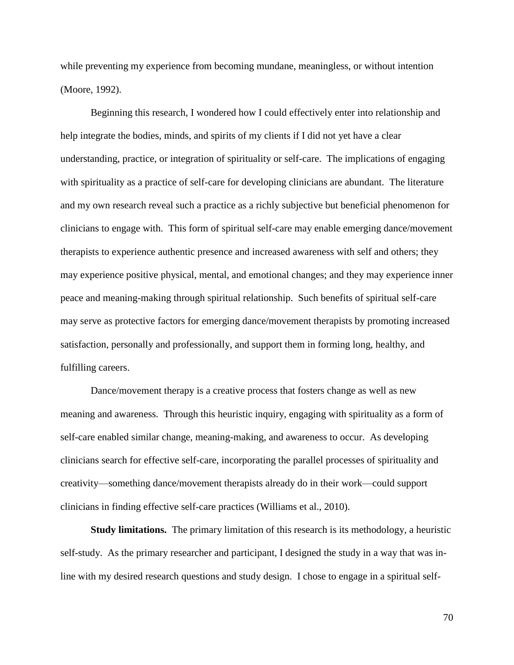while preventing my experience from becoming mundane, meaningless, or without intention (Moore, 1992).

Beginning this research, I wondered how I could effectively enter into relationship and help integrate the bodies, minds, and spirits of my clients if I did not yet have a clear understanding, practice, or integration of spirituality or self-care. The implications of engaging with spirituality as a practice of self-care for developing clinicians are abundant. The literature and my own research reveal such a practice as a richly subjective but beneficial phenomenon for clinicians to engage with. This form of spiritual self-care may enable emerging dance/movement therapists to experience authentic presence and increased awareness with self and others; they may experience positive physical, mental, and emotional changes; and they may experience inner peace and meaning-making through spiritual relationship. Such benefits of spiritual self-care may serve as protective factors for emerging dance/movement therapists by promoting increased satisfaction, personally and professionally, and support them in forming long, healthy, and fulfilling careers.

Dance/movement therapy is a creative process that fosters change as well as new meaning and awareness. Through this heuristic inquiry, engaging with spirituality as a form of self-care enabled similar change, meaning-making, and awareness to occur. As developing clinicians search for effective self-care, incorporating the parallel processes of spirituality and creativity—something dance/movement therapists already do in their work—could support clinicians in finding effective self-care practices (Williams et al., 2010).

**Study limitations.** The primary limitation of this research is its methodology, a heuristic self-study. As the primary researcher and participant, I designed the study in a way that was inline with my desired research questions and study design. I chose to engage in a spiritual self-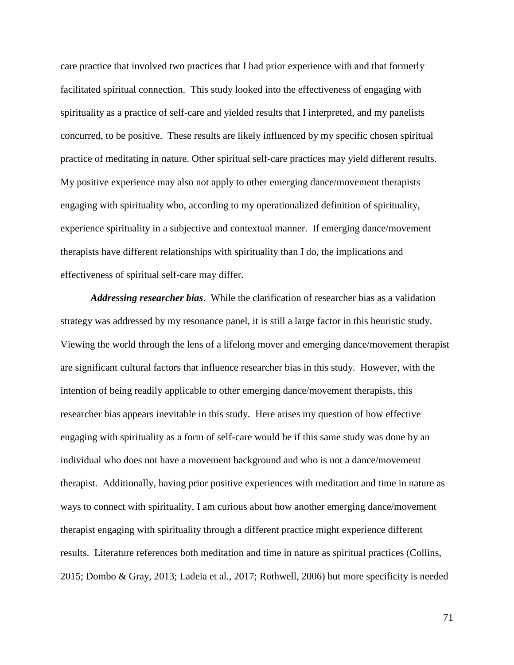care practice that involved two practices that I had prior experience with and that formerly facilitated spiritual connection. This study looked into the effectiveness of engaging with spirituality as a practice of self-care and yielded results that I interpreted, and my panelists concurred, to be positive. These results are likely influenced by my specific chosen spiritual practice of meditating in nature. Other spiritual self-care practices may yield different results. My positive experience may also not apply to other emerging dance/movement therapists engaging with spirituality who, according to my operationalized definition of spirituality, experience spirituality in a subjective and contextual manner. If emerging dance/movement therapists have different relationships with spirituality than I do, the implications and effectiveness of spiritual self-care may differ.

*Addressing researcher bias*. While the clarification of researcher bias as a validation strategy was addressed by my resonance panel, it is still a large factor in this heuristic study. Viewing the world through the lens of a lifelong mover and emerging dance/movement therapist are significant cultural factors that influence researcher bias in this study. However, with the intention of being readily applicable to other emerging dance/movement therapists, this researcher bias appears inevitable in this study. Here arises my question of how effective engaging with spirituality as a form of self-care would be if this same study was done by an individual who does not have a movement background and who is not a dance/movement therapist. Additionally, having prior positive experiences with meditation and time in nature as ways to connect with spirituality, I am curious about how another emerging dance/movement therapist engaging with spirituality through a different practice might experience different results. Literature references both meditation and time in nature as spiritual practices (Collins, 2015; Dombo & Gray, 2013; Ladeia et al., 2017; Rothwell, 2006) but more specificity is needed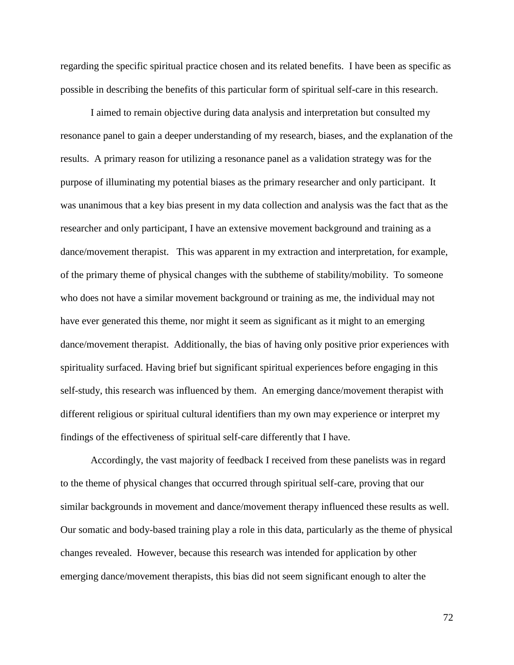regarding the specific spiritual practice chosen and its related benefits. I have been as specific as possible in describing the benefits of this particular form of spiritual self-care in this research.

I aimed to remain objective during data analysis and interpretation but consulted my resonance panel to gain a deeper understanding of my research, biases, and the explanation of the results. A primary reason for utilizing a resonance panel as a validation strategy was for the purpose of illuminating my potential biases as the primary researcher and only participant. It was unanimous that a key bias present in my data collection and analysis was the fact that as the researcher and only participant, I have an extensive movement background and training as a dance/movement therapist. This was apparent in my extraction and interpretation, for example, of the primary theme of physical changes with the subtheme of stability/mobility. To someone who does not have a similar movement background or training as me, the individual may not have ever generated this theme, nor might it seem as significant as it might to an emerging dance/movement therapist. Additionally, the bias of having only positive prior experiences with spirituality surfaced. Having brief but significant spiritual experiences before engaging in this self-study, this research was influenced by them. An emerging dance/movement therapist with different religious or spiritual cultural identifiers than my own may experience or interpret my findings of the effectiveness of spiritual self-care differently that I have.

Accordingly, the vast majority of feedback I received from these panelists was in regard to the theme of physical changes that occurred through spiritual self-care, proving that our similar backgrounds in movement and dance/movement therapy influenced these results as well. Our somatic and body-based training play a role in this data, particularly as the theme of physical changes revealed. However, because this research was intended for application by other emerging dance/movement therapists, this bias did not seem significant enough to alter the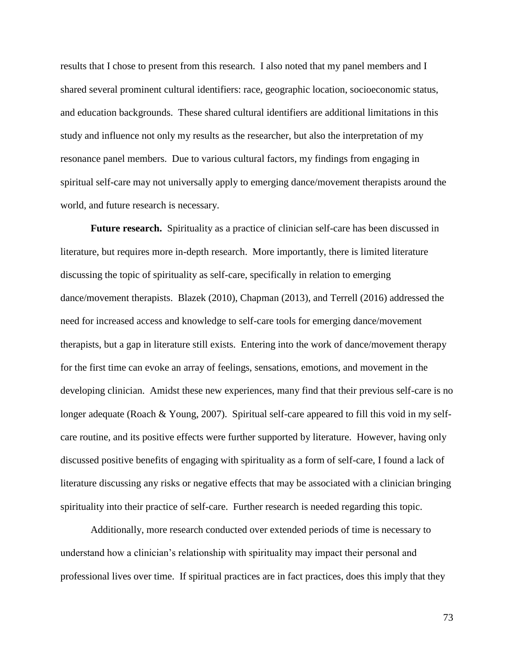results that I chose to present from this research. I also noted that my panel members and I shared several prominent cultural identifiers: race, geographic location, socioeconomic status, and education backgrounds. These shared cultural identifiers are additional limitations in this study and influence not only my results as the researcher, but also the interpretation of my resonance panel members. Due to various cultural factors, my findings from engaging in spiritual self-care may not universally apply to emerging dance/movement therapists around the world, and future research is necessary.

**Future research.** Spirituality as a practice of clinician self-care has been discussed in literature, but requires more in-depth research. More importantly, there is limited literature discussing the topic of spirituality as self-care, specifically in relation to emerging dance/movement therapists. Blazek (2010), Chapman (2013), and Terrell (2016) addressed the need for increased access and knowledge to self-care tools for emerging dance/movement therapists, but a gap in literature still exists. Entering into the work of dance/movement therapy for the first time can evoke an array of feelings, sensations, emotions, and movement in the developing clinician. Amidst these new experiences, many find that their previous self-care is no longer adequate (Roach & Young, 2007). Spiritual self-care appeared to fill this void in my selfcare routine, and its positive effects were further supported by literature. However, having only discussed positive benefits of engaging with spirituality as a form of self-care, I found a lack of literature discussing any risks or negative effects that may be associated with a clinician bringing spirituality into their practice of self-care. Further research is needed regarding this topic.

Additionally, more research conducted over extended periods of time is necessary to understand how a clinician's relationship with spirituality may impact their personal and professional lives over time. If spiritual practices are in fact practices, does this imply that they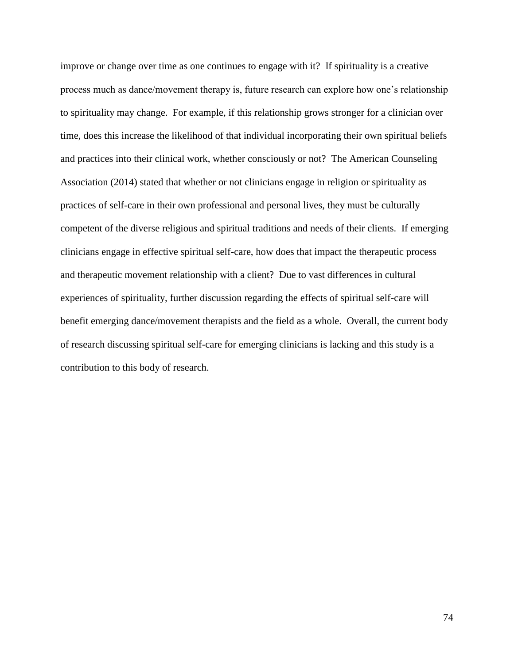improve or change over time as one continues to engage with it? If spirituality is a creative process much as dance/movement therapy is, future research can explore how one's relationship to spirituality may change. For example, if this relationship grows stronger for a clinician over time, does this increase the likelihood of that individual incorporating their own spiritual beliefs and practices into their clinical work, whether consciously or not? The American Counseling Association (2014) stated that whether or not clinicians engage in religion or spirituality as practices of self-care in their own professional and personal lives, they must be culturally competent of the diverse religious and spiritual traditions and needs of their clients. If emerging clinicians engage in effective spiritual self-care, how does that impact the therapeutic process and therapeutic movement relationship with a client? Due to vast differences in cultural experiences of spirituality, further discussion regarding the effects of spiritual self-care will benefit emerging dance/movement therapists and the field as a whole. Overall, the current body of research discussing spiritual self-care for emerging clinicians is lacking and this study is a contribution to this body of research.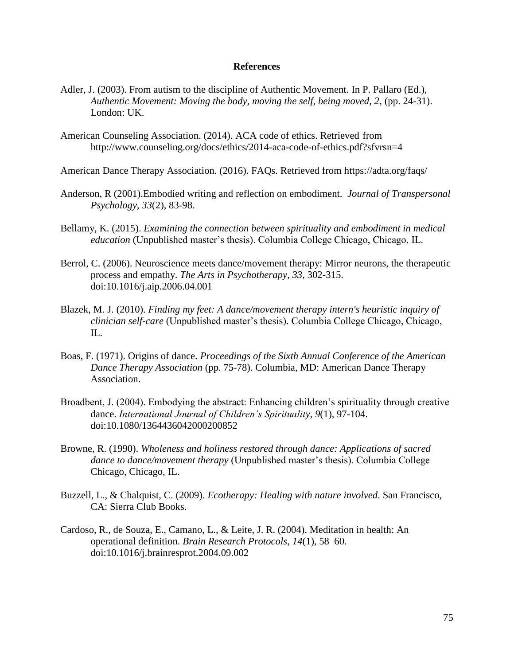### **References**

- Adler, J. (2003). From autism to the discipline of Authentic Movement. In P. Pallaro (Ed.), *Authentic Movement: Moving the body, moving the self, being moved, 2*, (pp. 24-31). London: UK.
- American Counseling Association. (2014). ACA code of ethics. Retrieved from <http://www.counseling.org/docs/ethics/2014-aca-code-of-ethics.pdf?sfvrsn=4>
- American Dance Therapy Association. (2016). FAQs. Retrieved from<https://adta.org/faqs/>
- Anderson, R (2001).Embodied writing and reflection on embodiment. *Journal of Transpersonal Psychology*, *33*(2), 83-98.
- Bellamy, K. (2015). *Examining the connection between spirituality and embodiment in medical education* (Unpublished master's thesis). Columbia College Chicago, Chicago, IL.
- Berrol, C. (2006). Neuroscience meets dance/movement therapy: Mirror neurons, the therapeutic process and empathy. *The Arts in Psychotherapy, 33*, 302-315. doi:10.1016/j.aip.2006.04.001
- Blazek, M. J. (2010). *Finding my feet: A dance/movement therapy intern's heuristic inquiry of clinician self-care* (Unpublished master's thesis). Columbia College Chicago, Chicago, IL.
- Boas, F. (1971). Origins of dance. *Proceedings of the Sixth Annual Conference of the American Dance Therapy Association* (pp. 75-78). Columbia, MD: American Dance Therapy Association.
- Broadbent, J. (2004). Embodying the abstract: Enhancing children's spirituality through creative dance. *International Journal of Children's Spirituality*, *9*(1), 97-104. doi:10.1080/1364436042000200852
- Browne, R. (1990). *Wholeness and holiness restored through dance: Applications of sacred dance to dance/movement therapy* (Unpublished master's thesis). Columbia College Chicago, Chicago, IL.
- Buzzell, L., & Chalquist, C. (2009). *Ecotherapy: Healing with nature involved*. San Francisco, CA: Sierra Club Books.
- Cardoso, R., de Souza, E., Camano, L., & Leite, J. R. (2004). Meditation in health: An operational definition. *Brain Research Protocols*, *14*(1), 58–60. doi:10.1016/j.brainresprot.2004.09.002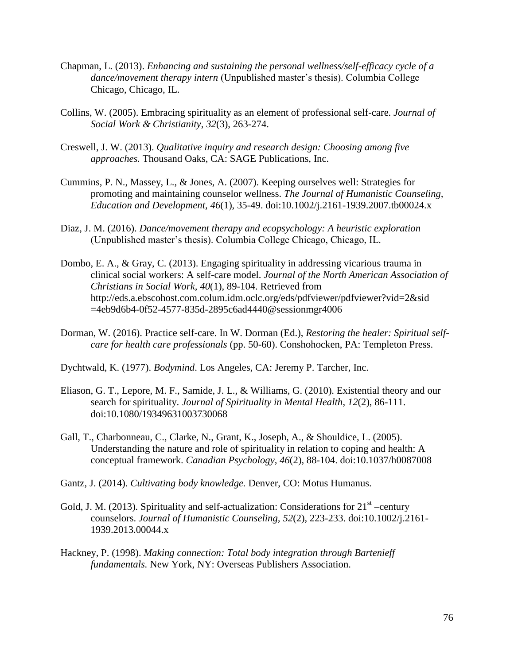- Chapman, L. (2013). *Enhancing and sustaining the personal wellness/self-efficacy cycle of a dance/movement therapy intern* (Unpublished master's thesis). Columbia College Chicago, Chicago, IL.
- Collins, W. (2005). Embracing spirituality as an element of professional self-care. *Journal of Social Work & Christianity*, *32*(3), 263-274.
- Creswell, J. W. (2013). *Qualitative inquiry and research design: Choosing among five approaches.* Thousand Oaks, CA: SAGE Publications, Inc.
- Cummins, P. N., Massey, L., & Jones, A. (2007). Keeping ourselves well: Strategies for promoting and maintaining counselor wellness. *The Journal of Humanistic Counseling, Education and Development, 46*(1), 35-49. doi:10.1002/j.2161-1939.2007.tb00024.x
- Diaz, J. M. (2016). *Dance/movement therapy and ecopsychology: A heuristic exploration*  (Unpublished master's thesis). Columbia College Chicago, Chicago, IL.
- Dombo, E. A., & Gray, C. (2013). Engaging spirituality in addressing vicarious trauma in clinical social workers: A self-care model. *Journal of the North American Association of Christians in Social Work, 40*(1), 89-104. Retrieved from http://eds.a.ebscohost.com.colum.idm.oclc.org/eds/pdfviewer/pdfviewer?vid=2&sid =4eb9d6b4-0f52-4577-835d-2895c6ad4440@sessionmgr4006
- Dorman, W. (2016). Practice self-care. In W. Dorman (Ed.), *Restoring the healer: Spiritual selfcare for health care professionals* (pp. 50-60). Conshohocken, PA: Templeton Press.
- Dychtwald, K. (1977). *Bodymind*. Los Angeles, CA: Jeremy P. Tarcher, Inc.
- Eliason, G. T., Lepore, M. F., Samide, J. L., & Williams, G. (2010). Existential theory and our search for spirituality. *Journal of Spirituality in Mental Health*, *12*(2), 86-111. doi:10.1080/19349631003730068
- Gall, T., Charbonneau, C., Clarke, N., Grant, K., Joseph, A., & Shouldice, L. (2005). Understanding the nature and role of spirituality in relation to coping and health: A conceptual framework. *Canadian Psychology*, *46*(2), 88-104. doi:10.1037/h0087008
- Gantz, J. (2014). *Cultivating body knowledge.* Denver, CO: Motus Humanus.
- Gold, J. M. (2013). Spirituality and self-actualization: Considerations for  $21<sup>st</sup>$  -century counselors. *Journal of Humanistic Counseling, 52*(2), 223-233. doi:10.1002/j.2161- 1939.2013.00044.x
- Hackney, P. (1998). *Making connection: Total body integration through Bartenieff fundamentals.* New York, NY: Overseas Publishers Association.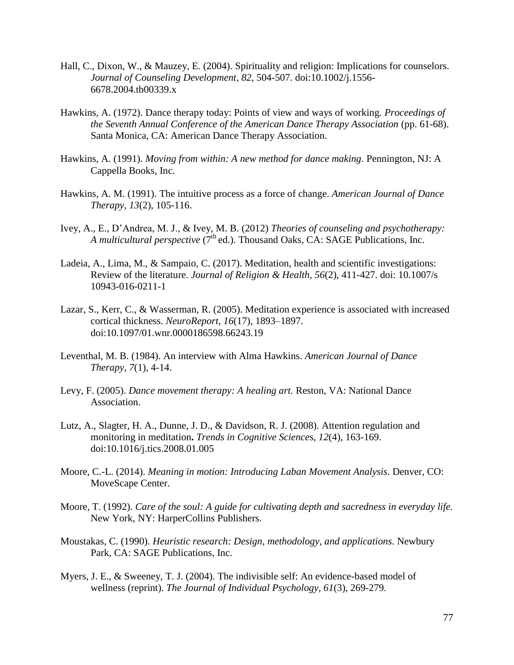- Hall, C., Dixon, W., & Mauzey, E. (2004). Spirituality and religion: Implications for counselors. *Journal of Counseling Development*, *82*, 504-507. doi:10.1002/j.1556- 6678.2004.tb00339.x
- Hawkins, A. (1972). Dance therapy today: Points of view and ways of working. *Proceedings of the Seventh Annual Conference of the American Dance Therapy Association* (pp. 61-68). Santa Monica, CA: American Dance Therapy Association.
- Hawkins, A. (1991). *Moving from within: A new method for dance making.* Pennington, NJ: A Cappella Books, Inc.
- Hawkins, A. M. (1991). The intuitive process as a force of change. *American Journal of Dance Therapy, 13*(2), 105-116.
- Ivey, A., E., D'Andrea, M. J., & Ivey, M. B. (2012) *Theories of counseling and psychotherapy: A multicultural perspective* (7<sup>th</sup> ed.). Thousand Oaks, CA: SAGE Publications, Inc.
- Ladeia, A., Lima, M., & Sampaio, C. (2017). Meditation, health and scientific investigations: Review of the literature. *Journal of Religion & Health, 56*(2), 411-427. doi: 10.1007/s 10943-016-0211-1
- Lazar, S., Kerr, C., & Wasserman, R. (2005). Meditation experience is associated with increased cortical thickness. *NeuroReport*, *16*(17), 1893–1897. doi:10.1097/01.wnr.0000186598.66243.19
- Leventhal, M. B. (1984). An interview with Alma Hawkins. *American Journal of Dance Therapy, 7*(1), 4-14.
- Levy, F. (2005). *Dance movement therapy: A healing art.* Reston, VA: National Dance Association.
- Lutz, A., Slagter, H. A., Dunne, J. D., & Davidson, R. J. (2008). Attention regulation and monitoring in meditation**.** *Trends in Cognitive Science*s, *12*(4), 163-169. doi:10.1016/j.tics.2008.01.005
- Moore, C.-L. (2014). *Meaning in motion: Introducing Laban Movement Analysis*. Denver, CO: MoveScape Center.
- Moore, T. (1992). *Care of the soul: A guide for cultivating depth and sacredness in everyday life.* New York, NY: HarperCollins Publishers.
- Moustakas, C. (1990). *Heuristic research: Design, methodology, and applications*. Newbury Park, CA: SAGE Publications, Inc.
- Myers, J. E., & Sweeney, T. J. (2004). The indivisible self: An evidence-based model of wellness (reprint). *The Journal of Individual Psychology, 61*(3), 269-279.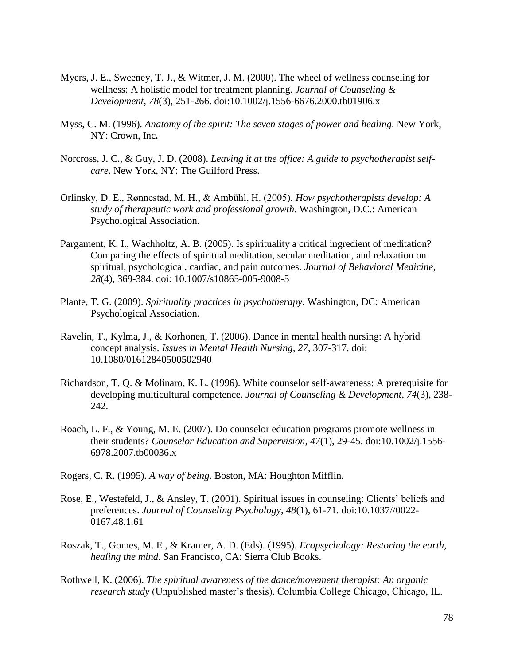- Myers, J. E., Sweeney, T. J., & Witmer, J. M. (2000). The wheel of wellness counseling for wellness: A holistic model for treatment planning. *Journal of Counseling & Development, 78*(3), 251-266. doi:10.1002/j.1556-6676.2000.tb01906.x
- Myss, C. M. (1996). *Anatomy of the spirit: The seven stages of power and healing*. New York, NY: Crown, Inc**.**
- Norcross, J. C., & Guy, J. D. (2008). *Leaving it at the office: A guide to psychotherapist selfcare*. New York, NY: The Guilford Press.
- Orlinsky, D. E., R**Ø**nnestad, M. H., & Ambühl, H. (2005). *How psychotherapists develop: A study of therapeutic work and professional growth*. Washington, D.C.: American Psychological Association.
- Pargament, K. I., Wachholtz, A. B. (2005). Is spirituality a critical ingredient of meditation? Comparing the effects of spiritual meditation, secular meditation, and relaxation on spiritual, psychological, cardiac, and pain outcomes. *Journal of Behavioral Medicine*, *28*(4), 369-384. doi: 10.1007/s10865-005-9008-5
- Plante, T. G. (2009). *Spirituality practices in psychotherapy*. Washington, DC: American Psychological Association.
- Ravelin, T., Kylma, J., & Korhonen, T. (2006). Dance in mental health nursing: A hybrid concept analysis. *Issues in Mental Health Nursing, 27*, 307-317. doi: 10.1080/01612840500502940
- Richardson, T. Q. & Molinaro, K. L. (1996). White counselor self-awareness: A prerequisite for developing multicultural competence. *Journal of Counseling & Development, 74*(3), 238- 242.
- Roach, L. F., & Young, M. E. (2007). Do counselor education programs promote wellness in their students? *Counselor Education and Supervision, 47*(1), 29-45. doi:10.1002/j.1556- 6978.2007.tb00036.x
- Rogers, C. R. (1995). *A way of being.* Boston, MA: Houghton Mifflin.
- Rose, E., Westefeld, J., & Ansley, T. (2001). Spiritual issues in counseling: Clients' beliefs and preferences. *Journal of Counseling Psychology*, *48*(1), 61-71. doi:10.1037//0022- 0167.48.1.61
- Roszak, T., Gomes, M. E., & Kramer, A. D. (Eds). (1995). *Ecopsychology: Restoring the earth, healing the mind*. San Francisco, CA: Sierra Club Books.
- Rothwell, K. (2006). *The spiritual awareness of the dance/movement therapist: An organic research study* (Unpublished master's thesis). Columbia College Chicago, Chicago, IL.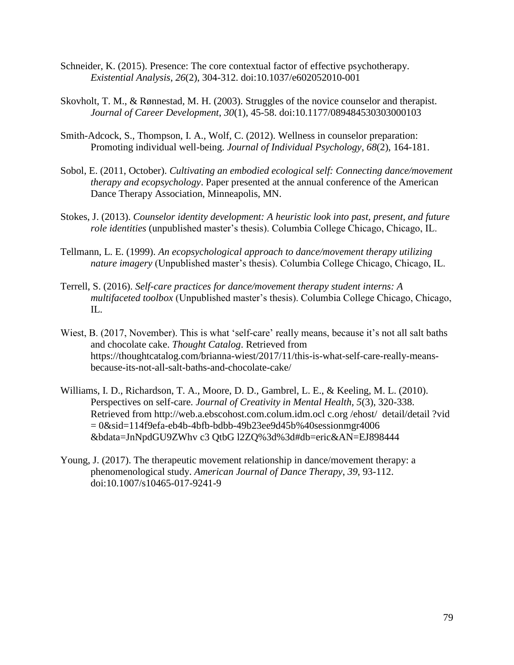- Schneider, K. (2015). Presence: The core contextual factor of effective psychotherapy. *Existential Analysis*, *26*(2), 304-312. doi:10.1037/e602052010-001
- Skovholt, T. M., & Rønnestad, M. H. (2003). Struggles of the novice counselor and therapist. *Journal of Career Development*, *30*(1), 45-58. doi:10.1177/089484530303000103
- Smith-Adcock, S., Thompson, I. A., Wolf, C. (2012). Wellness in counselor preparation: Promoting individual well-being. *Journal of Individual Psychology*, *68*(2), 164-181.
- Sobol, E. (2011, October). *Cultivating an embodied ecological self: Connecting dance/movement therapy and ecopsychology*. Paper presented at the annual conference of the American Dance Therapy Association, Minneapolis, MN.
- Stokes, J. (2013). *Counselor identity development: A heuristic look into past, present, and future role identities* (unpublished master's thesis). Columbia College Chicago, Chicago, IL.
- Tellmann, L. E. (1999). *An ecopsychological approach to dance/movement therapy utilizing nature imagery* (Unpublished master's thesis). Columbia College Chicago, Chicago, IL.
- Terrell, S. (2016). *Self-care practices for dance/movement therapy student interns: A multifaceted toolbox* (Unpublished master's thesis). Columbia College Chicago, Chicago, IL.
- Wiest, B. (2017, November). This is what 'self-care' really means, because it's not all salt baths and chocolate cake. *Thought Catalog*. Retrieved from [https://thoughtcatalog.com/brianna-wiest/2017/11/this-is-what-self-care-really-means](https://thoughtcatalog.com/brianna-wiest/2017/11/this-is-what-self-care-really-means-%20because-its-not-all-salt-baths-and-chocolate-cake/)[because-its-not-all-salt-baths-and-chocolate-cake/](https://thoughtcatalog.com/brianna-wiest/2017/11/this-is-what-self-care-really-means-%20because-its-not-all-salt-baths-and-chocolate-cake/)
- Williams, I. D., Richardson, T. A., Moore, D. D., Gambrel, L. E., & Keeling, M. L. (2010). Perspectives on self-care. *Journal of Creativity in Mental Health, 5*(3), 320-338. Retrieved from http://web.a.ebscohost.com.colum.idm.ocl c.org /ehost/ detail/detail ?vid  $= 0$ &sid=114f9efa-eb4b-4bfb-bdbb-49b23ee9d45b%40sessionmgr4006 &bdata=JnNpdGU9ZWhv c3 QtbG l2ZQ%3d%3d#db=eric&AN=EJ898444
- Young, J. (2017). The therapeutic movement relationship in dance/movement therapy: a phenomenological study. *American Journal of Dance Therapy*, *39*, 93-112. doi:10.1007/s10465-017-9241-9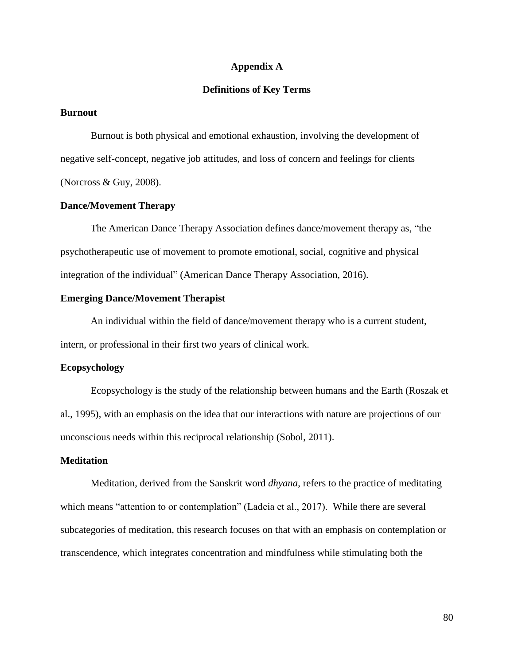### **Appendix A**

### **Definitions of Key Terms**

#### **Burnout**

Burnout is both physical and emotional exhaustion, involving the development of negative self-concept, negative job attitudes, and loss of concern and feelings for clients (Norcross & Guy, 2008).

### **Dance/Movement Therapy**

The American Dance Therapy Association defines dance/movement therapy as, "the psychotherapeutic use of movement to promote emotional, social, cognitive and physical integration of the individual" (American Dance Therapy Association, 2016).

### **Emerging Dance/Movement Therapist**

An individual within the field of dance/movement therapy who is a current student, intern, or professional in their first two years of clinical work.

### **Ecopsychology**

Ecopsychology is the study of the relationship between humans and the Earth (Roszak et al., 1995), with an emphasis on the idea that our interactions with nature are projections of our unconscious needs within this reciprocal relationship (Sobol, 2011).

### **Meditation**

Meditation, derived from the Sanskrit word *dhyana*, refers to the practice of meditating which means "attention to or contemplation" (Ladeia et al., 2017). While there are several subcategories of meditation, this research focuses on that with an emphasis on contemplation or transcendence, which integrates concentration and mindfulness while stimulating both the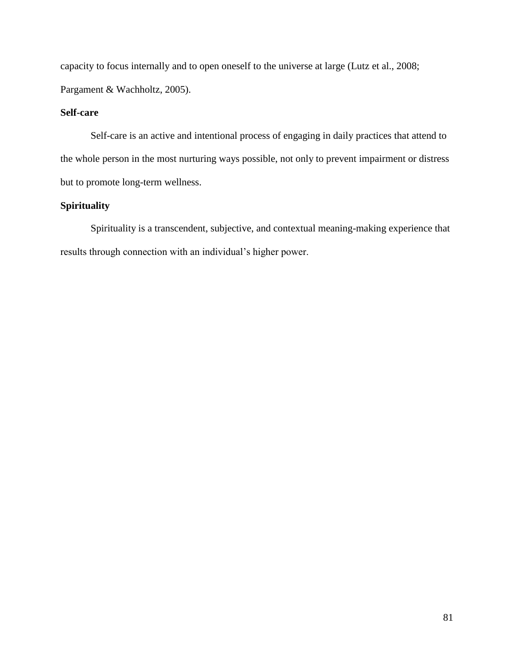capacity to focus internally and to open oneself to the universe at large (Lutz et al., 2008; Pargament & Wachholtz, 2005).

## **Self-care**

Self-care is an active and intentional process of engaging in daily practices that attend to the whole person in the most nurturing ways possible, not only to prevent impairment or distress but to promote long-term wellness.

# **Spirituality**

Spirituality is a transcendent, subjective, and contextual meaning-making experience that results through connection with an individual's higher power.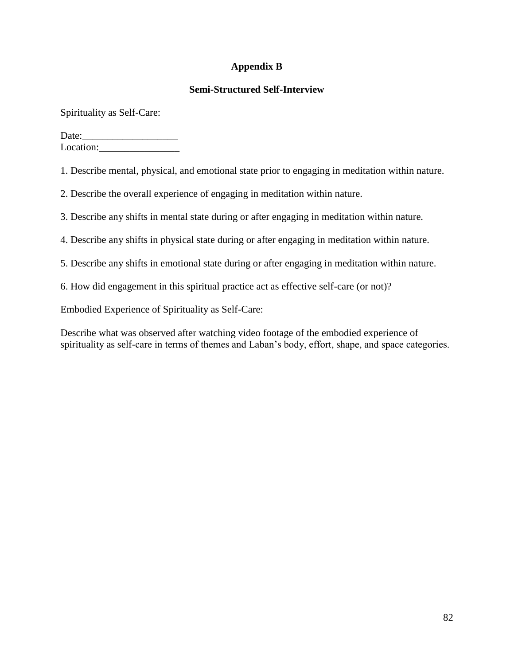# **Appendix B**

## **Semi-Structured Self-Interview**

Spirituality as Self-Care:

Date:\_\_\_\_\_\_\_\_\_\_\_\_\_\_\_\_\_\_\_ Location:

1. Describe mental, physical, and emotional state prior to engaging in meditation within nature.

2. Describe the overall experience of engaging in meditation within nature.

3. Describe any shifts in mental state during or after engaging in meditation within nature.

4. Describe any shifts in physical state during or after engaging in meditation within nature.

5. Describe any shifts in emotional state during or after engaging in meditation within nature.

6. How did engagement in this spiritual practice act as effective self-care (or not)?

Embodied Experience of Spirituality as Self-Care:

Describe what was observed after watching video footage of the embodied experience of spirituality as self-care in terms of themes and Laban's body, effort, shape, and space categories.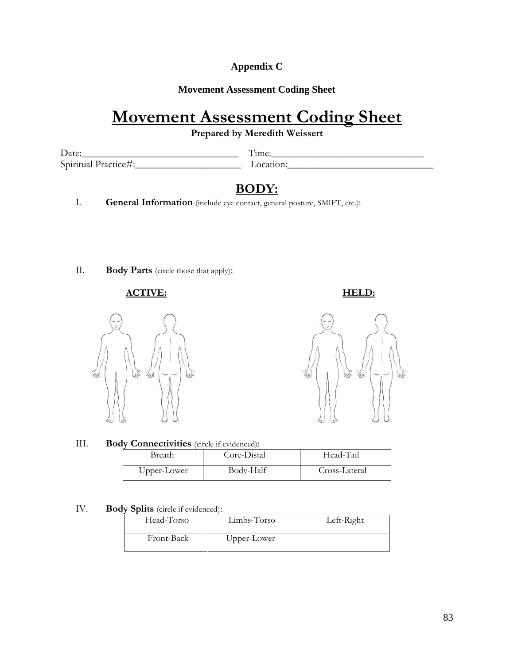# **Appendix C**

## **Movement Assessment Coding Sheet**

# **Movement Assessment Coding Sheet**

**Prepared by Meredith Weissert**

Date:\_\_\_\_\_\_\_\_\_\_\_\_\_\_\_\_\_\_\_\_\_\_\_\_\_\_\_\_\_\_\_\_\_\_ Time:\_\_\_\_\_\_\_\_\_\_\_\_\_\_\_\_\_\_\_\_\_\_\_\_\_\_\_\_\_\_\_\_\_ Spiritual Practice#:\_\_\_\_\_\_\_\_\_\_\_\_\_\_\_\_\_\_\_\_\_\_\_ Location:\_\_\_\_\_\_\_\_\_\_\_\_\_\_\_\_\_\_\_\_\_\_\_\_\_\_\_\_\_

# **BODY:**

I. **General Information** (include eye contact, general posture, SMIFT, etc.):

II. **Body Parts** (circle those that apply):

### **ACTIVE: HELD:**





III. **Body Connectivities** (circle if evidenced):

| Breath      | Core-Distal | Head-Tail     |  |
|-------------|-------------|---------------|--|
| Upper-Lower | Body-Half   | Cross-Lateral |  |

### IV. **Body Splits** (circle if evidenced):

| Head-Torso | Limbs-Torso | Left-Right |
|------------|-------------|------------|
| Front-Back | Upper-Lower |            |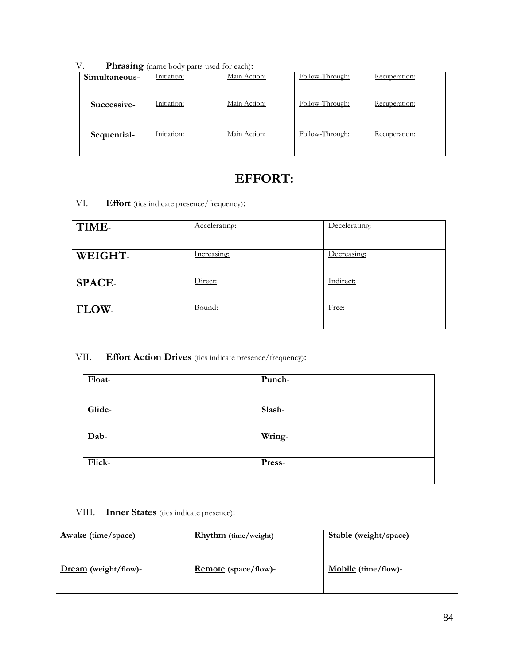| V. | <b>Phrasing</b> (name body parts used for each): |
|----|--------------------------------------------------|
|----|--------------------------------------------------|

| Simultaneous- | Initiation: | Main Action: | Follow-Through: | Recuperation: |
|---------------|-------------|--------------|-----------------|---------------|
| Successive-   | Initiation: | Main Action: | Follow-Through: | Recuperation: |
| Sequential-   | Initiation: | Main Action: | Follow-Through: | Recuperation: |

# **EFFORT:**

VI. **Effort** (tics indicate presence/frequency):

| TIME-         | Accelerating: | Decelerating: |
|---------------|---------------|---------------|
| WEIGHT-       | Increasing:   | Decreasing:   |
| <b>SPACE-</b> | Direct:       | Indirect:     |
| FLOW-         | Bound:        | Free:         |

# VII. **Effort Action Drives** (tics indicate presence/frequency):

| Float- | Punch- |
|--------|--------|
|        |        |
| Glide- | Slash- |
|        |        |
| Dab-   | Wring- |
|        |        |
| Flick- | Press- |
|        |        |

# VIII. **Inner States** (tics indicate presence):

| <b>Rhythm</b> (time/weight)- | Stable (weight/space)- |
|------------------------------|------------------------|
|                              |                        |
| <b>Remote</b> (space/flow)-  | $Mobile (time/flow)$ - |
|                              |                        |
|                              |                        |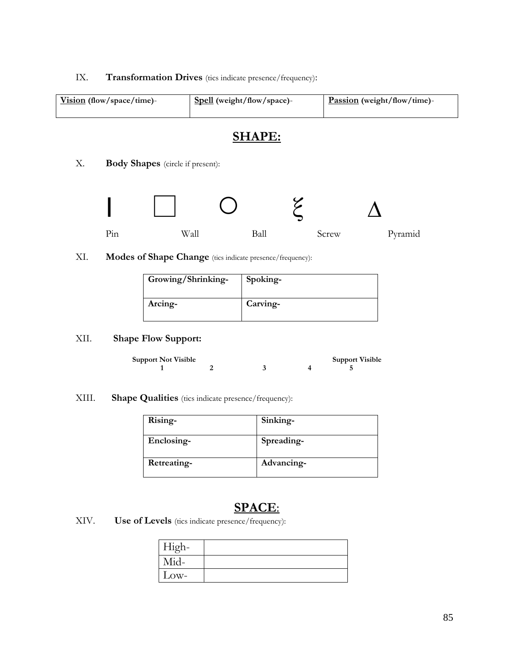### IX. **Transformation Drives** (tics indicate presence/frequency):

| Vision (flow/space/time)- | Spell (weight/flow/space)- | Passion (weight/flow/time)- |
|---------------------------|----------------------------|-----------------------------|
|                           |                            |                             |

# **SHAPE:**

X. **Body Shapes** (circle if present):



XI. **Modes of Shape Change** (tics indicate presence/frequency):

| Growing/Shrinking- | Spoking- |
|--------------------|----------|
| Arcing-            | Carving- |

# XII. **Shape Flow Support:**

| <b>Support Not Visible</b> |  | <b>Support Visible</b> |
|----------------------------|--|------------------------|
|                            |  |                        |

XIII. **Shape Qualities** (tics indicate presence/frequency):

| Rising-     | Sinking-   |
|-------------|------------|
| Enclosing-  | Spreading- |
| Retreating- | Advancing- |

# **SPACE**:

XIV. **Use of Levels** (tics indicate presence/frequency):

| High- |  |
|-------|--|
| Mid-  |  |
| Low-  |  |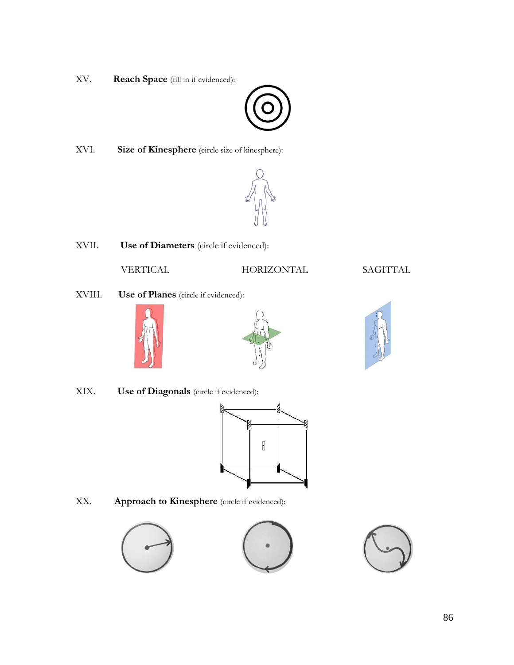XV. **Reach Space** (fill in if evidenced):



XVI. **Size of Kinesphere** (circle size of kinesphere):



XVII. **Use of Diameters** (circle if evidenced):

VERTICAL HORIZONTAL SAGITTAL

XVIII. **Use of Planes** (circle if evidenced):







XIX. **Use of Diagonals** (circle if evidenced):



XX. **Approach to Kinesphere** (circle if evidenced):



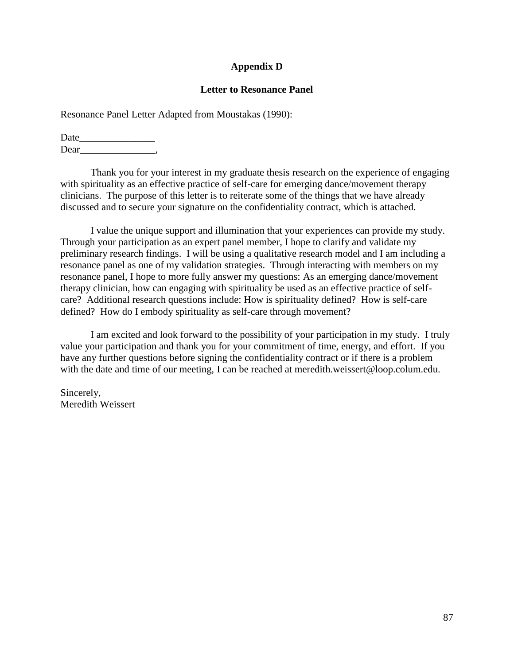### **Appendix D**

### **Letter to Resonance Panel**

Resonance Panel Letter Adapted from Moustakas (1990):

Date\_\_\_\_\_\_\_\_\_\_\_\_\_\_\_ Dear\_\_\_\_\_\_\_\_\_\_\_\_\_\_\_,

Thank you for your interest in my graduate thesis research on the experience of engaging with spirituality as an effective practice of self-care for emerging dance/movement therapy clinicians. The purpose of this letter is to reiterate some of the things that we have already discussed and to secure your signature on the confidentiality contract, which is attached.

I value the unique support and illumination that your experiences can provide my study. Through your participation as an expert panel member, I hope to clarify and validate my preliminary research findings. I will be using a qualitative research model and I am including a resonance panel as one of my validation strategies. Through interacting with members on my resonance panel, I hope to more fully answer my questions: As an emerging dance/movement therapy clinician, how can engaging with spirituality be used as an effective practice of selfcare? Additional research questions include: How is spirituality defined? How is self-care defined? How do I embody spirituality as self-care through movement?

I am excited and look forward to the possibility of your participation in my study. I truly value your participation and thank you for your commitment of time, energy, and effort. If you have any further questions before signing the confidentiality contract or if there is a problem with the date and time of our meeting, I can be reached at meredith.weissert@loop.colum.edu.

Sincerely, Meredith Weissert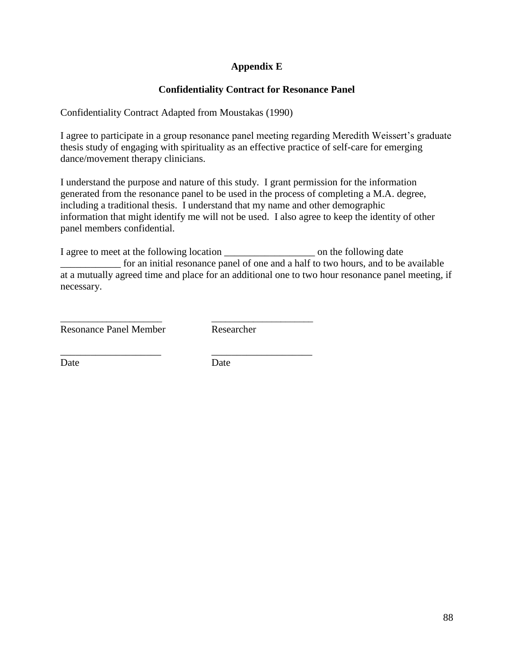# **Appendix E**

# **Confidentiality Contract for Resonance Panel**

Confidentiality Contract Adapted from Moustakas (1990)

I agree to participate in a group resonance panel meeting regarding Meredith Weissert's graduate thesis study of engaging with spirituality as an effective practice of self-care for emerging dance/movement therapy clinicians.

I understand the purpose and nature of this study. I grant permission for the information generated from the resonance panel to be used in the process of completing a M.A. degree, including a traditional thesis. I understand that my name and other demographic information that might identify me will not be used. I also agree to keep the identity of other panel members confidential.

I agree to meet at the following location \_\_\_\_\_\_\_\_\_\_\_\_\_\_\_\_\_\_ on the following date \_\_\_\_\_\_\_\_\_\_\_\_ for an initial resonance panel of one and a half to two hours, and to be available at a mutually agreed time and place for an additional one to two hour resonance panel meeting, if necessary.

Resonance Panel Member Researcher

Date Date

\_\_\_\_\_\_\_\_\_\_\_\_\_\_\_\_\_\_\_\_\_\_ \_\_\_\_\_\_\_\_\_\_\_\_\_\_\_\_\_\_\_\_\_\_

\_\_\_\_\_\_\_\_\_\_\_\_\_\_\_\_\_\_\_\_ \_\_\_\_\_\_\_\_\_\_\_\_\_\_\_\_\_\_\_\_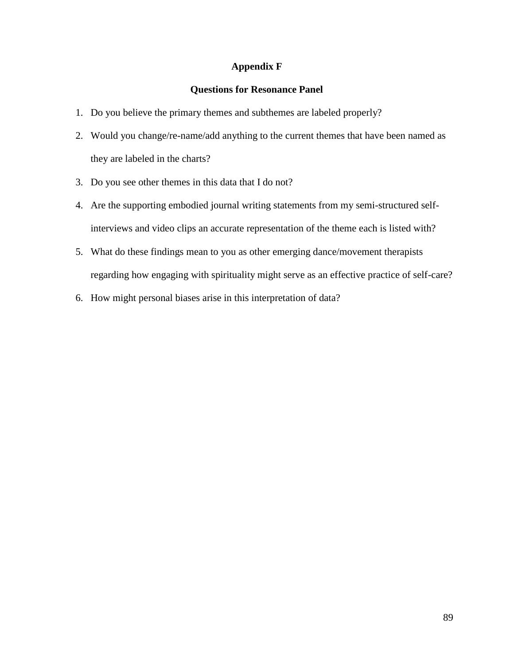### **Appendix F**

### **Questions for Resonance Panel**

- 1. Do you believe the primary themes and subthemes are labeled properly?
- 2. Would you change/re-name/add anything to the current themes that have been named as they are labeled in the charts?
- 3. Do you see other themes in this data that I do not?
- 4. Are the supporting embodied journal writing statements from my semi-structured selfinterviews and video clips an accurate representation of the theme each is listed with?
- 5. What do these findings mean to you as other emerging dance/movement therapists regarding how engaging with spirituality might serve as an effective practice of self-care?
- 6. How might personal biases arise in this interpretation of data?